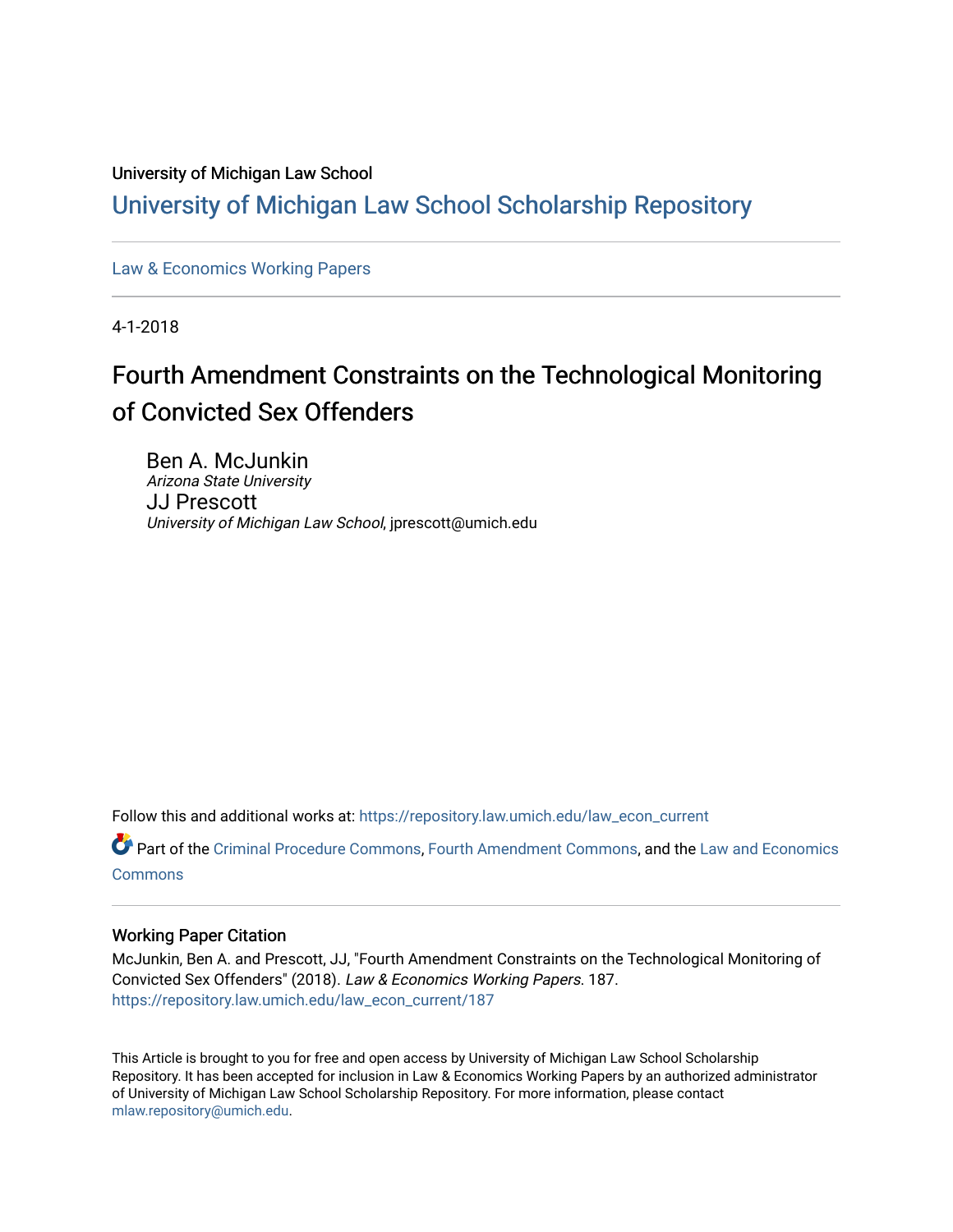# University of Michigan Law School

# [University of Michigan Law School Scholarship Repository](https://repository.law.umich.edu/)

[Law & Economics Working Papers](https://repository.law.umich.edu/law_econ_current)

4-1-2018

# Fourth Amendment Constraints on the Technological Monitoring of Convicted Sex Offenders

Ben A. McJunkin Arizona State University JJ Prescott University of Michigan Law School, jprescott@umich.edu

Follow this and additional works at: [https://repository.law.umich.edu/law\\_econ\\_current](https://repository.law.umich.edu/law_econ_current?utm_source=repository.law.umich.edu%2Flaw_econ_current%2F187&utm_medium=PDF&utm_campaign=PDFCoverPages) 

Part of the [Criminal Procedure Commons,](http://network.bepress.com/hgg/discipline/1073?utm_source=repository.law.umich.edu%2Flaw_econ_current%2F187&utm_medium=PDF&utm_campaign=PDFCoverPages) [Fourth Amendment Commons,](http://network.bepress.com/hgg/discipline/1180?utm_source=repository.law.umich.edu%2Flaw_econ_current%2F187&utm_medium=PDF&utm_campaign=PDFCoverPages) and the [Law and Economics](http://network.bepress.com/hgg/discipline/612?utm_source=repository.law.umich.edu%2Flaw_econ_current%2F187&utm_medium=PDF&utm_campaign=PDFCoverPages) **[Commons](http://network.bepress.com/hgg/discipline/612?utm_source=repository.law.umich.edu%2Flaw_econ_current%2F187&utm_medium=PDF&utm_campaign=PDFCoverPages)** 

# Working Paper Citation

McJunkin, Ben A. and Prescott, JJ, "Fourth Amendment Constraints on the Technological Monitoring of Convicted Sex Offenders" (2018). Law & Economics Working Papers. 187. [https://repository.law.umich.edu/law\\_econ\\_current/187](https://repository.law.umich.edu/law_econ_current/187?utm_source=repository.law.umich.edu%2Flaw_econ_current%2F187&utm_medium=PDF&utm_campaign=PDFCoverPages) 

This Article is brought to you for free and open access by University of Michigan Law School Scholarship Repository. It has been accepted for inclusion in Law & Economics Working Papers by an authorized administrator of University of Michigan Law School Scholarship Repository. For more information, please contact [mlaw.repository@umich.edu.](mailto:mlaw.repository@umich.edu)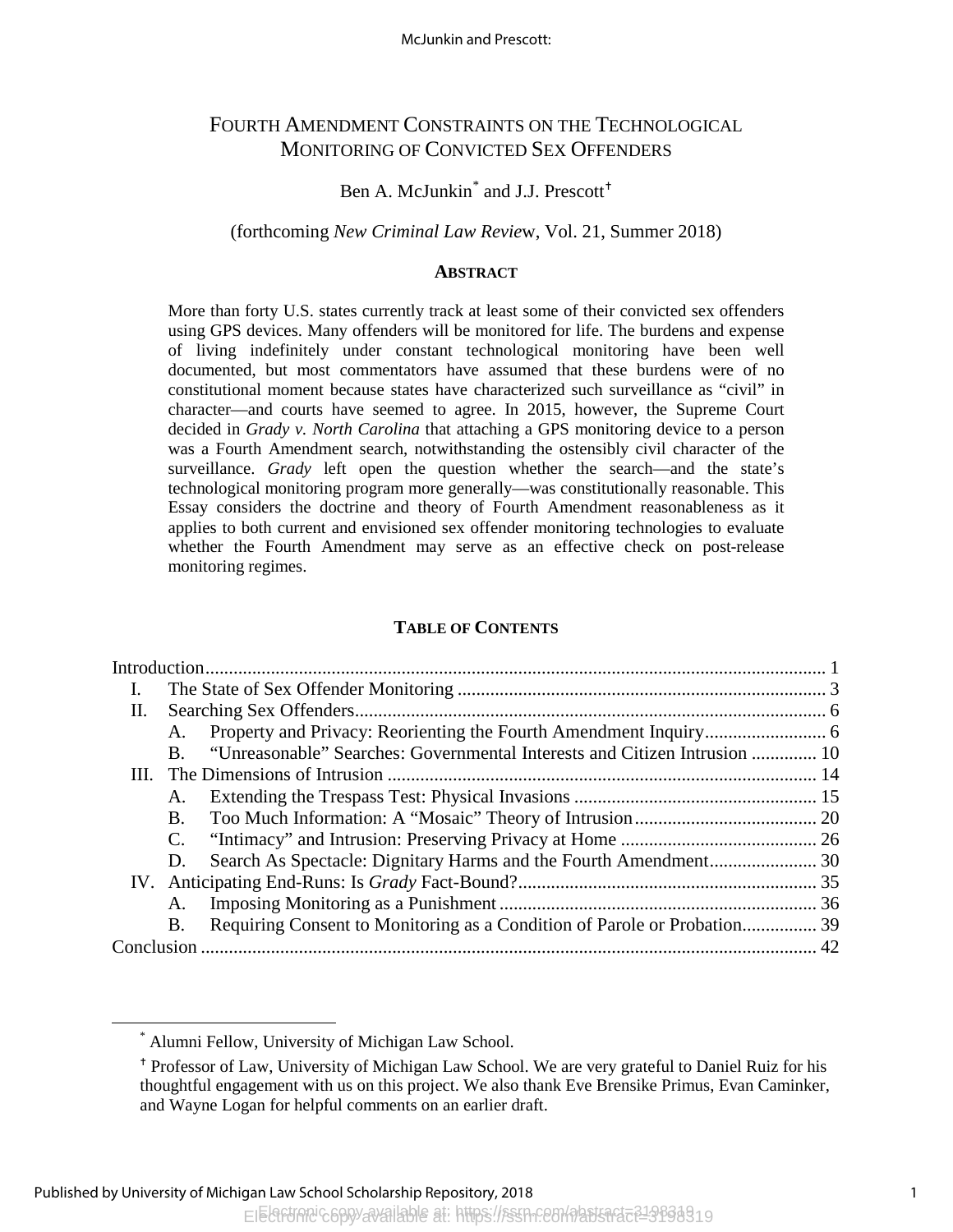# FOURTH AMENDMENT CONSTRAINTS ON THE TECHNOLOGICAL MONITORING OF CONVICTED SEX OFFENDERS

# Ben A. McJunkin<sup>[\\*](#page-1-0)</sup> and J.J. Prescott<sup>†</sup>

# (forthcoming *New Criminal Law Revie*w, Vol. 21, Summer 2018)

#### **ABSTRACT**

More than forty U.S. states currently track at least some of their convicted sex offenders using GPS devices. Many offenders will be monitored for life. The burdens and expense of living indefinitely under constant technological monitoring have been well documented, but most commentators have assumed that these burdens were of no constitutional moment because states have characterized such surveillance as "civil" in character—and courts have seemed to agree. In 2015, however, the Supreme Court decided in *Grady v. North Carolina* that attaching a GPS monitoring device to a person was a Fourth Amendment search, notwithstanding the ostensibly civil character of the surveillance. *Grady* left open the question whether the search—and the state's technological monitoring program more generally—was constitutionally reasonable. This Essay considers the doctrine and theory of Fourth Amendment reasonableness as it applies to both current and envisioned sex offender monitoring technologies to evaluate whether the Fourth Amendment may serve as an effective check on post-release monitoring regimes.

### **TABLE OF CONTENTS**

| П. |                |                                                                           |  |
|----|----------------|---------------------------------------------------------------------------|--|
|    | A.             |                                                                           |  |
|    | B.             | "Unreasonable" Searches: Governmental Interests and Citizen Intrusion  10 |  |
|    |                |                                                                           |  |
|    | A.             |                                                                           |  |
|    | B.             |                                                                           |  |
|    | $\mathbf{C}$ . |                                                                           |  |
|    | D.             |                                                                           |  |
|    |                |                                                                           |  |
|    | A.             |                                                                           |  |
|    | В.             | Requiring Consent to Monitoring as a Condition of Parole or Probation 39  |  |
|    |                |                                                                           |  |
|    |                |                                                                           |  |

<span id="page-1-1"></span>Published by University of Michigan Law School Scholarship Repository, 2018

<span id="page-1-0"></span>\* Alumni Fellow, University of Michigan Law School.

Professor of Law, University of Michigan Law School. We are very grateful to Daniel Ruiz for his thoughtful engagement with us on this project. We also thank Eve Brensike Primus, Evan Caminker, and Wayne Logan for helpful comments on an earlier draft.

Electronic copy available at: https://ssrn.com/abstract=3198319 Electronic copy available at: https://ssrn.com/abstract=3198319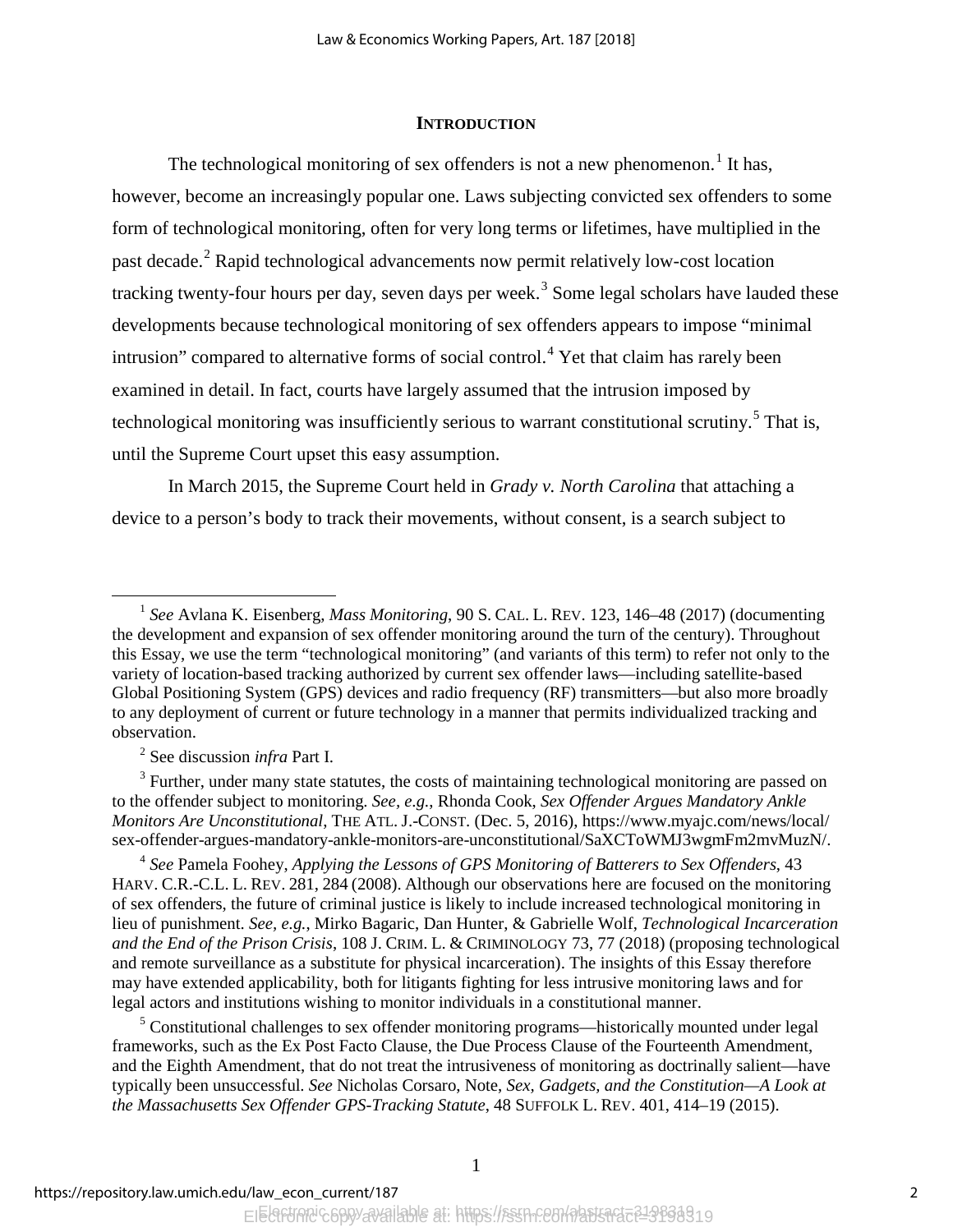#### <span id="page-2-9"></span><span id="page-2-8"></span><span id="page-2-7"></span><span id="page-2-6"></span>**INTRODUCTION**

<span id="page-2-0"></span>The technological monitoring of sex offenders is not a new phenomenon.<sup>[1](#page-2-1)</sup> It has, however, become an increasingly popular one. Laws subjecting convicted sex offenders to some form of technological monitoring, often for very long terms or lifetimes, have multiplied in the past decade.<sup>[2](#page-2-2)</sup> Rapid technological advancements now permit relatively low-cost location tracking twenty-four hours per day, seven days per week.<sup>[3](#page-2-3)</sup> Some legal scholars have lauded these developments because technological monitoring of sex offenders appears to impose "minimal intrusion" compared to alternative forms of social control.<sup>[4](#page-2-4)</sup> Yet that claim has rarely been examined in detail. In fact, courts have largely assumed that the intrusion imposed by technological monitoring was insufficiently serious to warrant constitutional scrutiny.<sup>[5](#page-2-5)</sup> That is, until the Supreme Court upset this easy assumption.

In March 2015, the Supreme Court held in *Grady v. North Carolina* that attaching a device to a person's body to track their movements, without consent, is a search subject to

<span id="page-2-5"></span><sup>5</sup> Constitutional challenges to sex offender monitoring programs—historically mounted under legal frameworks, such as the Ex Post Facto Clause, the Due Process Clause of the Fourteenth Amendment, and the Eighth Amendment, that do not treat the intrusiveness of monitoring as doctrinally salient—have typically been unsuccessful. *See* Nicholas Corsaro, Note, *Sex, Gadgets, and the Constitution—A Look at the Massachusetts Sex Offender GPS-Tracking Statute*, 48 SUFFOLK L. REV. 401, 414–19 (2015).

<span id="page-2-1"></span><sup>1</sup> *See* Avlana K. Eisenberg, *Mass Monitoring*, 90 S. CAL. L. REV. 123, 146–48 (2017) (documenting the development and expansion of sex offender monitoring around the turn of the century). Throughout this Essay, we use the term "technological monitoring" (and variants of this term) to refer not only to the variety of location-based tracking authorized by current sex offender laws—including satellite-based Global Positioning System (GPS) devices and radio frequency (RF) transmitters—but also more broadly to any deployment of current or future technology in a manner that permits individualized tracking and observation.

<sup>2</sup> See discussion *infra* Part I.

<span id="page-2-3"></span><span id="page-2-2"></span><sup>&</sup>lt;sup>3</sup> Further, under many state statutes, the costs of maintaining technological monitoring are passed on to the offender subject to monitoring. *See, e.g.*, Rhonda Cook, *Sex Offender Argues Mandatory Ankle Monitors Are Unconstitutional*, THE ATL. J.-CONST. (Dec. 5, 2016), https://www.myajc.com/news/local/ sex-offender-argues-mandatory-ankle-monitors-are-unconstitutional/SaXCToWMJ3wgmFm2mvMuzN/.

<span id="page-2-4"></span><sup>4</sup> *See* Pamela Foohey, *Applying the Lessons of GPS Monitoring of Batterers to Sex Offenders*, 43 HARV. C.R.-C.L. L. REV. 281, 284 (2008). Although our observations here are focused on the monitoring of sex offenders, the future of criminal justice is likely to include increased technological monitoring in lieu of punishment. *See, e.g.*, Mirko Bagaric, Dan Hunter, & Gabrielle Wolf, *Technological Incarceration and the End of the Prison Crisis*, 108 J. CRIM. L. & CRIMINOLOGY 73, 77 (2018) (proposing technological and remote surveillance as a substitute for physical incarceration). The insights of this Essay therefore may have extended applicability, both for litigants fighting for less intrusive monitoring laws and for legal actors and institutions wishing to monitor individuals in a constitutional manner.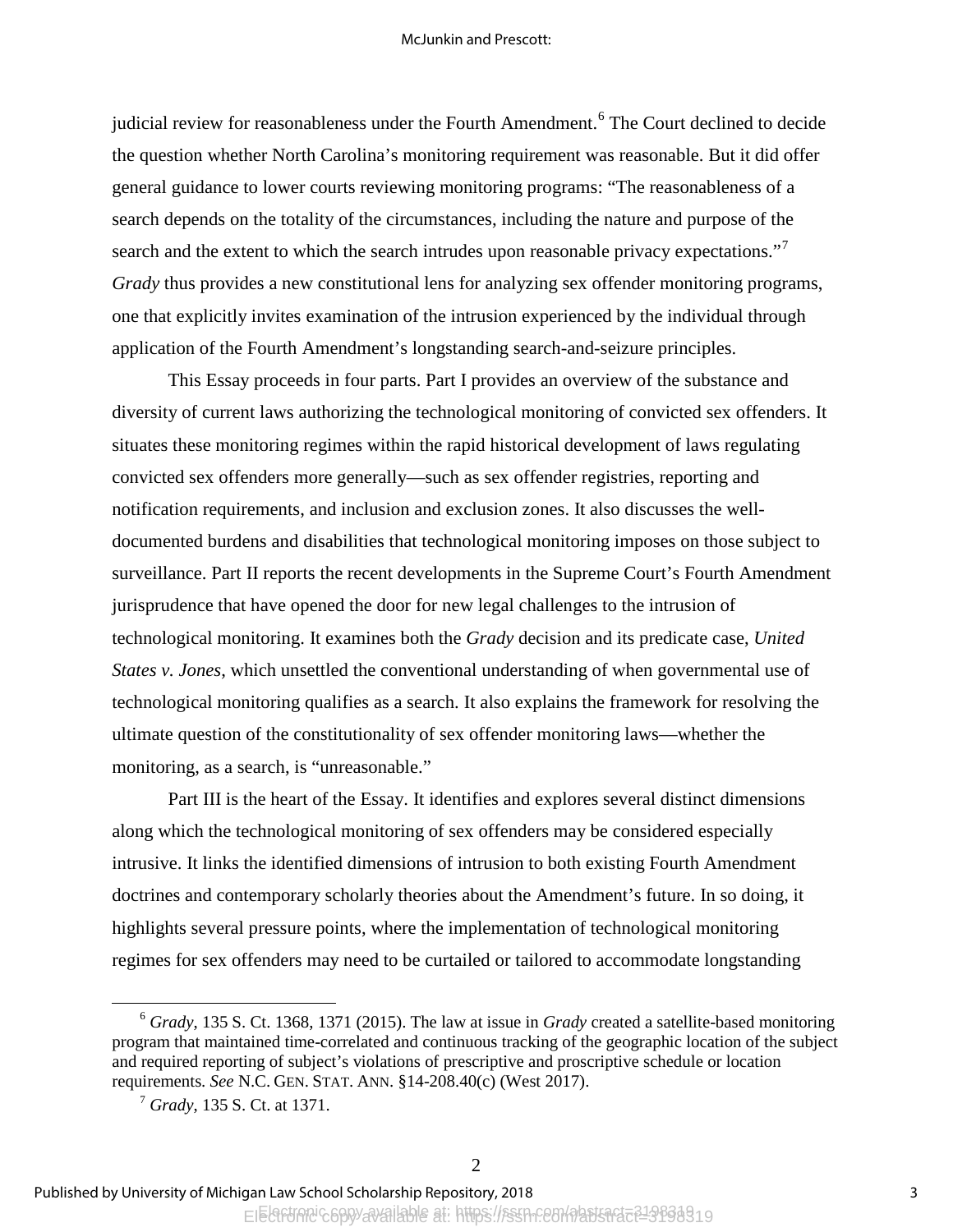#### McJunkin and Prescott:

judicial review for reasonableness under the Fourth Amendment.<sup>[6](#page-3-0)</sup> The Court declined to decide the question whether North Carolina's monitoring requirement was reasonable. But it did offer general guidance to lower courts reviewing monitoring programs: "The reasonableness of a search depends on the totality of the circumstances, including the nature and purpose of the search and the extent to which the search intrudes upon reasonable privacy expectations."<sup>[7](#page-3-1)</sup> *Grady* thus provides a new constitutional lens for analyzing sex offender monitoring programs, one that explicitly invites examination of the intrusion experienced by the individual through application of the Fourth Amendment's longstanding search-and-seizure principles.

This Essay proceeds in four parts. Part I provides an overview of the substance and diversity of current laws authorizing the technological monitoring of convicted sex offenders. It situates these monitoring regimes within the rapid historical development of laws regulating convicted sex offenders more generally—such as sex offender registries, reporting and notification requirements, and inclusion and exclusion zones. It also discusses the welldocumented burdens and disabilities that technological monitoring imposes on those subject to surveillance. Part II reports the recent developments in the Supreme Court's Fourth Amendment jurisprudence that have opened the door for new legal challenges to the intrusion of technological monitoring. It examines both the *Grady* decision and its predicate case, *United States v. Jones*, which unsettled the conventional understanding of when governmental use of technological monitoring qualifies as a search. It also explains the framework for resolving the ultimate question of the constitutionality of sex offender monitoring laws—whether the monitoring, as a search, is "unreasonable."

Part III is the heart of the Essay. It identifies and explores several distinct dimensions along which the technological monitoring of sex offenders may be considered especially intrusive. It links the identified dimensions of intrusion to both existing Fourth Amendment doctrines and contemporary scholarly theories about the Amendment's future. In so doing, it highlights several pressure points, where the implementation of technological monitoring regimes for sex offenders may need to be curtailed or tailored to accommodate longstanding

<span id="page-3-1"></span><span id="page-3-0"></span><sup>6</sup> *Grady*, 135 S. Ct. 1368, 1371 (2015). The law at issue in *Grady* created a satellite-based monitoring program that maintained time-correlated and continuous tracking of the geographic location of the subject and required reporting of subject's violations of prescriptive and proscriptive schedule or location requirements. *See* N.C. GEN. STAT. ANN. §14-208.40(c) (West 2017).

<sup>7</sup> *Grady*, 135 S. Ct. at 1371.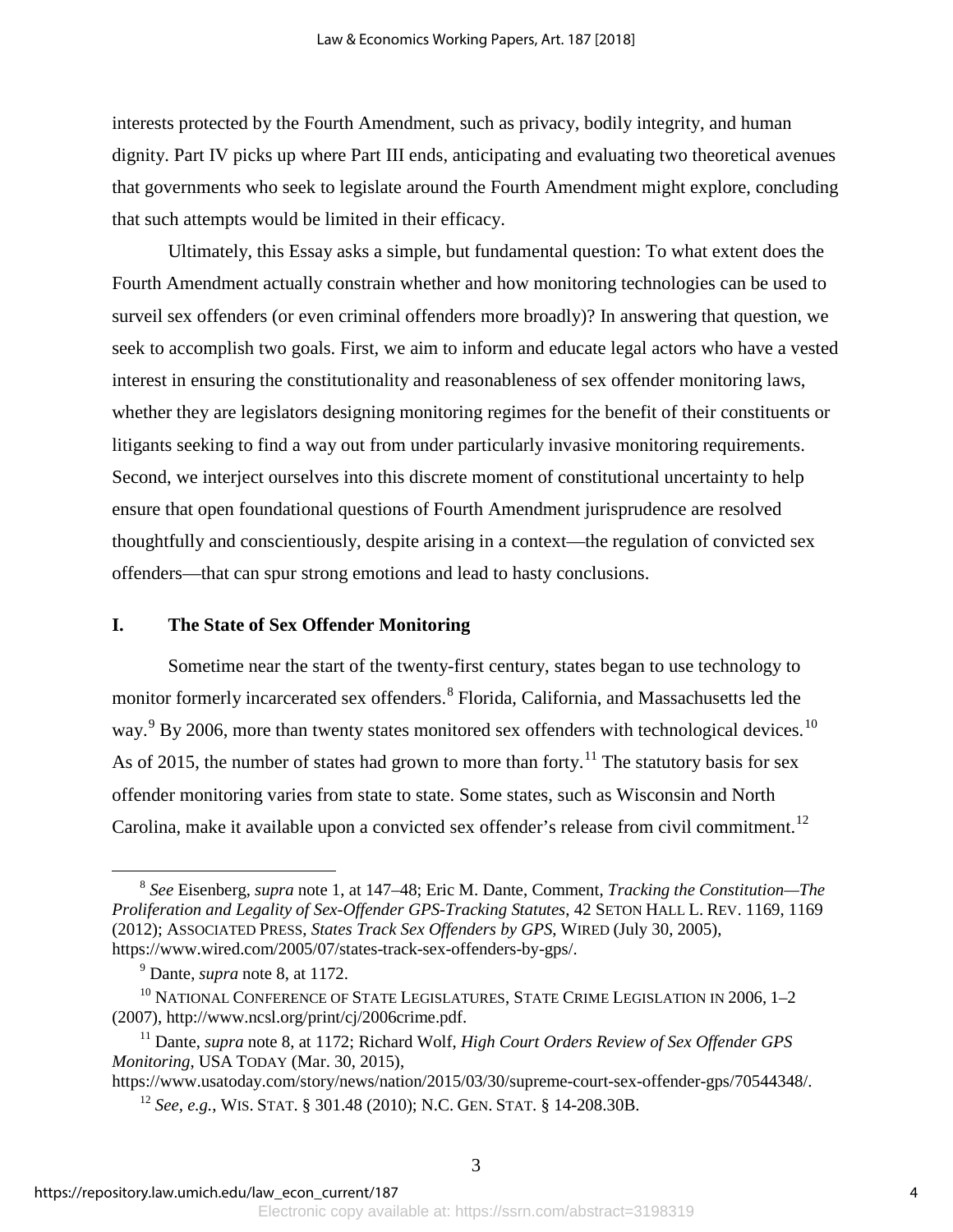interests protected by the Fourth Amendment, such as privacy, bodily integrity, and human dignity. Part IV picks up where Part III ends, anticipating and evaluating two theoretical avenues that governments who seek to legislate around the Fourth Amendment might explore, concluding that such attempts would be limited in their efficacy.

Ultimately, this Essay asks a simple, but fundamental question: To what extent does the Fourth Amendment actually constrain whether and how monitoring technologies can be used to surveil sex offenders (or even criminal offenders more broadly)? In answering that question, we seek to accomplish two goals. First, we aim to inform and educate legal actors who have a vested interest in ensuring the constitutionality and reasonableness of sex offender monitoring laws, whether they are legislators designing monitoring regimes for the benefit of their constituents or litigants seeking to find a way out from under particularly invasive monitoring requirements. Second, we interject ourselves into this discrete moment of constitutional uncertainty to help ensure that open foundational questions of Fourth Amendment jurisprudence are resolved thoughtfully and conscientiously, despite arising in a context—the regulation of convicted sex offenders—that can spur strong emotions and lead to hasty conclusions.

# <span id="page-4-0"></span>**I. The State of Sex Offender Monitoring**

<span id="page-4-1"></span>Sometime near the start of the twenty-first century, states began to use technology to monitor formerly incarcerated sex offenders. <sup>[8](#page-4-2)</sup> Florida, California, and Massachusetts led the way.<sup>[9](#page-4-3)</sup> By 2006, more than twenty states monitored sex offenders with technological devices.<sup>[10](#page-4-4)</sup> As of 2015, the number of states had grown to more than forty.<sup>11</sup> The statutory basis for sex offender monitoring varies from state to state. Some states, such as Wisconsin and North Carolina, make it available upon a convicted sex offender's release from civil commitment.<sup>[12](#page-4-6)</sup>

<span id="page-4-2"></span><sup>8</sup> *See* Eisenberg, *supra* note [1,](#page-2-6) at 147–48; Eric M. Dante, Comment, *Tracking the Constitution—The Proliferation and Legality of Sex-Offender GPS-Tracking Statutes*, 42 SETON HALL L. REV. 1169, 1169 (2012); ASSOCIATED PRESS, *States Track Sex Offenders by GPS*, WIRED (July 30, 2005), https://www.wired.com/2005/07/states-track-sex-offenders-by-gps/.

<sup>9</sup> Dante, *supra* note [8,](#page-4-1) at 1172.

<span id="page-4-4"></span><span id="page-4-3"></span> $^{10}$  NATIONAL CONFERENCE OF STATE LEGISLATURES, STATE CRIME LEGISLATION IN 2006, 1-2 (2007), http://www.ncsl.org/print/cj/2006crime.pdf.

<span id="page-4-5"></span><sup>11</sup> Dante, *supra* note [8,](#page-4-1) at 1172; Richard Wolf, *High Court Orders Review of Sex Offender GPS Monitoring*, USA TODAY (Mar. 30, 2015),

<span id="page-4-6"></span>https://www.usatoday.com/story/news/nation/2015/03/30/supreme-court-sex-offender-gps/70544348/. <sup>12</sup> *See, e.g.*, WIS. STAT. § 301.48 (2010); N.C. GEN. STAT. § 14-208.30B.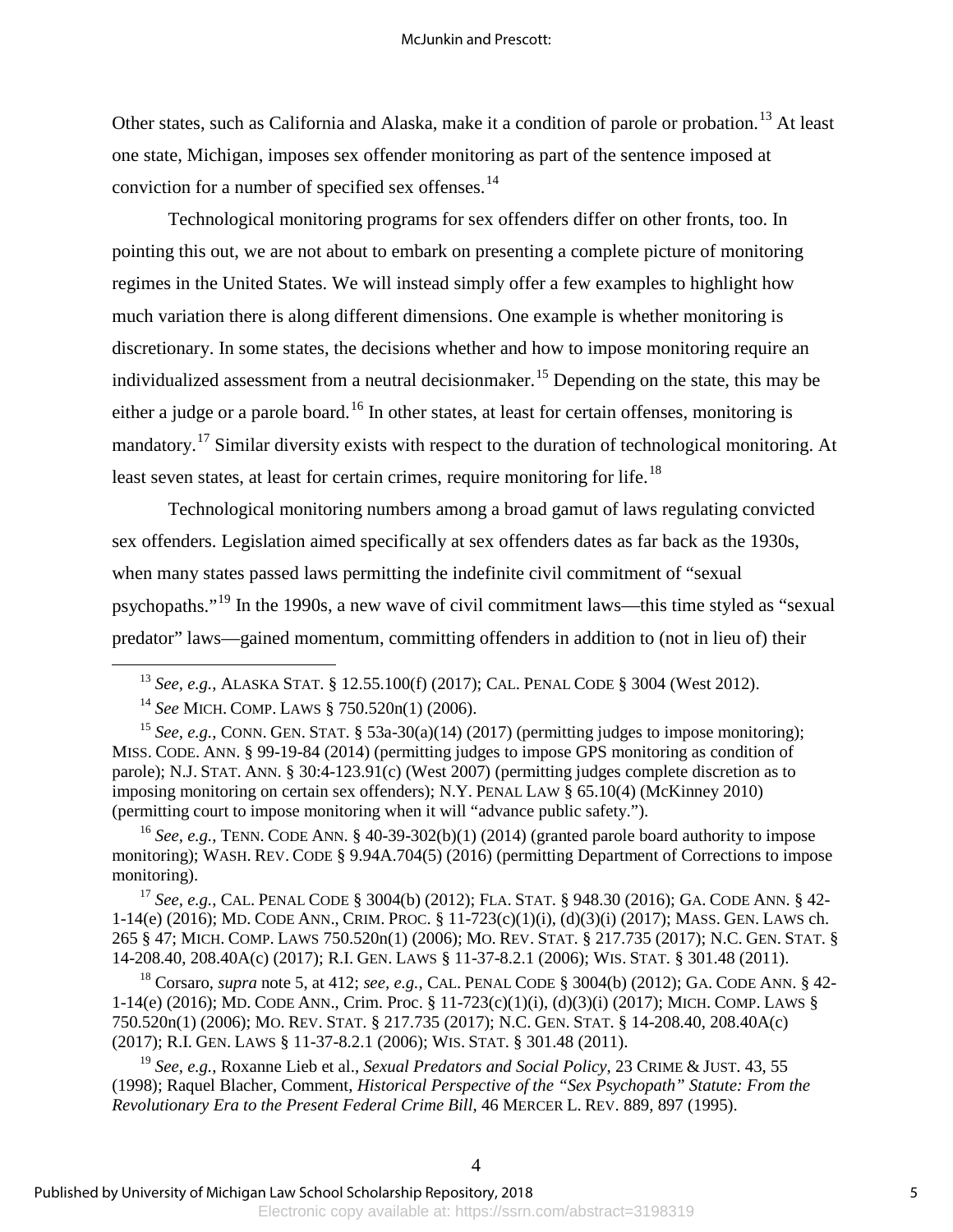Other states, such as California and Alaska, make it a condition of parole or probation.<sup>[13](#page-5-0)</sup> At least one state, Michigan, imposes sex offender monitoring as part of the sentence imposed at conviction for a number of specified sex offenses.<sup>[14](#page-5-1)</sup>

Technological monitoring programs for sex offenders differ on other fronts, too. In pointing this out, we are not about to embark on presenting a complete picture of monitoring regimes in the United States. We will instead simply offer a few examples to highlight how much variation there is along different dimensions. One example is whether monitoring is discretionary. In some states, the decisions whether and how to impose monitoring require an individualized assessment from a neutral decision maker.<sup>15</sup> Depending on the state, this may be either a judge or a parole board.<sup>16</sup> In other states, at least for certain offenses, monitoring is mandatory.<sup>[17](#page-5-4)</sup> Similar diversity exists with respect to the duration of technological monitoring. At least seven states, at least for certain crimes, require monitoring for life.<sup>[18](#page-5-5)</sup>

Technological monitoring numbers among a broad gamut of laws regulating convicted sex offenders. Legislation aimed specifically at sex offenders dates as far back as the 1930s, when many states passed laws permitting the indefinite civil commitment of "sexual" psychopaths."[19](#page-5-6) In the 1990s, a new wave of civil commitment laws—this time styled as "sexual predator" laws—gained momentum, committing offenders in addition to (not in lieu of) their

<span id="page-5-3"></span><sup>16</sup> *See, e.g.*, TENN. CODE ANN. § 40-39-302(b)(1) (2014) (granted parole board authority to impose monitoring); WASH. REV. CODE § 9.94A.704(5) (2016) (permitting Department of Corrections to impose monitoring).

<span id="page-5-4"></span><sup>17</sup> *See, e.g.*, CAL. PENAL CODE § 3004(b) (2012); FLA. STAT. § 948.30 (2016); GA. CODE ANN. § 42- 1-14(e) (2016); MD. CODE ANN., CRIM. PROC. § 11-723(c)(1)(i), (d)(3)(i) (2017); MASS. GEN. LAWS ch. 265 § 47; MICH. COMP. LAWS 750.520n(1) (2006); MO. REV. STAT. § 217.735 (2017); N.C. GEN. STAT. § 14-208.40, 208.40A(c) (2017); R.I. GEN. LAWS § 11-37-8.2.1 (2006); WIS. STAT. § 301.48 (2011).

<span id="page-5-5"></span>18 Corsaro, *supra* note [5,](#page-2-7) at 412; *see, e.g.*, CAL. PENAL CODE § 3004(b) (2012); GA. CODE ANN. § 42- 1-14(e) (2016); MD. CODE ANN., Crim. Proc. § 11-723(c)(1)(i), (d)(3)(i) (2017); MICH. COMP. LAWS § 750.520n(1) (2006); MO. REV. STAT. § 217.735 (2017); N.C. GEN. STAT. § 14-208.40, 208.40A(c) (2017); R.I. GEN. LAWS § 11-37-8.2.1 (2006); WIS. STAT. § 301.48 (2011).

<span id="page-5-6"></span><sup>19</sup> *See, e.g.*, Roxanne Lieb et al., *Sexual Predators and Social Policy*, 23 CRIME & JUST. 43, 55 (1998); Raquel Blacher, Comment, *Historical Perspective of the "Sex Psychopath" Statute: From the Revolutionary Era to the Present Federal Crime Bill*, 46 MERCER L. REV. 889, 897 (1995).

<sup>13</sup> *See, e.g.*, ALASKA STAT. § 12.55.100(f) (2017); CAL. PENAL CODE § 3004 (West 2012).

<sup>14</sup> *See* MICH. COMP. LAWS § 750.520n(1) (2006).

<span id="page-5-2"></span><span id="page-5-1"></span><span id="page-5-0"></span><sup>&</sup>lt;sup>15</sup> *See, e.g.*, CONN. GEN. STAT. § 53a-30(a)(14) (2017) (permitting judges to impose monitoring); MISS. CODE. ANN. § 99-19-84 (2014) (permitting judges to impose GPS monitoring as condition of parole); N.J. STAT. ANN. § 30:4-123.91(c) (West 2007) (permitting judges complete discretion as to imposing monitoring on certain sex offenders); N.Y. PENAL LAW § 65.10(4) (McKinney 2010) (permitting court to impose monitoring when it will "advance public safety.").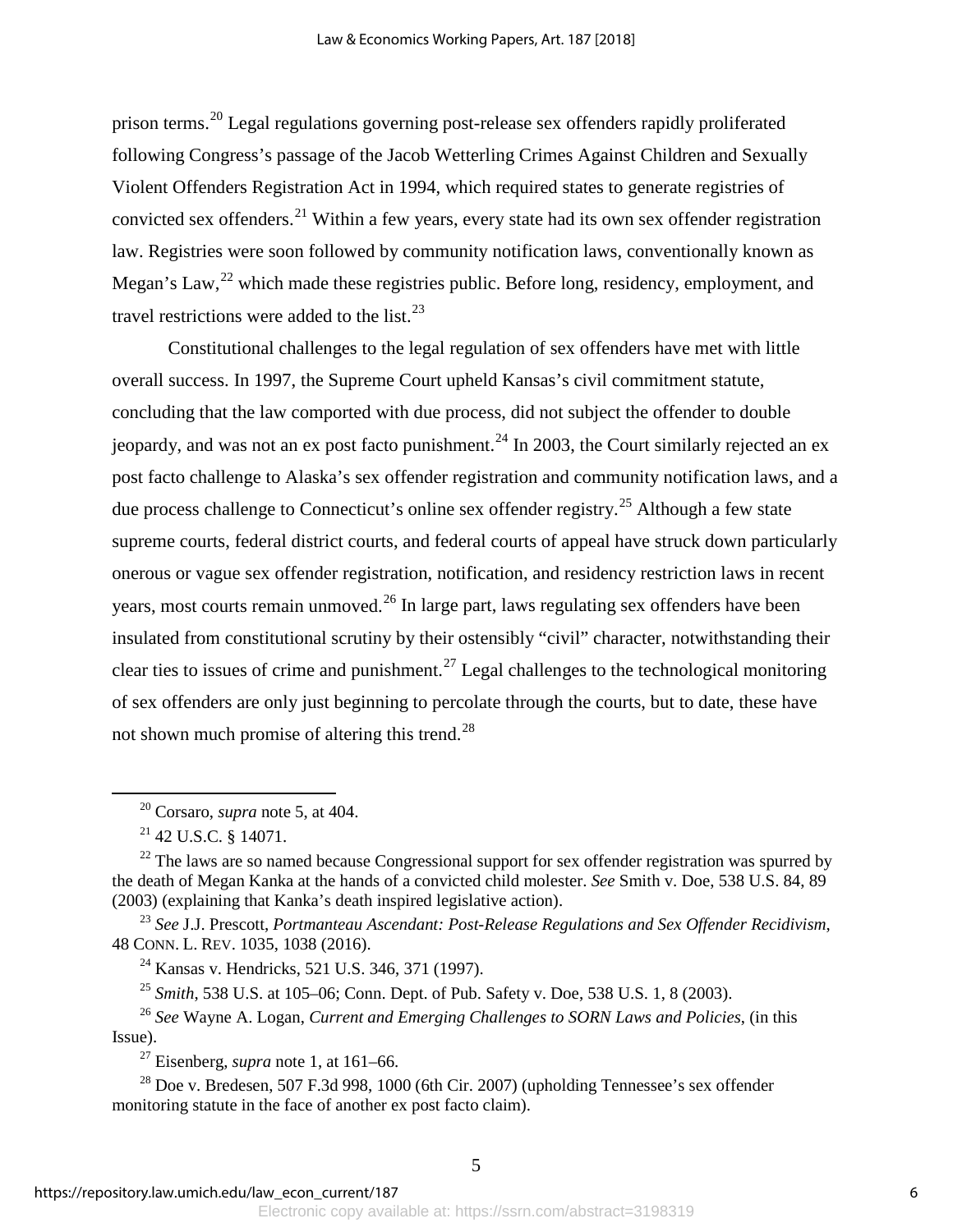prison terms.[20](#page-6-0) Legal regulations governing post-release sex offenders rapidly proliferated following Congress's passage of the Jacob Wetterling Crimes Against Children and Sexually Violent Offenders Registration Act in 1994, which required states to generate registries of convicted sex offenders.[21](#page-6-1) Within a few years, every state had its own sex offender registration law. Registries were soon followed by community notification laws, conventionally known as Megan's Law,  $^{22}$  $^{22}$  $^{22}$  which made these registries public. Before long, residency, employment, and travel restrictions were added to the list.<sup>[23](#page-6-3)</sup>

<span id="page-6-9"></span>Constitutional challenges to the legal regulation of sex offenders have met with little overall success. In 1997, the Supreme Court upheld Kansas's civil commitment statute, concluding that the law comported with due process, did not subject the offender to double jeopardy, and was not an ex post facto punishment.<sup>24</sup> In 2003, the Court similarly rejected an ex post facto challenge to Alaska's sex offender registration and community notification laws, and a due process challenge to Connecticut's online sex offender registry.<sup>[25](#page-6-5)</sup> Although a few state supreme courts, federal district courts, and federal courts of appeal have struck down particularly onerous or vague sex offender registration, notification, and residency restriction laws in recent years, most courts remain unmoved.<sup>[26](#page-6-6)</sup> In large part, laws regulating sex offenders have been insulated from constitutional scrutiny by their ostensibly "civil" character, notwithstanding their clear ties to issues of crime and punishment.<sup>[27](#page-6-7)</sup> Legal challenges to the technological monitoring of sex offenders are only just beginning to percolate through the courts, but to date, these have not shown much promise of altering this trend.[28](#page-6-8)

<span id="page-6-4"></span><span id="page-6-3"></span><sup>23</sup> *See* J.J. Prescott, *Portmanteau Ascendant: Post-Release Regulations and Sex Offender Recidivism*, 48 CONN. L. REV. 1035, 1038 (2016).

24 Kansas v. Hendricks, 521 U.S. 346, 371 (1997).

<sup>25</sup> *Smith*, 538 U.S. at 105–06; Conn. Dept. of Pub. Safety v. Doe, 538 U.S. 1, 8 (2003).

<span id="page-6-6"></span><span id="page-6-5"></span><sup>26</sup> *See* Wayne A. Logan, *Current and Emerging Challenges to SORN Laws and Policies*, (in this Issue).

<sup>27</sup> Eisenberg, *supra* not[e 1,](#page-2-6) at 161–66.

<span id="page-6-8"></span><span id="page-6-7"></span> $^{28}$  Doe v. Bredesen, 507 F.3d 998, 1000 (6th Cir. 2007) (upholding Tennessee's sex offender monitoring statute in the face of another ex post facto claim).

20 Corsaro, *supra* note [5,](#page-2-7) at 404.

 $^{21}$  42 U.S.C. § 14071.

<span id="page-6-2"></span><span id="page-6-1"></span><span id="page-6-0"></span> $^{22}$  The laws are so named because Congressional support for sex offender registration was spurred by the death of Megan Kanka at the hands of a convicted child molester. *See* Smith v. Doe, 538 U.S. 84, 89 (2003) (explaining that Kanka's death inspired legislative action).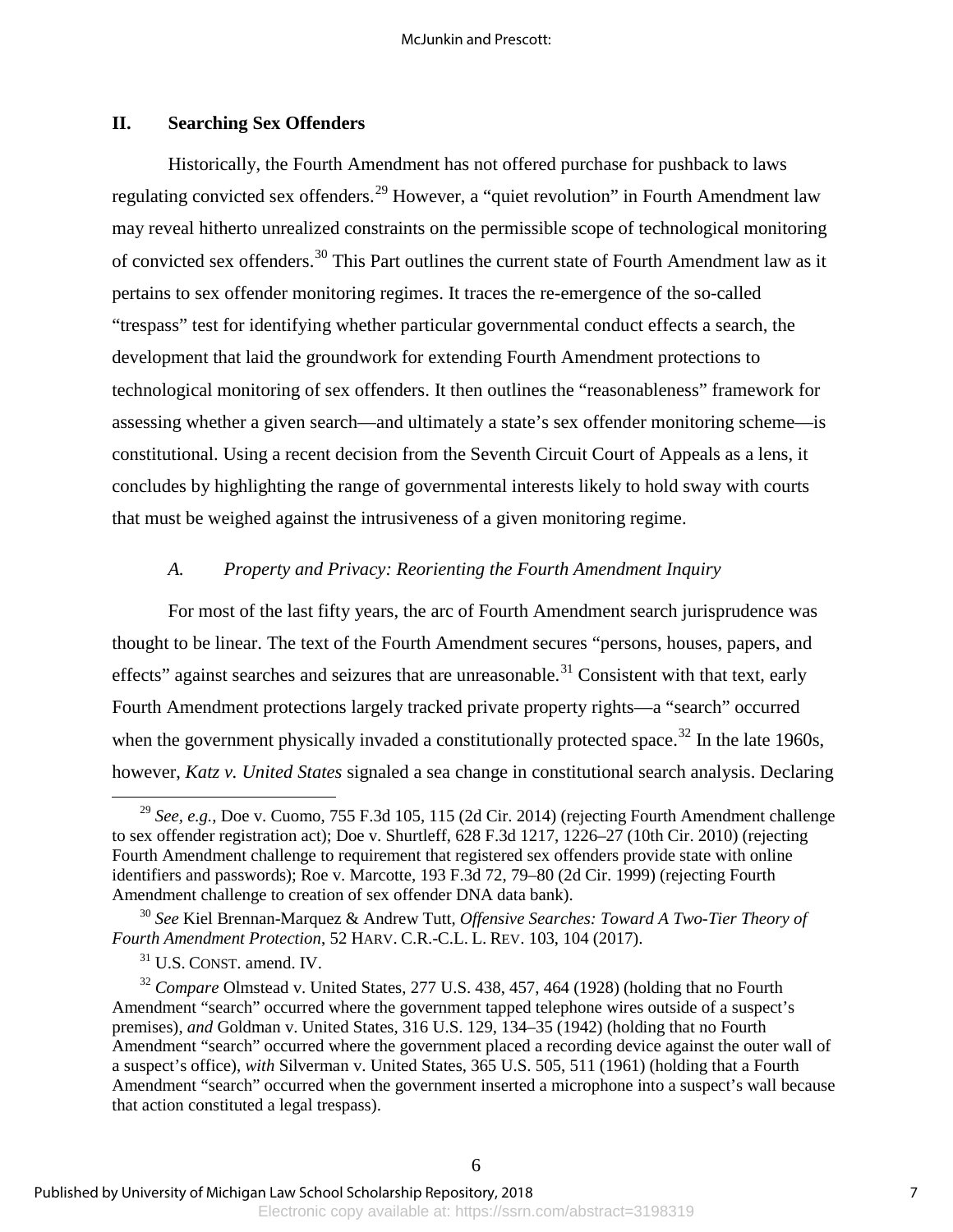# <span id="page-7-0"></span>**II. Searching Sex Offenders**

Historically, the Fourth Amendment has not offered purchase for pushback to laws regulating convicted sex offenders.<sup>[29](#page-7-2)</sup> However, a "quiet revolution" in Fourth Amendment law may reveal hitherto unrealized constraints on the permissible scope of technological monitoring of convicted sex offenders.[30](#page-7-3) This Part outlines the current state of Fourth Amendment law as it pertains to sex offender monitoring regimes. It traces the re-emergence of the so-called "trespass" test for identifying whether particular governmental conduct effects a search, the development that laid the groundwork for extending Fourth Amendment protections to technological monitoring of sex offenders. It then outlines the "reasonableness" framework for assessing whether a given search—and ultimately a state's sex offender monitoring scheme—is constitutional. Using a recent decision from the Seventh Circuit Court of Appeals as a lens, it concludes by highlighting the range of governmental interests likely to hold sway with courts that must be weighed against the intrusiveness of a given monitoring regime.

# *A. Property and Privacy: Reorienting the Fourth Amendment Inquiry*

<span id="page-7-1"></span>For most of the last fifty years, the arc of Fourth Amendment search jurisprudence was thought to be linear. The text of the Fourth Amendment secures "persons, houses, papers, and effects" against searches and seizures that are unreasonable.<sup>[31](#page-7-4)</sup> Consistent with that text, early Fourth Amendment protections largely tracked private property rights—a "search" occurred when the government physically invaded a constitutionally protected space.<sup>[32](#page-7-5)</sup> In the late 1960s, however, *Katz v. United States* signaled a sea change in constitutional search analysis. Declaring

<span id="page-7-3"></span><sup>30</sup> *See* Kiel Brennan-Marquez & Andrew Tutt, *Offensive Searches: Toward A Two-Tier Theory of Fourth Amendment Protection*, 52 HARV. C.R.-C.L. L. REV. 103, 104 (2017).

<span id="page-7-2"></span><sup>29</sup> *See, e.g.*, Doe v. Cuomo, 755 F.3d 105, 115 (2d Cir. 2014) (rejecting Fourth Amendment challenge to sex offender registration act); Doe v. Shurtleff, 628 F.3d 1217, 1226–27 (10th Cir. 2010) (rejecting Fourth Amendment challenge to requirement that registered sex offenders provide state with online identifiers and passwords); Roe v. Marcotte, 193 F.3d 72, 79–80 (2d Cir. 1999) (rejecting Fourth Amendment challenge to creation of sex offender DNA data bank).

<sup>&</sup>lt;sup>31</sup> U.S. CONST. amend. IV.

<span id="page-7-5"></span><span id="page-7-4"></span><sup>&</sup>lt;sup>32</sup> Compare Olmstead v. United States, 277 U.S. 438, 457, 464 (1928) (holding that no Fourth Amendment "search" occurred where the government tapped telephone wires outside of a suspect's premises), *and* Goldman v. United States, 316 U.S. 129, 134–35 (1942) (holding that no Fourth Amendment "search" occurred where the government placed a recording device against the outer wall of a suspect's office), *with* Silverman v. United States, 365 U.S. 505, 511 (1961) (holding that a Fourth Amendment "search" occurred when the government inserted a microphone into a suspect's wall because that action constituted a legal trespass).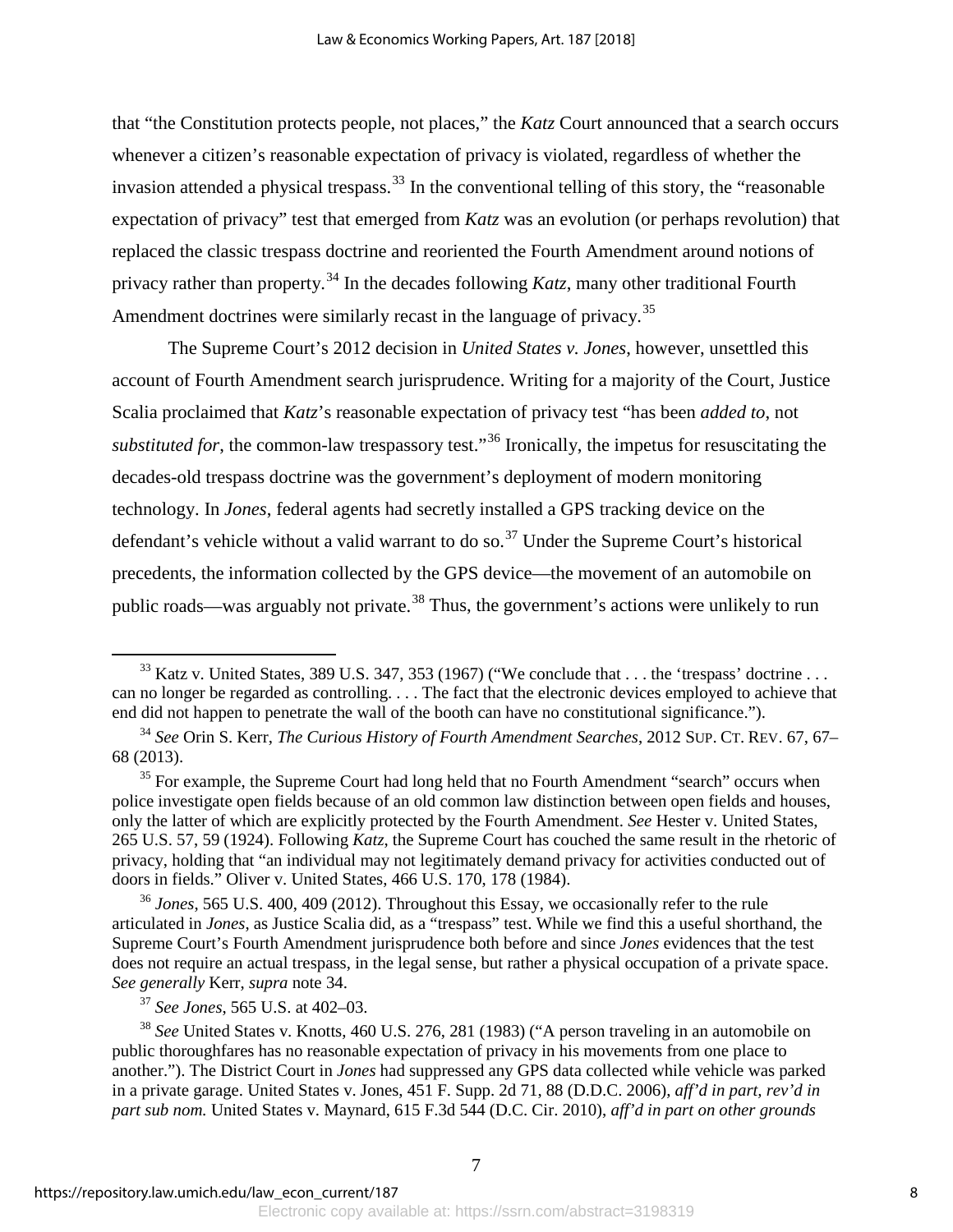that "the Constitution protects people, not places," the *Katz* Court announced that a search occurs whenever a citizen's reasonable expectation of privacy is violated, regardless of whether the invasion attended a physical trespass.<sup>[33](#page-8-0)</sup> In the conventional telling of this story, the "reasonable" expectation of privacy" test that emerged from *Katz* was an evolution (or perhaps revolution) that replaced the classic trespass doctrine and reoriented the Fourth Amendment around notions of privacy rather than property.[34](#page-8-1) In the decades following *Katz*, many other traditional Fourth Amendment doctrines were similarly recast in the language of privacy.<sup>[35](#page-8-2)</sup>

The Supreme Court's 2012 decision in *United States v. Jones*, however, unsettled this account of Fourth Amendment search jurisprudence. Writing for a majority of the Court, Justice Scalia proclaimed that *Katz*'s reasonable expectation of privacy test "has been *added to*, not *substituted for*, the common-law trespassory test.<sup>[36](#page-8-3)</sup> Ironically, the impetus for resuscitating the decades-old trespass doctrine was the government's deployment of modern monitoring technology. In *Jones*, federal agents had secretly installed a GPS tracking device on the defendant's vehicle without a valid warrant to do so.<sup>37</sup> Under the Supreme Court's historical precedents, the information collected by the GPS device—the movement of an automobile on public roads—was arguably not private.<sup>[38](#page-8-5)</sup> Thus, the government's actions were unlikely to run

<span id="page-8-0"></span> $33$  Katz v. United States, 389 U.S. 347, 353 (1967) ("We conclude that . . . the 'trespass' doctrine . . . can no longer be regarded as controlling. . . . The fact that the electronic devices employed to achieve that end did not happen to penetrate the wall of the booth can have no constitutional significance.").

<span id="page-8-1"></span><sup>34</sup> *See* Orin S. Kerr, *The Curious History of Fourth Amendment Searches*, 2012 SUP. CT. REV. 67, 67– 68 (2013).

<span id="page-8-2"></span> $35$  For example, the Supreme Court had long held that no Fourth Amendment "search" occurs when police investigate open fields because of an old common law distinction between open fields and houses, only the latter of which are explicitly protected by the Fourth Amendment. *See* Hester v. United States, 265 U.S. 57, 59 (1924). Following *Katz*, the Supreme Court has couched the same result in the rhetoric of privacy, holding that "an individual may not legitimately demand privacy for activities conducted out of doors in fields." Oliver v. United States, 466 U.S. 170, 178 (1984).

<span id="page-8-3"></span><sup>36</sup> *Jones*, 565 U.S. 400, 409 (2012). Throughout this Essay, we occasionally refer to the rule articulated in *Jones*, as Justice Scalia did, as a "trespass" test. While we find this a useful shorthand, the Supreme Court's Fourth Amendment jurisprudence both before and since *Jones* evidences that the test does not require an actual trespass, in the legal sense, but rather a physical occupation of a private space. *See generally* Kerr, *supra* note 34.

<sup>37</sup> *See Jones*, 565 U.S. at 402–03.

<span id="page-8-5"></span><span id="page-8-4"></span><sup>38</sup> *See* United States v. Knotts, 460 U.S. 276, 281 (1983) ("A person traveling in an automobile on public thoroughfares has no reasonable expectation of privacy in his movements from one place to another."). The District Court in *Jones* had suppressed any GPS data collected while vehicle was parked in a private garage. United States v. Jones, 451 F. Supp. 2d 71, 88 (D.D.C. 2006), *aff'd in part, rev'd in part sub nom.* United States v. Maynard, 615 F.3d 544 (D.C. Cir. 2010), *aff'd in part on other grounds*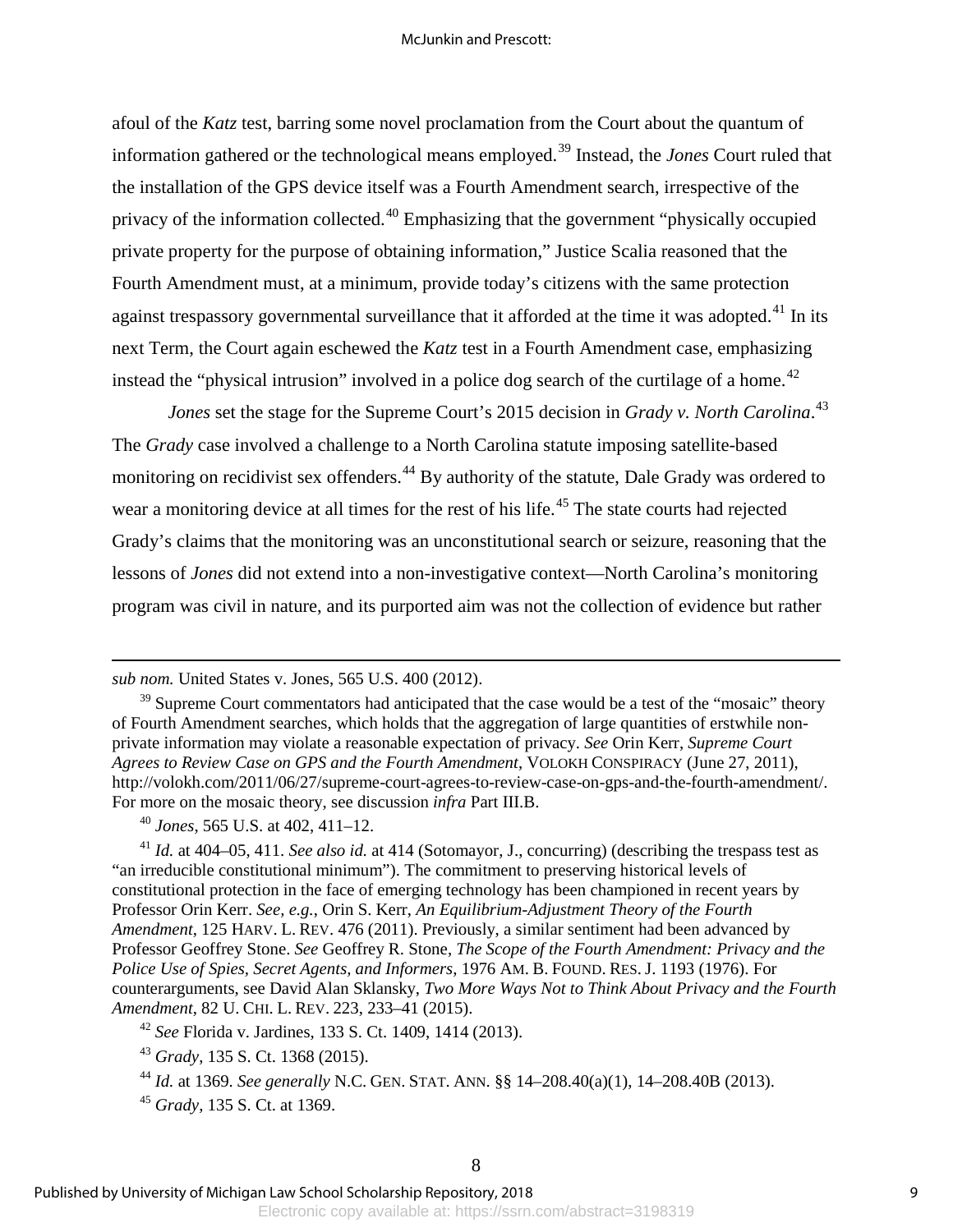#### McJunkin and Prescott:

afoul of the *Katz* test, barring some novel proclamation from the Court about the quantum of information gathered or the technological means employed.[39](#page-9-0) Instead, the *Jones* Court ruled that the installation of the GPS device itself was a Fourth Amendment search, irrespective of the privacy of the information collected.[40](#page-9-1) Emphasizing that the government "physically occupied private property for the purpose of obtaining information," Justice Scalia reasoned that the Fourth Amendment must, at a minimum, provide today's citizens with the same protection against trespassory governmental surveillance that it afforded at the time it was adopted.<sup>[41](#page-9-2)</sup> In its next Term, the Court again eschewed the *Katz* test in a Fourth Amendment case, emphasizing instead the "physical intrusion" involved in a police dog search of the curtilage of a home.<sup>[42](#page-9-3)</sup>

*Jones* set the stage for the Supreme Court's 2015 decision in *Grady v. North Carolina*. [43](#page-9-4) The *Grady* case involved a challenge to a North Carolina statute imposing satellite-based monitoring on recidivist sex offenders.<sup>[44](#page-9-5)</sup> By authority of the statute, Dale Grady was ordered to wear a monitoring device at all times for the rest of his life.<sup>45</sup> The state courts had rejected Grady's claims that the monitoring was an unconstitutional search or seizure, reasoning that the lessons of *Jones* did not extend into a non-investigative context—North Carolina's monitoring program was civil in nature, and its purported aim was not the collection of evidence but rather

 $\overline{a}$ 

<span id="page-9-3"></span><sup>42</sup> *See* Florida v. Jardines, 133 S. Ct. 1409, 1414 (2013).

<span id="page-9-5"></span><sup>44</sup> *Id.* at 1369. *See generally* N.C. GEN. STAT. ANN. §§ 14–208.40(a)(1), 14–208.40B (2013).

*sub nom.* United States v. Jones, 565 U.S. 400 (2012).

<span id="page-9-0"></span><sup>&</sup>lt;sup>39</sup> Supreme Court commentators had anticipated that the case would be a test of the "mosaic" theory of Fourth Amendment searches, which holds that the aggregation of large quantities of erstwhile nonprivate information may violate a reasonable expectation of privacy. *See* Orin Kerr, *Supreme Court Agrees to Review Case on GPS and the Fourth Amendment*, VOLOKH CONSPIRACY (June 27, 2011), http://volokh.com/2011/06/27/supreme-court-agrees-to-review-case-on-gps-and-the-fourth-amendment/. For more on the mosaic theory, see discussion *infra* Part III.B. 40 *Jones*, 565 U.S. at 402, 411–12.

<span id="page-9-2"></span><span id="page-9-1"></span><sup>41</sup> *Id.* at 404–05, 411. *See also id.* at 414 (Sotomayor, J., concurring) (describing the trespass test as "an irreducible constitutional minimum"). The commitment to preserving historical levels of constitutional protection in the face of emerging technology has been championed in recent years by Professor Orin Kerr. *See, e.g.*, Orin S. Kerr, *An Equilibrium-Adjustment Theory of the Fourth Amendment*, 125 HARV. L. REV. 476 (2011). Previously, a similar sentiment had been advanced by Professor Geoffrey Stone. *See* Geoffrey R. Stone, *The Scope of the Fourth Amendment: Privacy and the Police Use of Spies, Secret Agents, and Informers*, 1976 AM. B. FOUND. RES. J. 1193 (1976). For counterarguments, see David Alan Sklansky, *Two More Ways Not to Think About Privacy and the Fourth Amendment*, 82 U. CHI. L. REV. 223, 233–41 (2015).

<span id="page-9-4"></span><sup>43</sup> *Grady*, 135 S. Ct. 1368 (2015).

<span id="page-9-6"></span><sup>45</sup> *Grady*, 135 S. Ct. at 1369.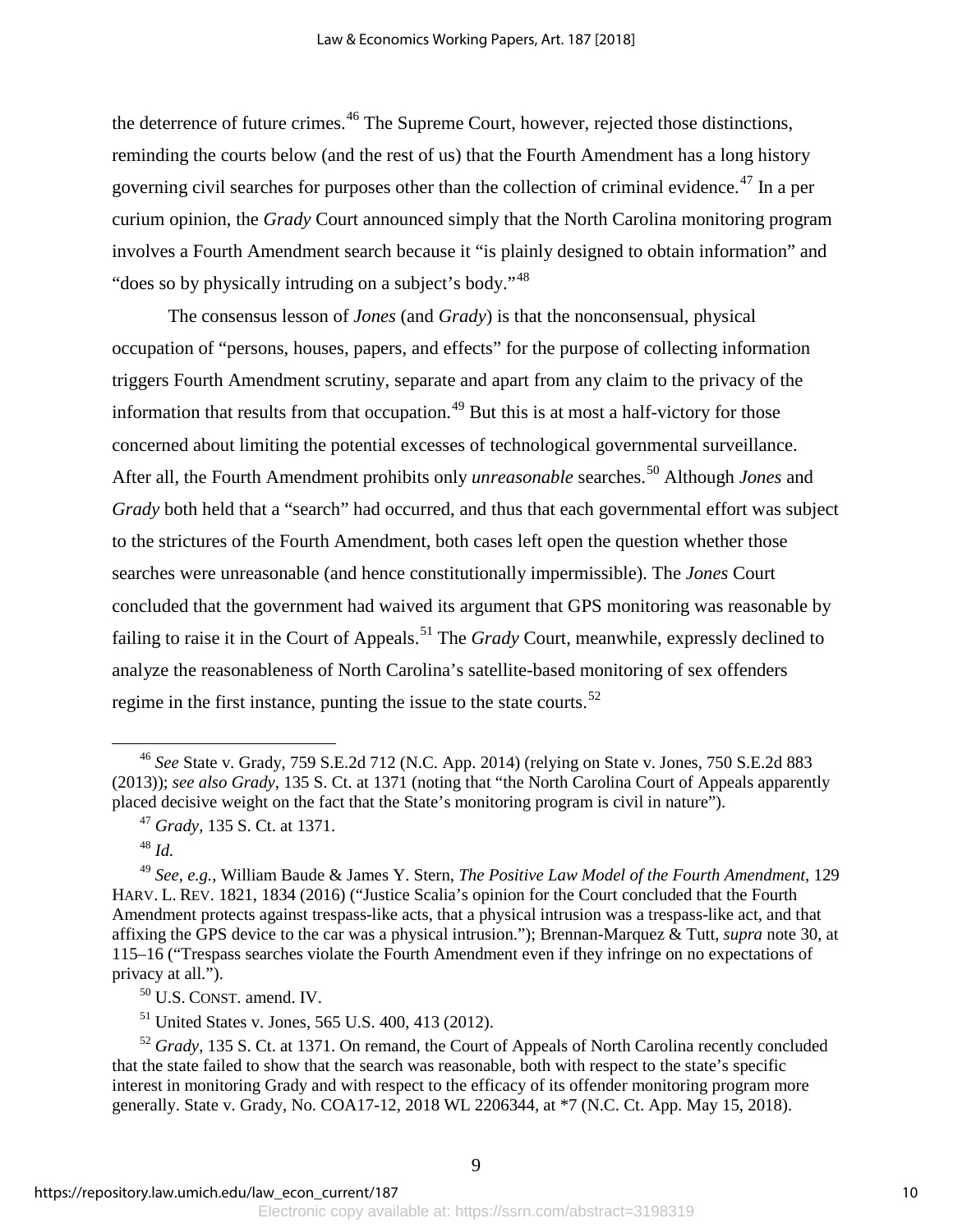the deterrence of future crimes.<sup>46</sup> The Supreme Court, however, rejected those distinctions, reminding the courts below (and the rest of us) that the Fourth Amendment has a long history governing civil searches for purposes other than the collection of criminal evidence.<sup>[47](#page-10-1)</sup> In a per curium opinion, the *Grady* Court announced simply that the North Carolina monitoring program involves a Fourth Amendment search because it "is plainly designed to obtain information" and "does so by physically intruding on a subject's body."<sup>[48](#page-10-2)</sup>

The consensus lesson of *Jones* (and *Grady*) is that the nonconsensual, physical occupation of "persons, houses, papers, and effects" for the purpose of collecting information triggers Fourth Amendment scrutiny, separate and apart from any claim to the privacy of the information that results from that occupation.<sup>[49](#page-10-3)</sup> But this is at most a half-victory for those concerned about limiting the potential excesses of technological governmental surveillance. After all, the Fourth Amendment prohibits only *unreasonable* searches.<sup>[50](#page-10-4)</sup> Although *Jones* and *Grady* both held that a "search" had occurred, and thus that each governmental effort was subject to the strictures of the Fourth Amendment, both cases left open the question whether those searches were unreasonable (and hence constitutionally impermissible). The *Jones* Court concluded that the government had waived its argument that GPS monitoring was reasonable by failing to raise it in the Court of Appeals.<sup>[51](#page-10-5)</sup> The *Grady* Court, meanwhile, expressly declined to analyze the reasonableness of North Carolina's satellite-based monitoring of sex offenders regime in the first instance, punting the issue to the state courts.<sup>[52](#page-10-6)</sup>

<span id="page-10-0"></span><sup>46</sup> *See* State v. Grady, 759 S.E.2d 712 (N.C. App. 2014) (relying on State v. Jones, 750 S.E.2d 883 (2013)); *see also Grady*, 135 S. Ct. at 1371 (noting that "the North Carolina Court of Appeals apparently placed decisive weight on the fact that the State's monitoring program is civil in nature").

<sup>47</sup> *Grady*, 135 S. Ct. at 1371.

<span id="page-10-3"></span><span id="page-10-2"></span><span id="page-10-1"></span><sup>48</sup> *Id.* 49 *See, e.g.*, William Baude & James Y. Stern, *The Positive Law Model of the Fourth Amendment*, 129 HARV. L. REV. 1821, 1834 (2016) ("Justice Scalia's opinion for the Court concluded that the Fourth Amendment protects against trespass-like acts, that a physical intrusion was a trespass-like act, and that affixing the GPS device to the car was a physical intrusion."); Brennan-Marquez & Tutt, *supra* note 30, at 115–16 ("Trespass searches violate the Fourth Amendment even if they infringe on no expectations of privacy at all.").

<sup>50</sup> U.S. CONST. amend. IV.

<sup>51</sup> United States v. Jones, 565 U.S. 400, 413 (2012).

<span id="page-10-6"></span><span id="page-10-5"></span><span id="page-10-4"></span><sup>&</sup>lt;sup>52</sup> *Grady*, 135 S, Ct. at 1371. On remand, the Court of Appeals of North Carolina recently concluded that the state failed to show that the search was reasonable, both with respect to the state's specific interest in monitoring Grady and with respect to the efficacy of its offender monitoring program more generally. State v. Grady, No. COA17-12, 2018 WL 2206344, at \*7 (N.C. Ct. App. May 15, 2018).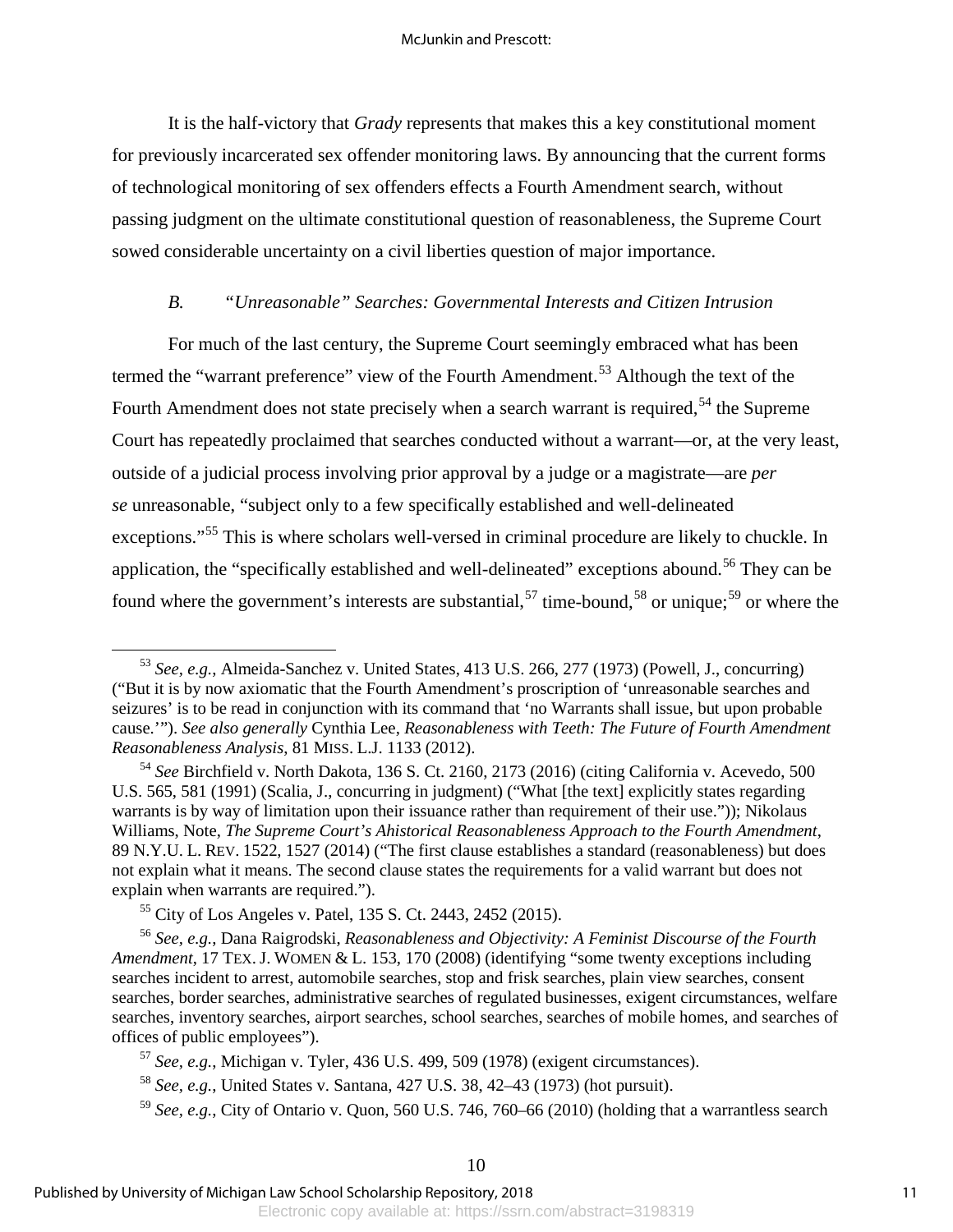#### McJunkin and Prescott:

It is the half-victory that *Grady* represents that makes this a key constitutional moment for previously incarcerated sex offender monitoring laws. By announcing that the current forms of technological monitoring of sex offenders effects a Fourth Amendment search, without passing judgment on the ultimate constitutional question of reasonableness, the Supreme Court sowed considerable uncertainty on a civil liberties question of major importance.

# *B. "Unreasonable" Searches: Governmental Interests and Citizen Intrusion*

<span id="page-11-0"></span>For much of the last century, the Supreme Court seemingly embraced what has been termed the "warrant preference" view of the Fourth Amendment.<sup>[53](#page-11-1)</sup> Although the text of the Fourth Amendment does not state precisely when a search warrant is required,<sup>[54](#page-11-2)</sup> the Supreme Court has repeatedly proclaimed that searches conducted without a warrant—or, at the very least, outside of a judicial process involving prior approval by a judge or a magistrate—are *per se* unreasonable, "subject only to a few specifically established and well-delineated exceptions."<sup>[55](#page-11-3)</sup> This is where scholars well-versed in criminal procedure are likely to chuckle. In application, the "specifically established and well-delineated" exceptions abound.<sup>56</sup> They can be found where the government's interests are substantial,<sup>[57](#page-11-5)</sup> time-bound,<sup>58</sup> or unique;<sup>[59](#page-11-7)</sup> or where the

<span id="page-11-1"></span><sup>53</sup> *See, e.g.*, Almeida-Sanchez v. United States, 413 U.S. 266, 277 (1973) (Powell, J., concurring) ("But it is by now axiomatic that the Fourth Amendment's proscription of 'unreasonable searches and seizures' is to be read in conjunction with its command that 'no Warrants shall issue, but upon probable cause.'"). *See also generally* Cynthia Lee, *Reasonableness with Teeth: The Future of Fourth Amendment Reasonableness Analysis*, 81 MISS. L.J. 1133 (2012).

<span id="page-11-2"></span><sup>54</sup> *See* Birchfield v. North Dakota, 136 S. Ct. 2160, 2173 (2016) (citing California v. Acevedo, 500 U.S. 565, 581 (1991) (Scalia, J., concurring in judgment) ("What [the text] explicitly states regarding warrants is by way of limitation upon their issuance rather than requirement of their use.")); Nikolaus Williams, Note, *The Supreme Court's Ahistorical Reasonableness Approach to the Fourth Amendment*, 89 N.Y.U. L. REV. 1522, 1527 (2014) ("The first clause establishes a standard (reasonableness) but does not explain what it means. The second clause states the requirements for a valid warrant but does not explain when warrants are required.").

<sup>55</sup> City of Los Angeles v. Patel, 135 S. Ct. 2443, 2452 (2015).

<span id="page-11-4"></span><span id="page-11-3"></span><sup>56</sup> *See, e.g.*, Dana Raigrodski, *Reasonableness and Objectivity: A Feminist Discourse of the Fourth Amendment*, 17 TEX. J. WOMEN & L. 153, 170 (2008) (identifying "some twenty exceptions including searches incident to arrest, automobile searches, stop and frisk searches, plain view searches, consent searches, border searches, administrative searches of regulated businesses, exigent circumstances, welfare searches, inventory searches, airport searches, school searches, searches of mobile homes, and searches of offices of public employees").

<span id="page-11-5"></span><sup>57</sup> *See, e.g.*, Michigan v. Tyler, 436 U.S. 499, 509 (1978) (exigent circumstances).

<span id="page-11-6"></span><sup>58</sup> *See, e.g.*, United States v. Santana, 427 U.S. 38, 42–43 (1973) (hot pursuit).

<span id="page-11-7"></span><sup>59</sup> *See, e.g.*, City of Ontario v. Quon, 560 U.S. 746, 760–66 (2010) (holding that a warrantless search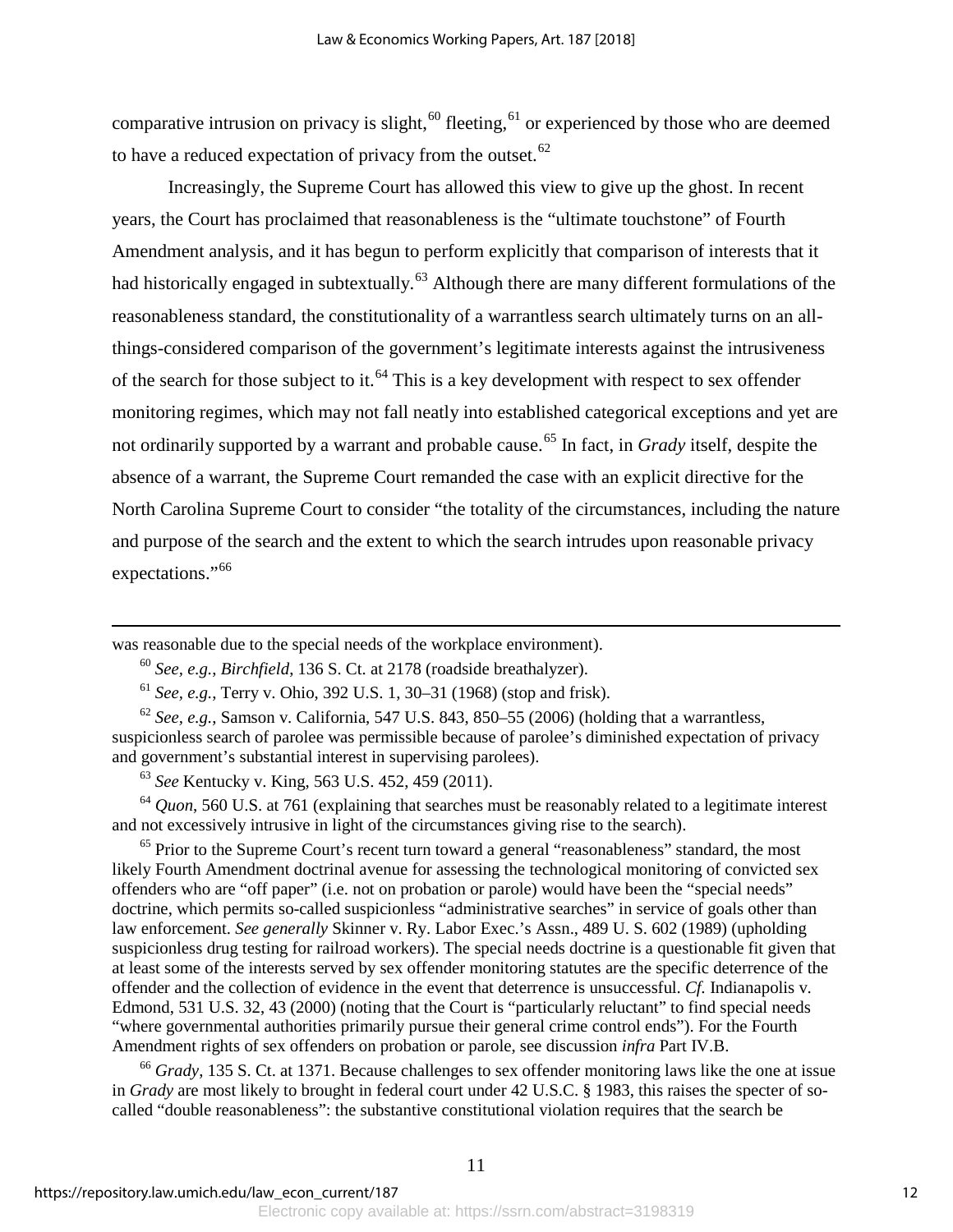comparative intrusion on privacy is slight,  $60$  fleeting,  $61$  or experienced by those who are deemed to have a reduced expectation of privacy from the outset.<sup>[62](#page-12-2)</sup>

Increasingly, the Supreme Court has allowed this view to give up the ghost. In recent years, the Court has proclaimed that reasonableness is the "ultimate touchstone" of Fourth Amendment analysis, and it has begun to perform explicitly that comparison of interests that it had historically engaged in subtextually.<sup>[63](#page-12-3)</sup> Although there are many different formulations of the reasonableness standard, the constitutionality of a warrantless search ultimately turns on an allthings-considered comparison of the government's legitimate interests against the intrusiveness of the search for those subject to it.<sup>[64](#page-12-4)</sup> This is a key development with respect to sex offender monitoring regimes, which may not fall neatly into established categorical exceptions and yet are not ordinarily supported by a warrant and probable cause.<sup>65</sup> In fact, in *Grady* itself, despite the absence of a warrant, the Supreme Court remanded the case with an explicit directive for the North Carolina Supreme Court to consider "the totality of the circumstances, including the nature and purpose of the search and the extent to which the search intrudes upon reasonable privacy expectations."<sup>[66](#page-12-6)</sup>

<span id="page-12-0"></span>was reasonable due to the special needs of the workplace environment).

<sup>60</sup> *See, e.g.*, *Birchfield*, 136 S. Ct. at 2178 (roadside breathalyzer).

<sup>61</sup> *See, e.g.*, Terry v. Ohio, 392 U.S. 1, 30–31 (1968) (stop and frisk).

<span id="page-12-2"></span><span id="page-12-1"></span> $62$  *See, e.g.*, Samson v. California, 547 U.S. 843, 850–55 (2006) (holding that a warrantless, suspicionless search of parolee was permissible because of parolee's diminished expectation of privacy and government's substantial interest in supervising parolees).

<sup>63</sup> *See* Kentucky v. King, 563 U.S. 452, 459 (2011).

<span id="page-12-4"></span><span id="page-12-3"></span><sup>64</sup> *Quon*, 560 U.S. at 761 (explaining that searches must be reasonably related to a legitimate interest and not excessively intrusive in light of the circumstances giving rise to the search).

<span id="page-12-5"></span> $65$  Prior to the Supreme Court's recent turn toward a general "reasonableness" standard, the most likely Fourth Amendment doctrinal avenue for assessing the technological monitoring of convicted sex offenders who are "off paper" (i.e. not on probation or parole) would have been the "special needs" doctrine, which permits so-called suspicionless "administrative searches" in service of goals other than law enforcement. *See generally* Skinner v. Ry. Labor Exec.'s Assn., 489 U. S. 602 (1989) (upholding suspicionless drug testing for railroad workers). The special needs doctrine is a questionable fit given that at least some of the interests served by sex offender monitoring statutes are the specific deterrence of the offender and the collection of evidence in the event that deterrence is unsuccessful. *Cf.* Indianapolis v. Edmond, 531 U.S. 32, 43 (2000) (noting that the Court is "particularly reluctant" to find special needs "where governmental authorities primarily pursue their general crime control ends"). For the Fourth<br>Amendment rights of sex offenders on probation or parole, see discussion *infra* Part IV.B.

<span id="page-12-6"></span><sup>66</sup> Grady, 135 S. Ct. at 1371. Because challenges to sex offender monitoring laws like the one at issue in *Grady* are most likely to brought in federal court under 42 U.S.C. § 1983, this raises the specter of socalled "double reasonableness": the substantive constitutional violation requires that the search be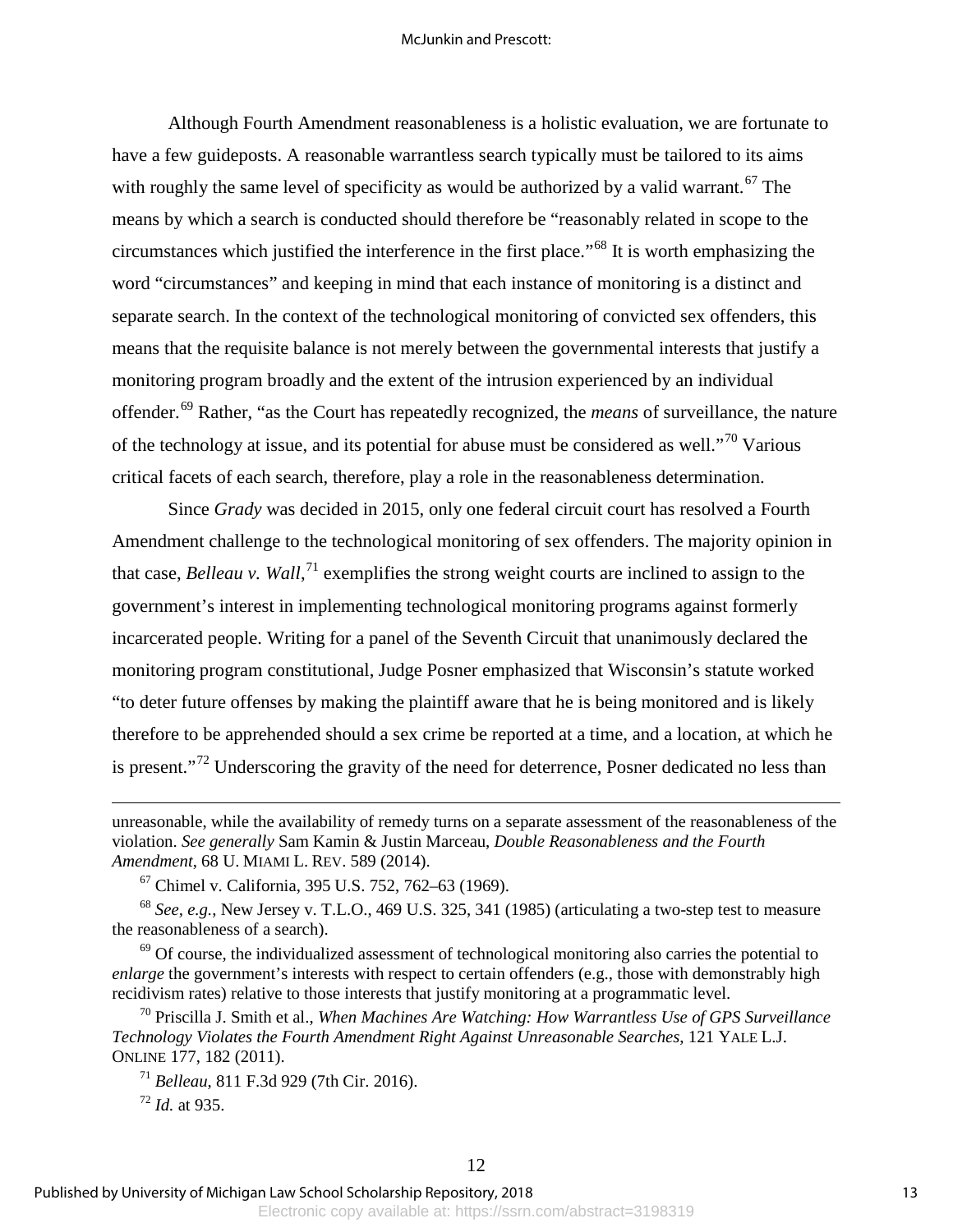#### McJunkin and Prescott:

Although Fourth Amendment reasonableness is a holistic evaluation, we are fortunate to have a few guideposts. A reasonable warrantless search typically must be tailored to its aims with roughly the same level of specificity as would be authorized by a valid warrant.<sup>[67](#page-13-0)</sup> The means by which a search is conducted should therefore be "reasonably related in scope to the circumstances which justified the interference in the first place."[68](#page-13-1) It is worth emphasizing the word "circumstances" and keeping in mind that each instance of monitoring is a distinct and separate search. In the context of the technological monitoring of convicted sex offenders, this means that the requisite balance is not merely between the governmental interests that justify a monitoring program broadly and the extent of the intrusion experienced by an individual offender.[69](#page-13-2) Rather, "as the Court has repeatedly recognized, the *means* of surveillance, the nature of the technology at issue, and its potential for abuse must be considered as well."<sup>[70](#page-13-3)</sup> Various critical facets of each search, therefore, play a role in the reasonableness determination.

Since *Grady* was decided in 2015, only one federal circuit court has resolved a Fourth Amendment challenge to the technological monitoring of sex offenders. The majority opinion in that case, *Belleau v. Wall*, [71](#page-13-4) exemplifies the strong weight courts are inclined to assign to the government's interest in implementing technological monitoring programs against formerly incarcerated people. Writing for a panel of the Seventh Circuit that unanimously declared the monitoring program constitutional, Judge Posner emphasized that Wisconsin's statute worked "to deter future offenses by making the plaintiff aware that he is being monitored and is likely therefore to be apprehended should a sex crime be reported at a time, and a location, at which he is present."<sup>72</sup> Underscoring the gravity of the need for deterrence, Posner dedicated no less than

unreasonable, while the availability of remedy turns on a separate assessment of the reasonableness of the violation. *See generally* Sam Kamin & Justin Marceau, *Double Reasonableness and the Fourth Amendment*, 68 U. MIAMI L. REV. 589 (2014).

<sup>67</sup> Chimel v. California, 395 U.S. 752, 762–63 (1969).

<span id="page-13-1"></span><span id="page-13-0"></span><sup>68</sup> *See, e.g.*, New Jersey v. T.L.O., 469 U.S. 325, 341 (1985) (articulating a two-step test to measure the reasonableness of a search).

<span id="page-13-2"></span> $69$  Of course, the individualized assessment of technological monitoring also carries the potential to *enlarge* the government's interests with respect to certain offenders (e.g., those with demonstrably high recidivism rates) relative to those interests that justify monitoring at a programmatic level.

<span id="page-13-4"></span><span id="page-13-3"></span><sup>70</sup> Priscilla J. Smith et al., *When Machines Are Watching: How Warrantless Use of GPS Surveillance Technology Violates the Fourth Amendment Right Against Unreasonable Searches*, 121 YALE L.J. ONLINE 177, 182 (2011).

<sup>71</sup> *Belleau*, 811 F.3d 929 (7th Cir. 2016).

<span id="page-13-5"></span><sup>72</sup> *Id.* at 935.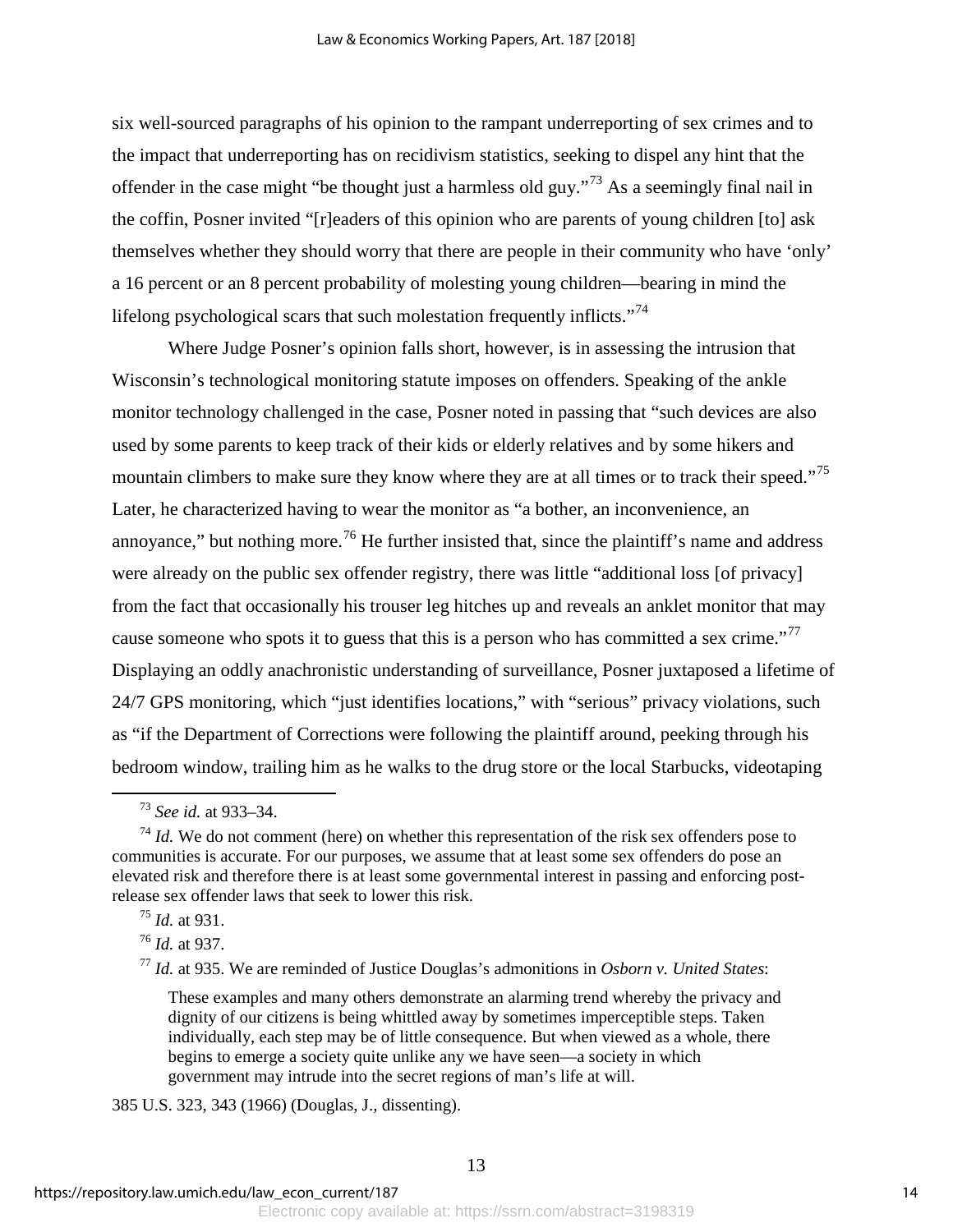six well-sourced paragraphs of his opinion to the rampant underreporting of sex crimes and to the impact that underreporting has on recidivism statistics, seeking to dispel any hint that the offender in the case might "be thought just a harmless old guy."[73](#page-14-0) As a seemingly final nail in the coffin, Posner invited "[r]eaders of this opinion who are parents of young children [to] ask themselves whether they should worry that there are people in their community who have 'only' a 16 percent or an 8 percent probability of molesting young children—bearing in mind the lifelong psychological scars that such molestation frequently inflicts."<sup>[74](#page-14-1)</sup>

Where Judge Posner's opinion falls short, however, is in assessing the intrusion that Wisconsin's technological monitoring statute imposes on offenders. Speaking of the ankle monitor technology challenged in the case, Posner noted in passing that "such devices are also used by some parents to keep track of their kids or elderly relatives and by some hikers and mountain climbers to make sure they know where they are at all times or to track their speed."<sup>[75](#page-14-2)</sup> Later, he characterized having to wear the monitor as "a bother, an inconvenience, an annoyance," but nothing more.<sup>[76](#page-14-3)</sup> He further insisted that, since the plaintiff's name and address were already on the public sex offender registry, there was little "additional loss [of privacy] from the fact that occasionally his trouser leg hitches up and reveals an anklet monitor that may cause someone who spots it to guess that this is a person who has committed a sex crime."<sup>[77](#page-14-4)</sup> Displaying an oddly anachronistic understanding of surveillance, Posner juxtaposed a lifetime of 24/7 GPS monitoring, which "just identifies locations," with "serious" privacy violations, such as "if the Department of Corrections were following the plaintiff around, peeking through his bedroom window, trailing him as he walks to the drug store or the local Starbucks, videotaping

<span id="page-14-4"></span><sup>77</sup> *Id.* at 935. We are reminded of Justice Douglas's admonitions in *Osborn v. United States*:

385 U.S. 323, 343 (1966) (Douglas, J., dissenting).

<sup>73</sup> *See id.* at 933–34.

<span id="page-14-1"></span><span id="page-14-0"></span> $74$  *Id.* We do not comment (here) on whether this representation of the risk sex offenders pose to communities is accurate. For our purposes, we assume that at least some sex offenders do pose an elevated risk and therefore there is at least some governmental interest in passing and enforcing postrelease sex offender laws that seek to lower this risk.

<span id="page-14-2"></span><sup>75</sup> *Id.* at 931.

<span id="page-14-3"></span><sup>76</sup> *Id.* at 937.

These examples and many others demonstrate an alarming trend whereby the privacy and dignity of our citizens is being whittled away by sometimes imperceptible steps. Taken individually, each step may be of little consequence. But when viewed as a whole, there begins to emerge a society quite unlike any we have seen—a society in which government may intrude into the secret regions of man's life at will.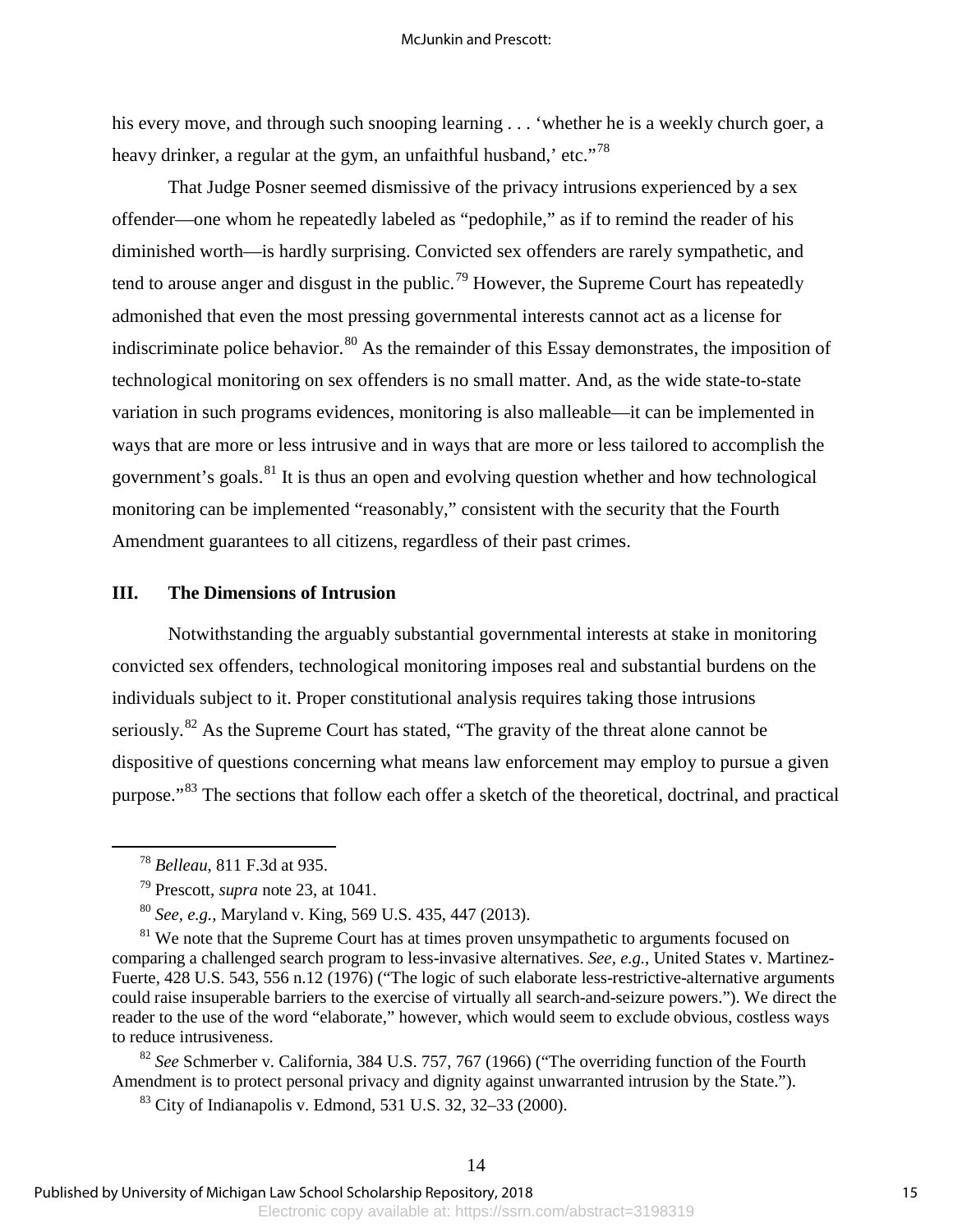his every move, and through such snooping learning . . . 'whether he is a weekly church goer, a heavy drinker, a regular at the gym, an unfaithful husband,' etc."<sup>78</sup>

That Judge Posner seemed dismissive of the privacy intrusions experienced by a sex offender—one whom he repeatedly labeled as "pedophile," as if to remind the reader of his diminished worth—is hardly surprising. Convicted sex offenders are rarely sympathetic, and tend to arouse anger and disgust in the public.<sup>79</sup> However, the Supreme Court has repeatedly admonished that even the most pressing governmental interests cannot act as a license for indiscriminate police behavior.<sup>[80](#page-15-3)</sup> As the remainder of this Essay demonstrates, the imposition of technological monitoring on sex offenders is no small matter. And, as the wide state-to-state variation in such programs evidences, monitoring is also malleable—it can be implemented in ways that are more or less intrusive and in ways that are more or less tailored to accomplish the government's goals.<sup>[81](#page-15-4)</sup> It is thus an open and evolving question whether and how technological monitoring can be implemented "reasonably," consistent with the security that the Fourth Amendment guarantees to all citizens, regardless of their past crimes.

# <span id="page-15-0"></span>**III. The Dimensions of Intrusion**

Notwithstanding the arguably substantial governmental interests at stake in monitoring convicted sex offenders, technological monitoring imposes real and substantial burdens on the individuals subject to it. Proper constitutional analysis requires taking those intrusions seriously.<sup>82</sup> As the Supreme Court has stated, "The gravity of the threat alone cannot be dispositive of questions concerning what means law enforcement may employ to pursue a given purpose."[83](#page-15-6) The sections that follow each offer a sketch of the theoretical, doctrinal, and practical

<span id="page-15-6"></span><span id="page-15-5"></span><sup>82</sup> See Schmerber v. California, 384 U.S. 757, 767 (1966) ("The overriding function of the Fourth Amendment is to protect personal privacy and dignity against unwarranted intrusion by the State.").

 $83$  City of Indianapolis v. Edmond, 531 U.S. 32, 32–33 (2000).

Electronic copy available at: https://ssrn.com/abstract=3198319

<sup>78</sup> *Belleau*, 811 F.3d at 935.

<sup>79</sup> Prescott, *supra* note [23,](#page-6-9) at 1041.

<sup>80</sup> *See, e.g.*, Maryland v. King, 569 U.S. 435, 447 (2013).

<span id="page-15-4"></span><span id="page-15-3"></span><span id="page-15-2"></span><span id="page-15-1"></span> $81$  We note that the Supreme Court has at times proven unsympathetic to arguments focused on comparing a challenged search program to less-invasive alternatives. *See, e.g.*, United States v. Martinez-Fuerte, 428 U.S. 543, 556 n.12 (1976) ("The logic of such elaborate less-restrictive-alternative arguments could raise insuperable barriers to the exercise of virtually all search-and-seizure powers."). We direct the reader to the use of the word "elaborate," however, which would seem to exclude obvious, costless ways to reduce intrusiveness.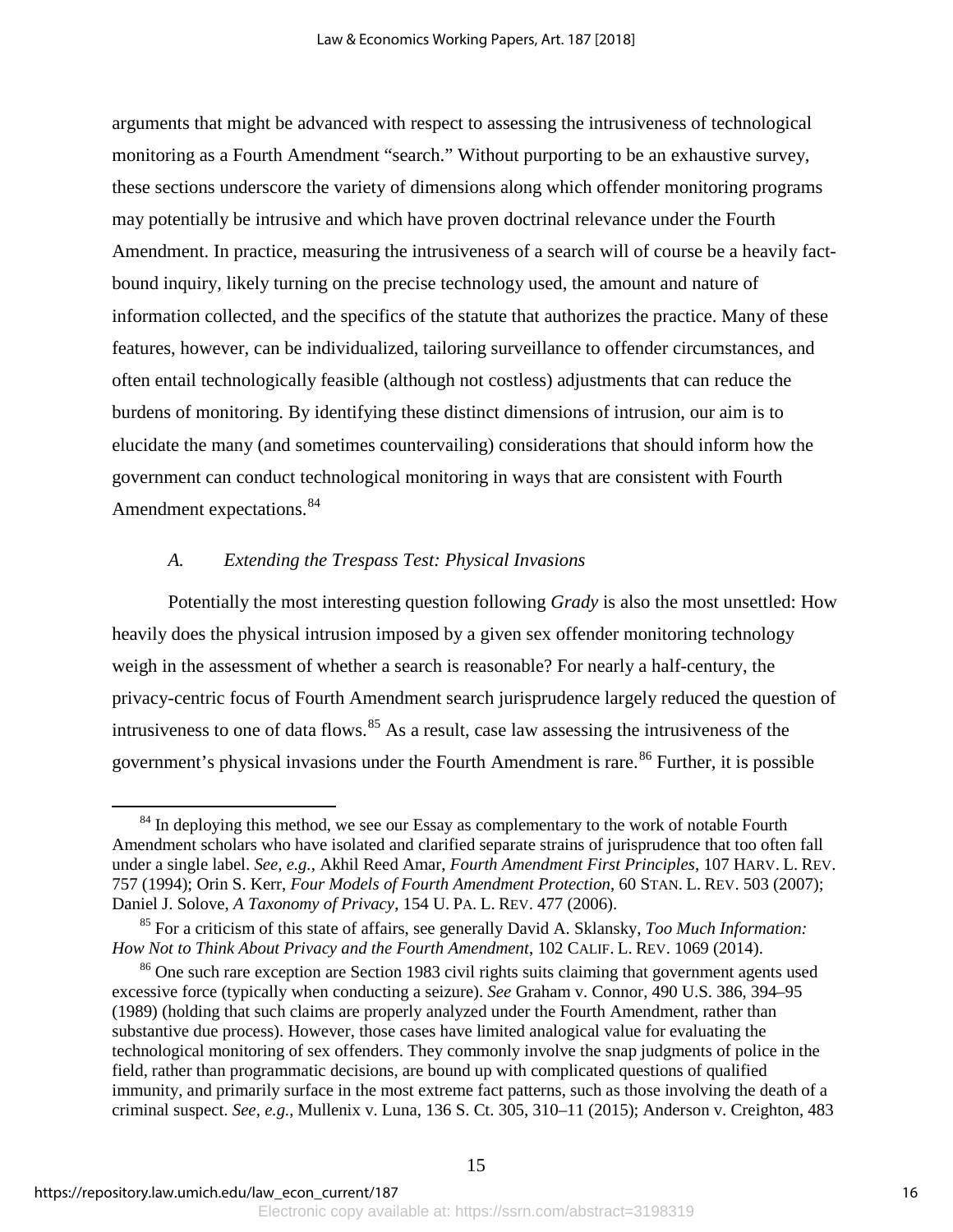arguments that might be advanced with respect to assessing the intrusiveness of technological monitoring as a Fourth Amendment "search." Without purporting to be an exhaustive survey, these sections underscore the variety of dimensions along which offender monitoring programs may potentially be intrusive and which have proven doctrinal relevance under the Fourth Amendment. In practice, measuring the intrusiveness of a search will of course be a heavily factbound inquiry, likely turning on the precise technology used, the amount and nature of information collected, and the specifics of the statute that authorizes the practice. Many of these features, however, can be individualized, tailoring surveillance to offender circumstances, and often entail technologically feasible (although not costless) adjustments that can reduce the burdens of monitoring. By identifying these distinct dimensions of intrusion, our aim is to elucidate the many (and sometimes countervailing) considerations that should inform how the government can conduct technological monitoring in ways that are consistent with Fourth Amendment expectations.<sup>84</sup>

# <span id="page-16-4"></span>*A. Extending the Trespass Test: Physical Invasions*

<span id="page-16-0"></span>Potentially the most interesting question following *Grady* is also the most unsettled: How heavily does the physical intrusion imposed by a given sex offender monitoring technology weigh in the assessment of whether a search is reasonable? For nearly a half-century, the privacy-centric focus of Fourth Amendment search jurisprudence largely reduced the question of intrusiveness to one of data flows.  $85$  As a result, case law assessing the intrusiveness of the government's physical invasions under the Fourth Amendment is rare.<sup>[86](#page-16-3)</sup> Further, it is possible

<span id="page-16-1"></span><sup>&</sup>lt;sup>84</sup> In deploying this method, we see our Essay as complementary to the work of notable Fourth Amendment scholars who have isolated and clarified separate strains of jurisprudence that too often fall under a single label. *See, e.g.*, Akhil Reed Amar, *Fourth Amendment First Principles*, 107 HARV. L. REV. 757 (1994); Orin S. Kerr, *Four Models of Fourth Amendment Protection*, 60 STAN. L. REV. 503 (2007); Daniel J. Solove, *A Taxonomy of Privacy*, 154 U. PA. L. REV. 477 (2006).

<span id="page-16-2"></span><sup>85</sup> For a criticism of this state of affairs, see generally David A. Sklansky, *Too Much Information: How Not to Think About Privacy and the Fourth Amendment*, 102 CALIF. L. REV. 1069 (2014).

<span id="page-16-3"></span><sup>&</sup>lt;sup>86</sup> One such rare exception are Section 1983 civil rights suits claiming that government agents used excessive force (typically when conducting a seizure). *See* Graham v. Connor, 490 U.S. 386, 394–95 (1989) (holding that such claims are properly analyzed under the Fourth Amendment, rather than substantive due process). However, those cases have limited analogical value for evaluating the technological monitoring of sex offenders. They commonly involve the snap judgments of police in the field, rather than programmatic decisions, are bound up with complicated questions of qualified immunity, and primarily surface in the most extreme fact patterns, such as those involving the death of a criminal suspect. *See, e.g.*, Mullenix v. Luna, 136 S. Ct. 305, 310–11 (2015); Anderson v. Creighton, 483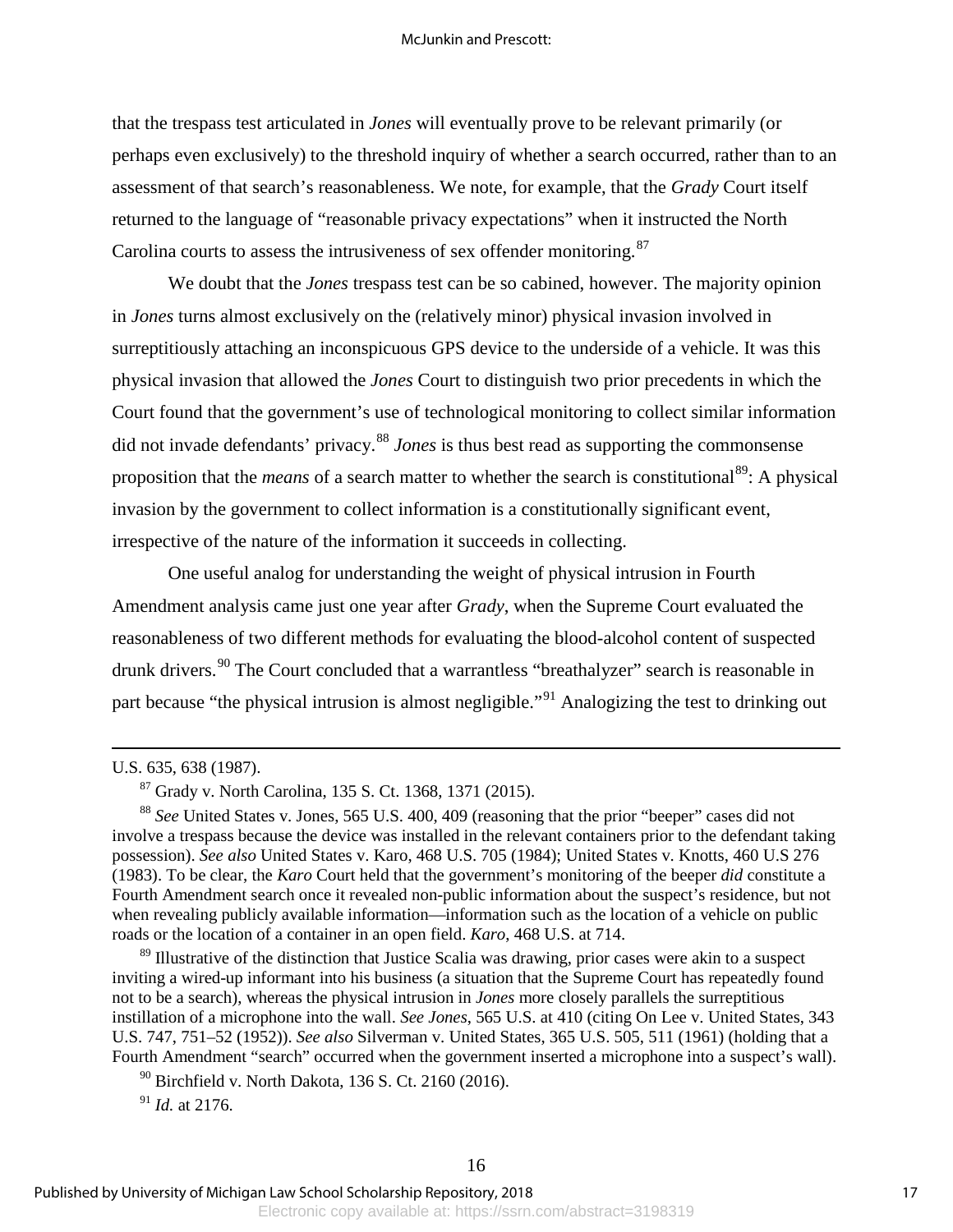#### McJunkin and Prescott:

that the trespass test articulated in *Jones* will eventually prove to be relevant primarily (or perhaps even exclusively) to the threshold inquiry of whether a search occurred, rather than to an assessment of that search's reasonableness. We note, for example, that the *Grady* Court itself returned to the language of "reasonable privacy expectations" when it instructed the North Carolina courts to assess the intrusiveness of sex offender monitoring.<sup>[87](#page-17-0)</sup>

We doubt that the *Jones* trespass test can be so cabined, however. The majority opinion in *Jones* turns almost exclusively on the (relatively minor) physical invasion involved in surreptitiously attaching an inconspicuous GPS device to the underside of a vehicle. It was this physical invasion that allowed the *Jones* Court to distinguish two prior precedents in which the Court found that the government's use of technological monitoring to collect similar information did not invade defendants' privacy.<sup>[88](#page-17-1)</sup> *Jones* is thus best read as supporting the commonsense proposition that the *means* of a search matter to whether the search is constitutional<sup>89</sup>: A physical invasion by the government to collect information is a constitutionally significant event, irrespective of the nature of the information it succeeds in collecting.

One useful analog for understanding the weight of physical intrusion in Fourth Amendment analysis came just one year after *Grady*, when the Supreme Court evaluated the reasonableness of two different methods for evaluating the blood-alcohol content of suspected drunk drivers.<sup>[90](#page-17-3)</sup> The Court concluded that a warrantless "breathalyzer" search is reasonable in part because "the physical intrusion is almost negligible."<sup>[91](#page-17-4)</sup> Analogizing the test to drinking out

<span id="page-17-0"></span>U.S. 635, 638 (1987).

<sup>87</sup> Grady v. North Carolina, 135 S. Ct. 1368, 1371 (2015).

<span id="page-17-1"></span><sup>88</sup> *See* United States v. Jones, 565 U.S. 400, 409 (reasoning that the prior "beeper" cases did not involve a trespass because the device was installed in the relevant containers prior to the defendant taking possession). *See also* United States v. Karo, 468 U.S. 705 (1984); United States v. Knotts, 460 U.S 276 (1983). To be clear, the *Karo* Court held that the government's monitoring of the beeper *did* constitute a Fourth Amendment search once it revealed non-public information about the suspect's residence, but not when revealing publicly available information—information such as the location of a vehicle on public roads or the location of a container in an open field. *Karo*, 468 U.S. at 714.

<span id="page-17-2"></span><sup>&</sup>lt;sup>89</sup> Illustrative of the distinction that Justice Scalia was drawing, prior cases were akin to a suspect inviting a wired-up informant into his business (a situation that the Supreme Court has repeatedly found not to be a search), whereas the physical intrusion in *Jones* more closely parallels the surreptitious instillation of a microphone into the wall. *See Jones*, 565 U.S. at 410 (citing On Lee v. United States, 343 U.S. 747, 751–52 (1952)). *See also* Silverman v. United States, 365 U.S. 505, 511 (1961) (holding that a Fourth Amendment "search" occurred when the government inserted a microphone into a suspect's wall).

<span id="page-17-3"></span> $90$  Birchfield v. North Dakota, 136 S. Ct. 2160 (2016).

<span id="page-17-4"></span><sup>91</sup> *Id.* at 2176.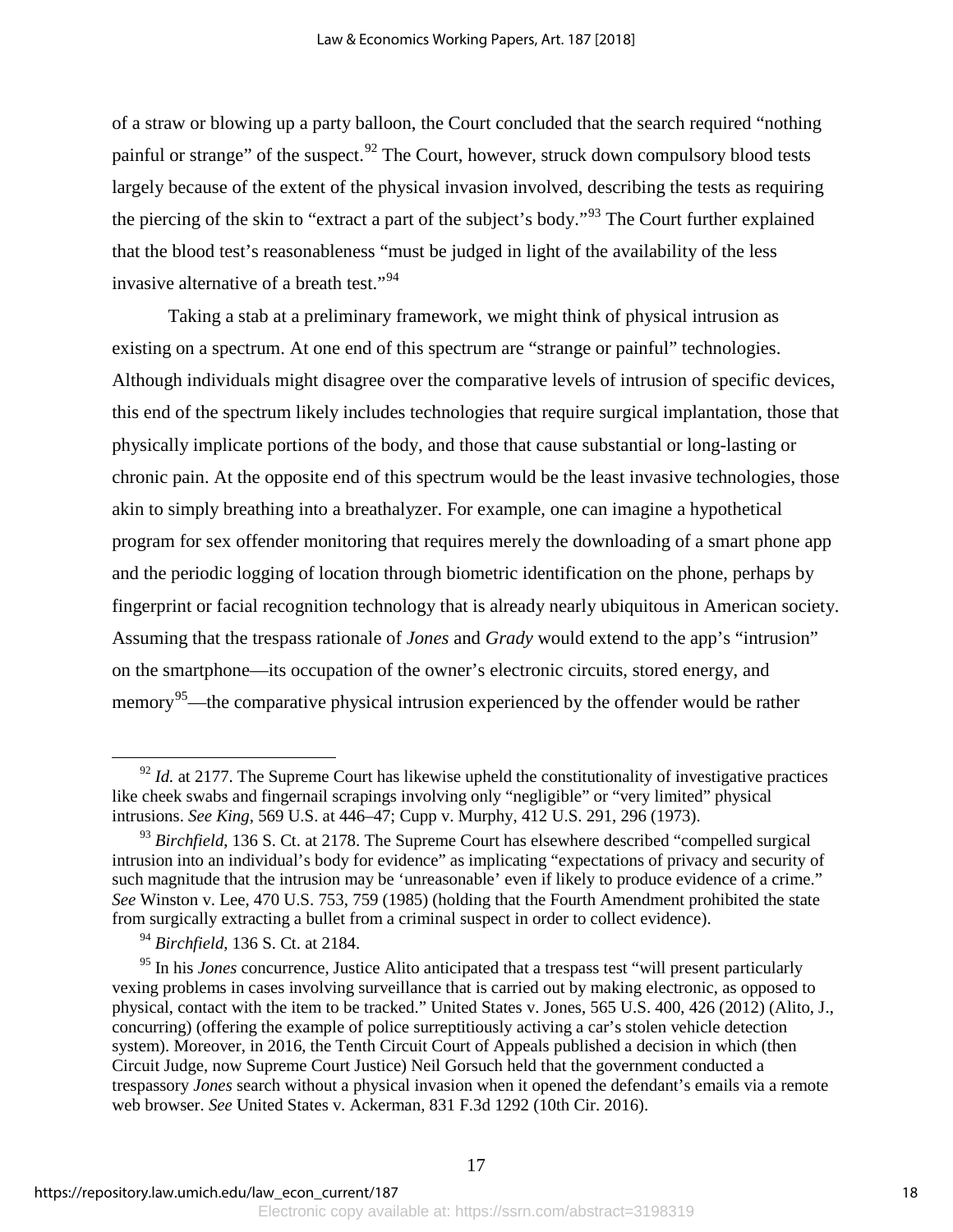of a straw or blowing up a party balloon, the Court concluded that the search required "nothing painful or strange" of the suspect.  $92$  The Court, however, struck down compulsory blood tests largely because of the extent of the physical invasion involved, describing the tests as requiring the piercing of the skin to "extract a part of the subject's body."<sup>[93](#page-18-1)</sup> The Court further explained that the blood test's reasonableness "must be judged in light of the availability of the less invasive alternative of a breath test."[94](#page-18-2)

Taking a stab at a preliminary framework, we might think of physical intrusion as existing on a spectrum. At one end of this spectrum are "strange or painful" technologies. Although individuals might disagree over the comparative levels of intrusion of specific devices, this end of the spectrum likely includes technologies that require surgical implantation, those that physically implicate portions of the body, and those that cause substantial or long-lasting or chronic pain. At the opposite end of this spectrum would be the least invasive technologies, those akin to simply breathing into a breathalyzer. For example, one can imagine a hypothetical program for sex offender monitoring that requires merely the downloading of a smart phone app and the periodic logging of location through biometric identification on the phone, perhaps by fingerprint or facial recognition technology that is already nearly ubiquitous in American society. Assuming that the trespass rationale of *Jones* and *Grady* would extend to the app's "intrusion" on the smartphone—its occupation of the owner's electronic circuits, stored energy, and memory<sup>95</sup>—the comparative physical intrusion experienced by the offender would be rather

<span id="page-18-0"></span> $92$  *Id.* at 2177. The Supreme Court has likewise upheld the constitutionality of investigative practices like cheek swabs and fingernail scrapings involving only "negligible" or "very limited" physical intrusions. *See King*, 569 U.S. at 446–47; Cupp v. Murphy, 412 U.S. 291, 296 (1973).

<span id="page-18-1"></span><sup>&</sup>lt;sup>93</sup> Birchfield, 136 S. Ct. at 2178. The Supreme Court has elsewhere described "compelled surgical" intrusion into an individual's body for evidence" as implicating "expectations of privacy and security of such magnitude that the intrusion may be 'unreasonable' even if likely to produce evidence of a crime." *See* Winston v. Lee, 470 U.S. 753, 759 (1985) (holding that the Fourth Amendment prohibited the state from surgically extracting a bullet from a criminal suspect in order to collect evidence).

<sup>94</sup> *Birchfield*, 136 S. Ct. at 2184.

<span id="page-18-3"></span><span id="page-18-2"></span><sup>95</sup> In his *Jones* concurrence, Justice Alito anticipated that a trespass test "will present particularly vexing problems in cases involving surveillance that is carried out by making electronic, as opposed to physical, contact with the item to be tracked." United States v. Jones, 565 U.S. 400, 426 (2012) (Alito, J., concurring) (offering the example of police surreptitiously activing a car's stolen vehicle detection system). Moreover, in 2016, the Tenth Circuit Court of Appeals published a decision in which (then Circuit Judge, now Supreme Court Justice) Neil Gorsuch held that the government conducted a trespassory *Jones* search without a physical invasion when it opened the defendant's emails via a remote web browser. *See* United States v. Ackerman, 831 F.3d 1292 (10th Cir. 2016).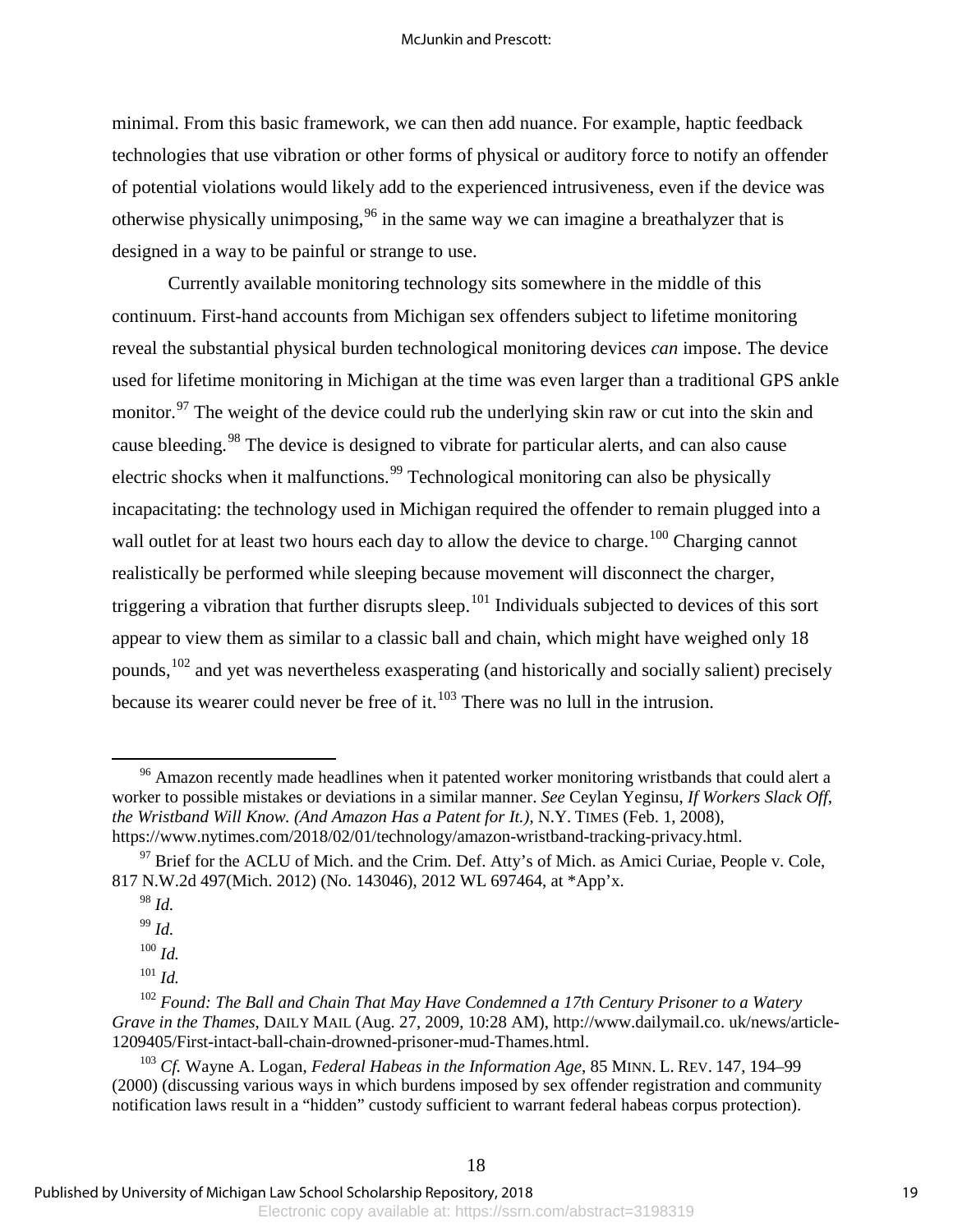#### McJunkin and Prescott:

minimal. From this basic framework, we can then add nuance. For example, haptic feedback technologies that use vibration or other forms of physical or auditory force to notify an offender of potential violations would likely add to the experienced intrusiveness, even if the device was otherwise physically unimposing,  $96$  in the same way we can imagine a breathalyzer that is designed in a way to be painful or strange to use.

<span id="page-19-8"></span>Currently available monitoring technology sits somewhere in the middle of this continuum. First-hand accounts from Michigan sex offenders subject to lifetime monitoring reveal the substantial physical burden technological monitoring devices *can* impose. The device used for lifetime monitoring in Michigan at the time was even larger than a traditional GPS ankle monitor.<sup>[97](#page-19-1)</sup> The weight of the device could rub the underlying skin raw or cut into the skin and cause bleeding.<sup>98</sup> The device is designed to vibrate for particular alerts, and can also cause electric shocks when it malfunctions.<sup>99</sup> Technological monitoring can also be physically incapacitating: the technology used in Michigan required the offender to remain plugged into a wall outlet for at least two hours each day to allow the device to charge.<sup>[100](#page-19-4)</sup> Charging cannot realistically be performed while sleeping because movement will disconnect the charger, triggering a vibration that further disrupts sleep.<sup>[101](#page-19-5)</sup> Individuals subjected to devices of this sort appear to view them as similar to a classic ball and chain, which might have weighed only 18 pounds,[102](#page-19-6) and yet was nevertheless exasperating (and historically and socially salient) precisely because its wearer could never be free of it. $103$  There was no lull in the intrusion.

<span id="page-19-0"></span><sup>&</sup>lt;sup>96</sup> Amazon recently made headlines when it patented worker monitoring wristbands that could alert a worker to possible mistakes or deviations in a similar manner. *See* Ceylan Yeginsu, *If Workers Slack Off, the Wristband Will Know. (And Amazon Has a Patent for It.)*, N.Y. TIMES (Feb. 1, 2008), https://www.nytimes.com/2018/02/01/technology/amazon-wristband-tracking-privacy.html.

<span id="page-19-3"></span><span id="page-19-2"></span><span id="page-19-1"></span> $97$  Brief for the ACLU of Mich. and the Crim. Def. Atty's of Mich. as Amici Curiae, People v. Cole, 817 N.W.2d 497(Mich. 2012) (No. 143046), 2012 WL 697464, at \*App'x.

<sup>98</sup> *Id.* 

<sup>99</sup> *Id.*

 $100$  *Id.* 

 $101$  *Id.* 

<span id="page-19-6"></span><span id="page-19-5"></span><span id="page-19-4"></span><sup>&</sup>lt;sup>102</sup> Found: The Ball and Chain That May Have Condemned a 17th Century Prisoner to a Watery *Grave in the Thames*, DAILY MAIL (Aug. 27, 2009, 10:28 AM), http://www.dailymail.co. uk/news/article-1209405/First-intact-ball-chain-drowned-prisoner-mud-Thames.html.

<span id="page-19-7"></span><sup>103</sup> *Cf.* Wayne A. Logan, *Federal Habeas in the Information Age*, 85 MINN. L. REV. 147, 194–99 (2000) (discussing various ways in which burdens imposed by sex offender registration and community notification laws result in a "hidden" custody sufficient to warrant federal habeas corpus protection).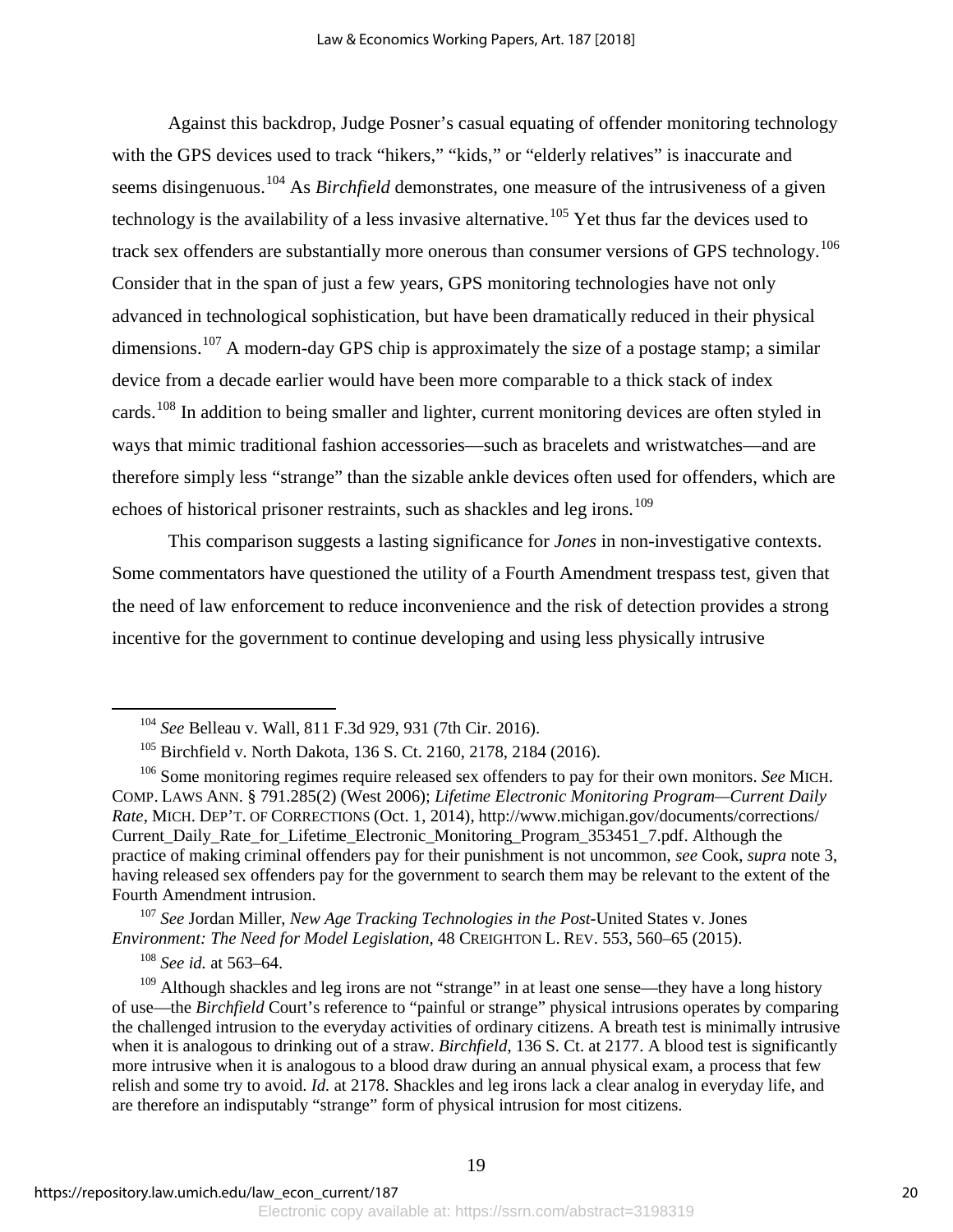Against this backdrop, Judge Posner's casual equating of offender monitoring technology with the GPS devices used to track "hikers," "kids," or "elderly relatives" is inaccurate and seems disingenuous.<sup>[104](#page-20-0)</sup> As *Birchfield* demonstrates, one measure of the intrusiveness of a given technology is the availability of a less invasive alternative.<sup>[105](#page-20-1)</sup> Yet thus far the devices used to track sex offenders are substantially more onerous than consumer versions of GPS technology.<sup>[106](#page-20-2)</sup> Consider that in the span of just a few years, GPS monitoring technologies have not only advanced in technological sophistication, but have been dramatically reduced in their physical dimensions.<sup>[107](#page-20-3)</sup> A modern-day GPS chip is approximately the size of a postage stamp; a similar device from a decade earlier would have been more comparable to a thick stack of index cards.<sup>[108](#page-20-4)</sup> In addition to being smaller and lighter, current monitoring devices are often styled in ways that mimic traditional fashion accessories—such as bracelets and wristwatches—and are therefore simply less "strange" than the sizable ankle devices often used for offenders, which are echoes of historical prisoner restraints, such as shackles and leg irons.<sup>[109](#page-20-5)</sup>

This comparison suggests a lasting significance for *Jones* in non-investigative contexts. Some commentators have questioned the utility of a Fourth Amendment trespass test, given that the need of law enforcement to reduce inconvenience and the risk of detection provides a strong incentive for the government to continue developing and using less physically intrusive

<span id="page-20-3"></span><sup>107</sup> *See* Jordan Miller, *New Age Tracking Technologies in the Post-*United States v. Jones *Environment: The Need for Model Legislation*, 48 CREIGHTON L. REV. 553, 560–65 (2015).

<sup>108</sup> *See id.* at 563–64.

<sup>104</sup> *See* Belleau v. Wall, 811 F.3d 929, 931 (7th Cir. 2016).

<sup>&</sup>lt;sup>105</sup> Birchfield v. North Dakota, 136 S. Ct. 2160, 2178, 2184 (2016).

<span id="page-20-2"></span><span id="page-20-1"></span><span id="page-20-0"></span><sup>106</sup> Some monitoring regimes require released sex offenders to pay for their own monitors. *See* MICH. COMP. LAWS ANN. § 791.285(2) (West 2006); *Lifetime Electronic Monitoring Program—Current Daily Rate*, MICH. DEP'T. OF CORRECTIONS (Oct. 1, 2014), http://www.michigan.gov/documents/corrections/ Current Daily Rate for Lifetime Electronic Monitoring Program 353451 7.pdf. Although the practice of making criminal offenders pay for their punishment is not uncommon, *see* Cook, *supra* not[e 3,](#page-2-8) having released sex offenders pay for the government to search them may be relevant to the extent of the Fourth Amendment intrusion.

<span id="page-20-5"></span><span id="page-20-4"></span><sup>&</sup>lt;sup>109</sup> Although shackles and leg irons are not "strange" in at least one sense—they have a long history of use—the *Birchfield* Court's reference to "painful or strange" physical intrusions operates by comparing the challenged intrusion to the everyday activities of ordinary citizens. A breath test is minimally intrusive when it is analogous to drinking out of a straw. *Birchfield*, 136 S. Ct. at 2177. A blood test is significantly more intrusive when it is analogous to a blood draw during an annual physical exam, a process that few relish and some try to avoid. *Id.* at 2178. Shackles and leg irons lack a clear analog in everyday life, and are therefore an indisputably "strange" form of physical intrusion for most citizens.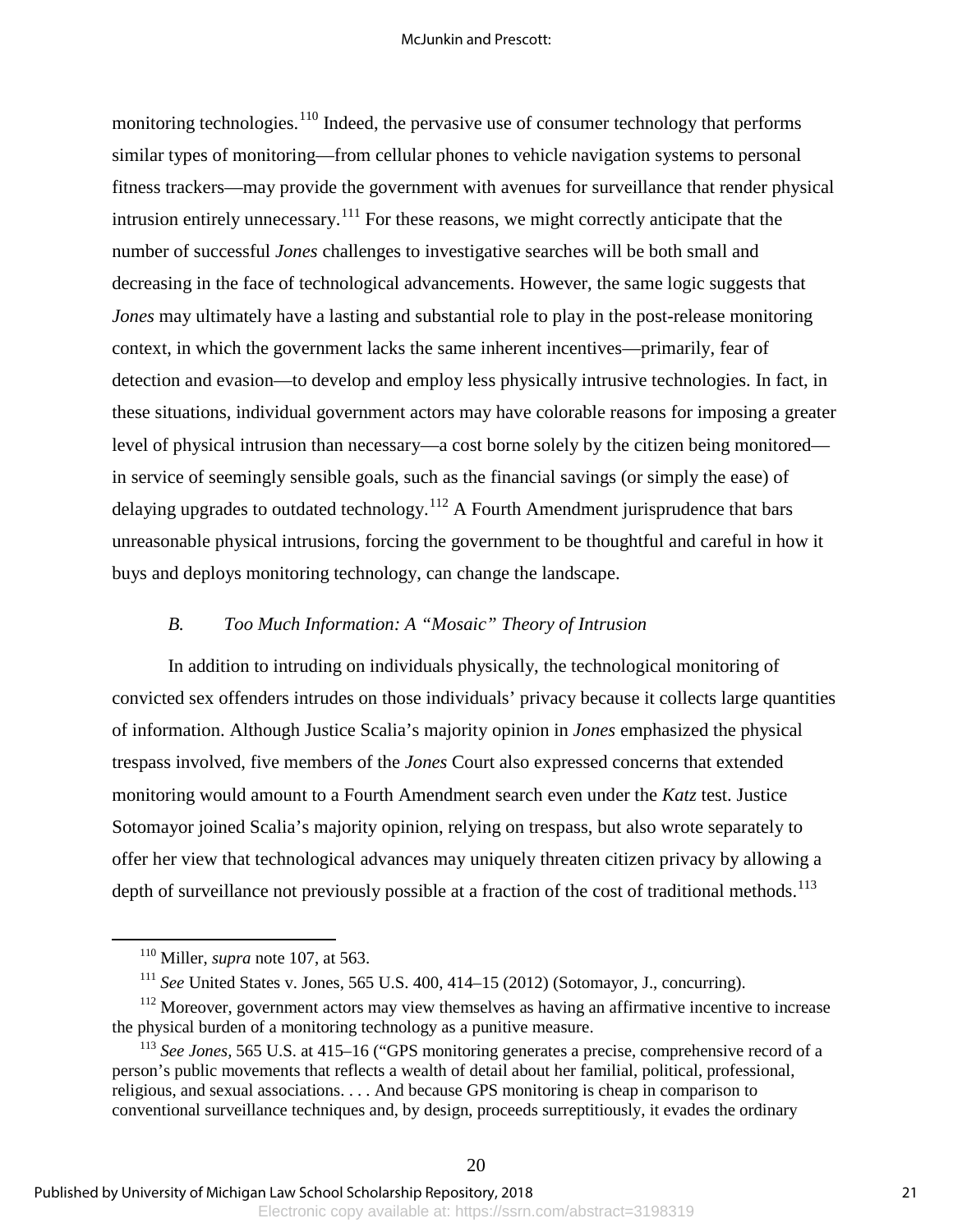monitoring technologies.<sup>110</sup> Indeed, the pervasive use of consumer technology that performs similar types of monitoring—from cellular phones to vehicle navigation systems to personal fitness trackers—may provide the government with avenues for surveillance that render physical intrusion entirely unnecessary.<sup>111</sup> For these reasons, we might correctly anticipate that the number of successful *Jones* challenges to investigative searches will be both small and decreasing in the face of technological advancements. However, the same logic suggests that *Jones* may ultimately have a lasting and substantial role to play in the post-release monitoring context, in which the government lacks the same inherent incentives—primarily, fear of detection and evasion—to develop and employ less physically intrusive technologies. In fact, in these situations, individual government actors may have colorable reasons for imposing a greater level of physical intrusion than necessary—a cost borne solely by the citizen being monitored in service of seemingly sensible goals, such as the financial savings (or simply the ease) of delaying upgrades to outdated technology.<sup>[112](#page-21-3)</sup> A Fourth Amendment jurisprudence that bars unreasonable physical intrusions, forcing the government to be thoughtful and careful in how it buys and deploys monitoring technology, can change the landscape.

# *B. Too Much Information: A "Mosaic" Theory of Intrusion*

<span id="page-21-0"></span>In addition to intruding on individuals physically, the technological monitoring of convicted sex offenders intrudes on those individuals' privacy because it collects large quantities of information. Although Justice Scalia's majority opinion in *Jones* emphasized the physical trespass involved, five members of the *Jones* Court also expressed concerns that extended monitoring would amount to a Fourth Amendment search even under the *Katz* test. Justice Sotomayor joined Scalia's majority opinion, relying on trespass, but also wrote separately to offer her view that technological advances may uniquely threaten citizen privacy by allowing a depth of surveillance not previously possible at a fraction of the cost of traditional methods.<sup>[113](#page-21-4)</sup>

<sup>110</sup> Miller, *supra* note 107, at 563.

<sup>111</sup> *See* United States v. Jones, 565 U.S. 400, 414–15 (2012) (Sotomayor, J., concurring).

<span id="page-21-3"></span><span id="page-21-2"></span><span id="page-21-1"></span> $112$  Moreover, government actors may view themselves as having an affirmative incentive to increase the physical burden of a monitoring technology as a punitive measure.

<span id="page-21-4"></span><sup>&</sup>lt;sup>113</sup> See Jones, 565 U.S. at 415–16 ("GPS monitoring generates a precise, comprehensive record of a person's public movements that reflects a wealth of detail about her familial, political, professional, religious, and sexual associations. . . . And because GPS monitoring is cheap in comparison to conventional surveillance techniques and, by design, proceeds surreptitiously, it evades the ordinary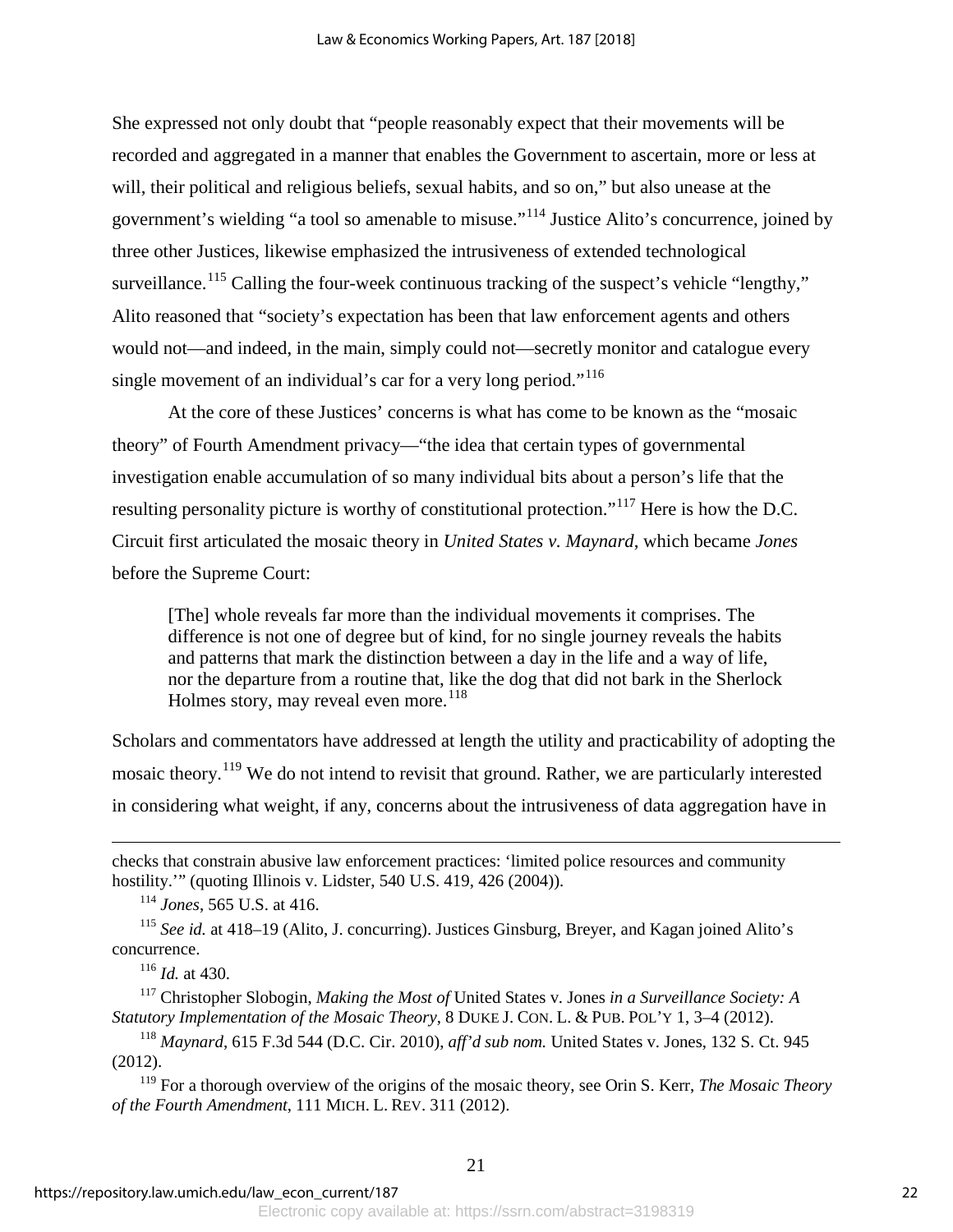She expressed not only doubt that "people reasonably expect that their movements will be recorded and aggregated in a manner that enables the Government to ascertain, more or less at will, their political and religious beliefs, sexual habits, and so on," but also unease at the government's wielding "a tool so amenable to misuse."[114](#page-22-0) Justice Alito's concurrence, joined by three other Justices, likewise emphasized the intrusiveness of extended technological surveillance.<sup>[115](#page-22-1)</sup> Calling the four-week continuous tracking of the suspect's vehicle "lengthy," Alito reasoned that "society's expectation has been that law enforcement agents and others would not—and indeed, in the main, simply could not—secretly monitor and catalogue every single movement of an individual's car for a very long period."<sup>[116](#page-22-2)</sup>

At the core of these Justices' concerns is what has come to be known as the "mosaic theory" of Fourth Amendment privacy—"the idea that certain types of governmental investigation enable accumulation of so many individual bits about a person's life that the resulting personality picture is worthy of constitutional protection."<sup>117</sup> Here is how the D.C. Circuit first articulated the mosaic theory in *United States v. Maynard*, which became *Jones* before the Supreme Court:

[The] whole reveals far more than the individual movements it comprises. The difference is not one of degree but of kind, for no single journey reveals the habits and patterns that mark the distinction between a day in the life and a way of life, nor the departure from a routine that, like the dog that did not bark in the Sherlock Holmes story, may reveal even more.<sup>[118](#page-22-4)</sup>

Scholars and commentators have addressed at length the utility and practicability of adopting the mosaic theory.<sup>[119](#page-22-5)</sup> We do not intend to revisit that ground. Rather, we are particularly interested in considering what weight, if any, concerns about the intrusiveness of data aggregation have in

<span id="page-22-1"></span><span id="page-22-0"></span><sup>115</sup> *See id.* at 418–19 (Alito, J. concurring). Justices Ginsburg, Breyer, and Kagan joined Alito's concurrence.

 $\overline{a}$ 

<span id="page-22-3"></span><span id="page-22-2"></span>117 Christopher Slobogin, *Making the Most of* United States v. Jones *in a Surveillance Society: A Statutory Implementation of the Mosaic Theory*, 8 DUKE J. CON. L. & PUB. POL'Y 1, 3–4 (2012).

<span id="page-22-4"></span><sup>118</sup> *Maynard*, 615 F.3d 544 (D.C. Cir. 2010), *aff'd sub nom.* United States v. Jones, 132 S. Ct. 945 (2012).

<span id="page-22-5"></span>119 For a thorough overview of the origins of the mosaic theory, see Orin S. Kerr, *The Mosaic Theory of the Fourth Amendment*, 111 MICH. L. REV. 311 (2012).

checks that constrain abusive law enforcement practices: 'limited police resources and community hostility.'" (quoting Illinois v. Lidster, 540 U.S. 419, 426 (2004)).

<sup>114</sup> *Jones*, 565 U.S. at 416.

<sup>116</sup> *Id.* at 430.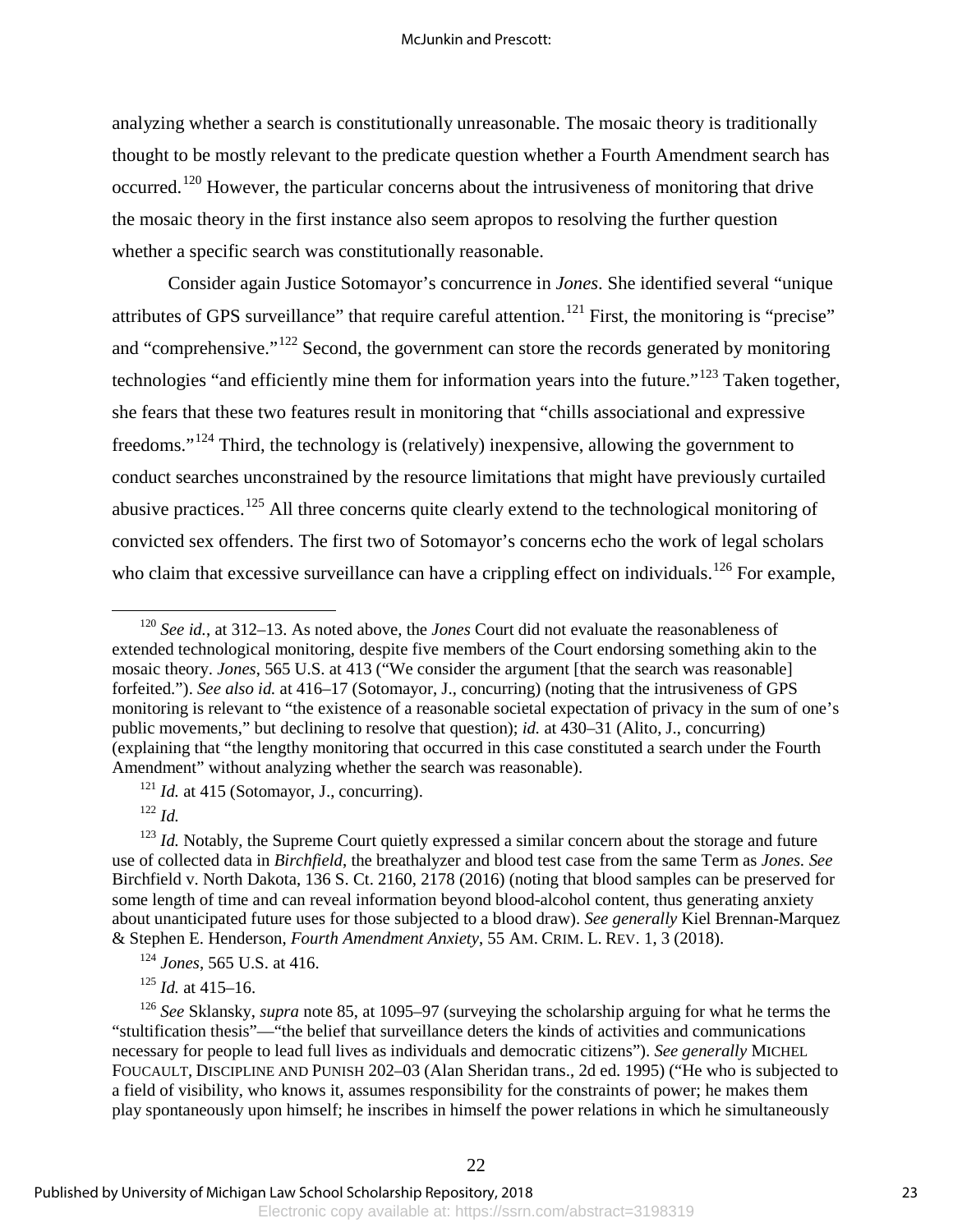analyzing whether a search is constitutionally unreasonable. The mosaic theory is traditionally thought to be mostly relevant to the predicate question whether a Fourth Amendment search has occurred.[120](#page-23-0) However, the particular concerns about the intrusiveness of monitoring that drive the mosaic theory in the first instance also seem apropos to resolving the further question whether a specific search was constitutionally reasonable.

Consider again Justice Sotomayor's concurrence in *Jones*. She identified several "unique attributes of GPS surveillance" that require careful attention.<sup>[121](#page-23-1)</sup> First, the monitoring is "precise" and "comprehensive."[122](#page-23-2) Second, the government can store the records generated by monitoring technologies "and efficiently mine them for information years into the future."[123](#page-23-3) Taken together, she fears that these two features result in monitoring that "chills associational and expressive freedoms."[124](#page-23-4) Third, the technology is (relatively) inexpensive, allowing the government to conduct searches unconstrained by the resource limitations that might have previously curtailed abusive practices.<sup>[125](#page-23-5)</sup> All three concerns quite clearly extend to the technological monitoring of convicted sex offenders. The first two of Sotomayor's concerns echo the work of legal scholars who claim that excessive surveillance can have a crippling effect on individuals.<sup>[126](#page-23-6)</sup> For example,

 $122$  *Id.* 

<span id="page-23-3"></span><span id="page-23-2"></span><span id="page-23-1"></span><sup>123</sup> *Id.* Notably, the Supreme Court quietly expressed a similar concern about the storage and future use of collected data in *Birchfield*, the breathalyzer and blood test case from the same Term as *Jones. See*  Birchfield v. North Dakota, 136 S. Ct. 2160, 2178 (2016) (noting that blood samples can be preserved for some length of time and can reveal information beyond blood-alcohol content, thus generating anxiety about unanticipated future uses for those subjected to a blood draw). *See generally* Kiel Brennan-Marquez & Stephen E. Henderson, *Fourth Amendment Anxiety*, 55 AM. CRIM. L. REV. 1, 3 (2018).

 $125$  *Id.* at 415–16.

<span id="page-23-0"></span><sup>120</sup> *See id.*, at 312–13. As noted above, the *Jones* Court did not evaluate the reasonableness of extended technological monitoring, despite five members of the Court endorsing something akin to the mosaic theory. *Jones*, 565 U.S. at 413 ("We consider the argument [that the search was reasonable] forfeited."). *See also id.* at 416–17 (Sotomayor, J., concurring) (noting that the intrusiveness of GPS monitoring is relevant to "the existence of a reasonable societal expectation of privacy in the sum of one's public movements," but declining to resolve that question); *id.* at 430–31 (Alito, J., concurring) (explaining that "the lengthy monitoring that occurred in this case constituted a search under the Fourth Amendment" without analyzing whether the search was reasonable).

 $121$  *Id.* at 415 (Sotomayor, J., concurring).

<sup>124</sup> *Jones*, 565 U.S. at 416.

<span id="page-23-6"></span><span id="page-23-5"></span><span id="page-23-4"></span><sup>126</sup> *See* Sklansky, *supra* note [85,](#page-16-4) at 1095–97 (surveying the scholarship arguing for what he terms the "stultification thesis"—"the belief that surveillance deters the kinds of activities and communications necessary for people to lead full lives as individuals and democratic citizens"). *See generally* MICHEL FOUCAULT, DISCIPLINE AND PUNISH 202–03 (Alan Sheridan trans., 2d ed. 1995) ("He who is subjected to a field of visibility, who knows it, assumes responsibility for the constraints of power; he makes them play spontaneously upon himself; he inscribes in himself the power relations in which he simultaneously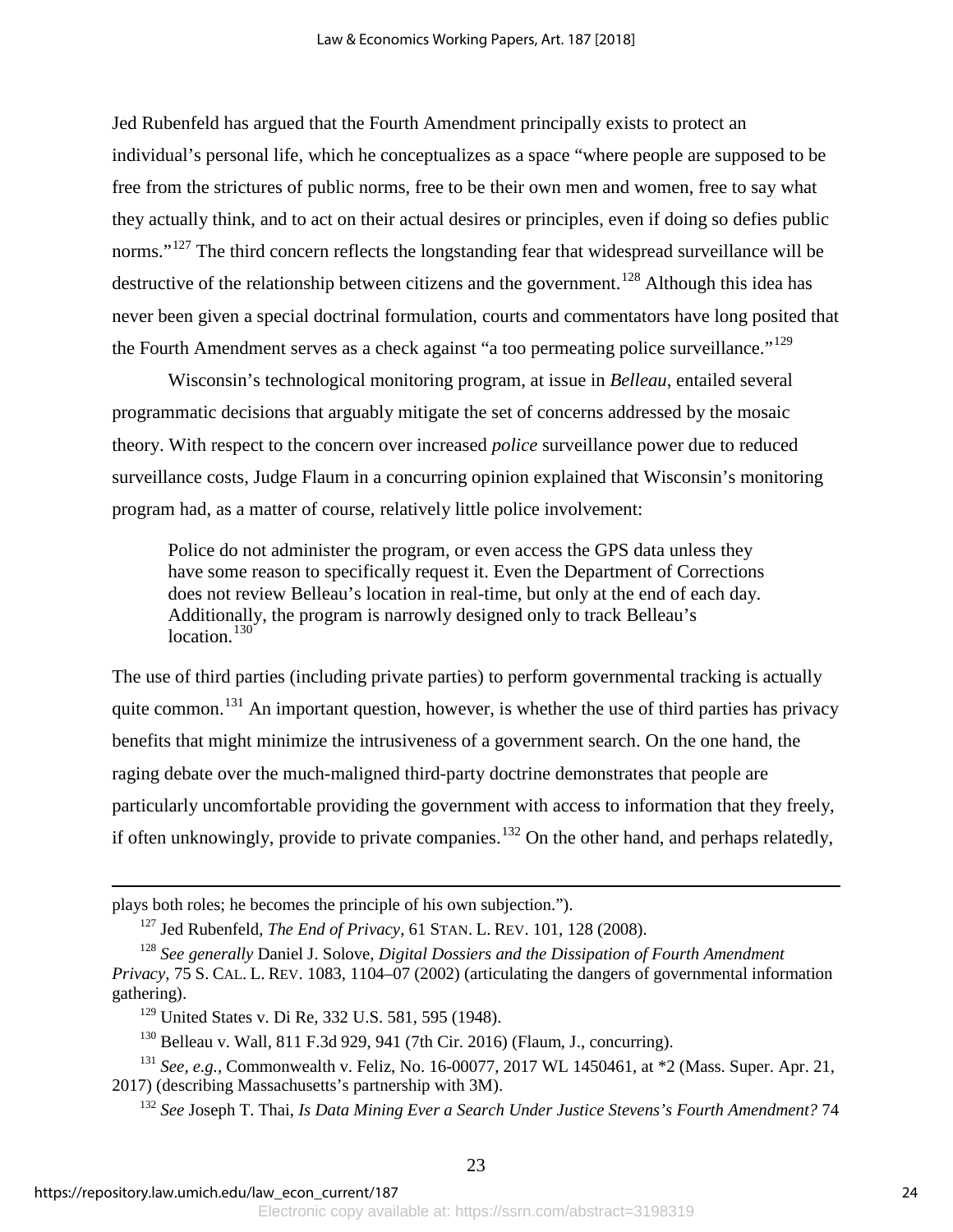Jed Rubenfeld has argued that the Fourth Amendment principally exists to protect an individual's personal life, which he conceptualizes as a space "where people are supposed to be free from the strictures of public norms, free to be their own men and women, free to say what they actually think, and to act on their actual desires or principles, even if doing so defies public norms."<sup>[127](#page-24-0)</sup> The third concern reflects the longstanding fear that widespread surveillance will be destructive of the relationship between citizens and the government.<sup>128</sup> Although this idea has never been given a special doctrinal formulation, courts and commentators have long posited that the Fourth Amendment serves as a check against "a too permeating police surveillance."<sup>129</sup>

Wisconsin's technological monitoring program, at issue in *Belleau*, entailed several programmatic decisions that arguably mitigate the set of concerns addressed by the mosaic theory. With respect to the concern over increased *police* surveillance power due to reduced surveillance costs, Judge Flaum in a concurring opinion explained that Wisconsin's monitoring program had, as a matter of course, relatively little police involvement:

Police do not administer the program, or even access the GPS data unless they have some reason to specifically request it. Even the Department of Corrections does not review Belleau's location in real-time, but only at the end of each day. Additionally, the program is narrowly designed only to track Belleau's location. $130$ <sup>-</sup>

The use of third parties (including private parties) to perform governmental tracking is actually quite common.<sup>131</sup> An important question, however, is whether the use of third parties has privacy benefits that might minimize the intrusiveness of a government search. On the one hand, the raging debate over the much-maligned third-party doctrine demonstrates that people are particularly uncomfortable providing the government with access to information that they freely, if often unknowingly, provide to private companies.<sup>132</sup> On the other hand, and perhaps relatedly,

<span id="page-24-0"></span>plays both roles; he becomes the principle of his own subjection.").

<sup>127</sup> Jed Rubenfeld, *The End of Privacy*, 61 STAN. L. REV. 101, 128 (2008).

<span id="page-24-1"></span><sup>128</sup> *See generally* Daniel J. Solove, *Digital Dossiers and the Dissipation of Fourth Amendment Privacy*, 75 S. CAL. L. REV. 1083, 1104–07 (2002) (articulating the dangers of governmental information gathering).

<sup>&</sup>lt;sup>129</sup> United States v. Di Re, 332 U.S. 581, 595 (1948).

 $130$  Belleau v. Wall,  $811$  F.3d 929, 941 (7th Cir. 2016) (Flaum, J., concurring).

<span id="page-24-5"></span><span id="page-24-4"></span><span id="page-24-3"></span><span id="page-24-2"></span><sup>131</sup> *See, e.g.*, Commonwealth v. Feliz, No. 16-00077, 2017 WL 1450461, at \*2 (Mass. Super. Apr. 21, 2017) (describing Massachusetts's partnership with 3M).

<sup>132</sup> *See* Joseph T. Thai, *Is Data Mining Ever a Search Under Justice Stevens's Fourth Amendment?* 74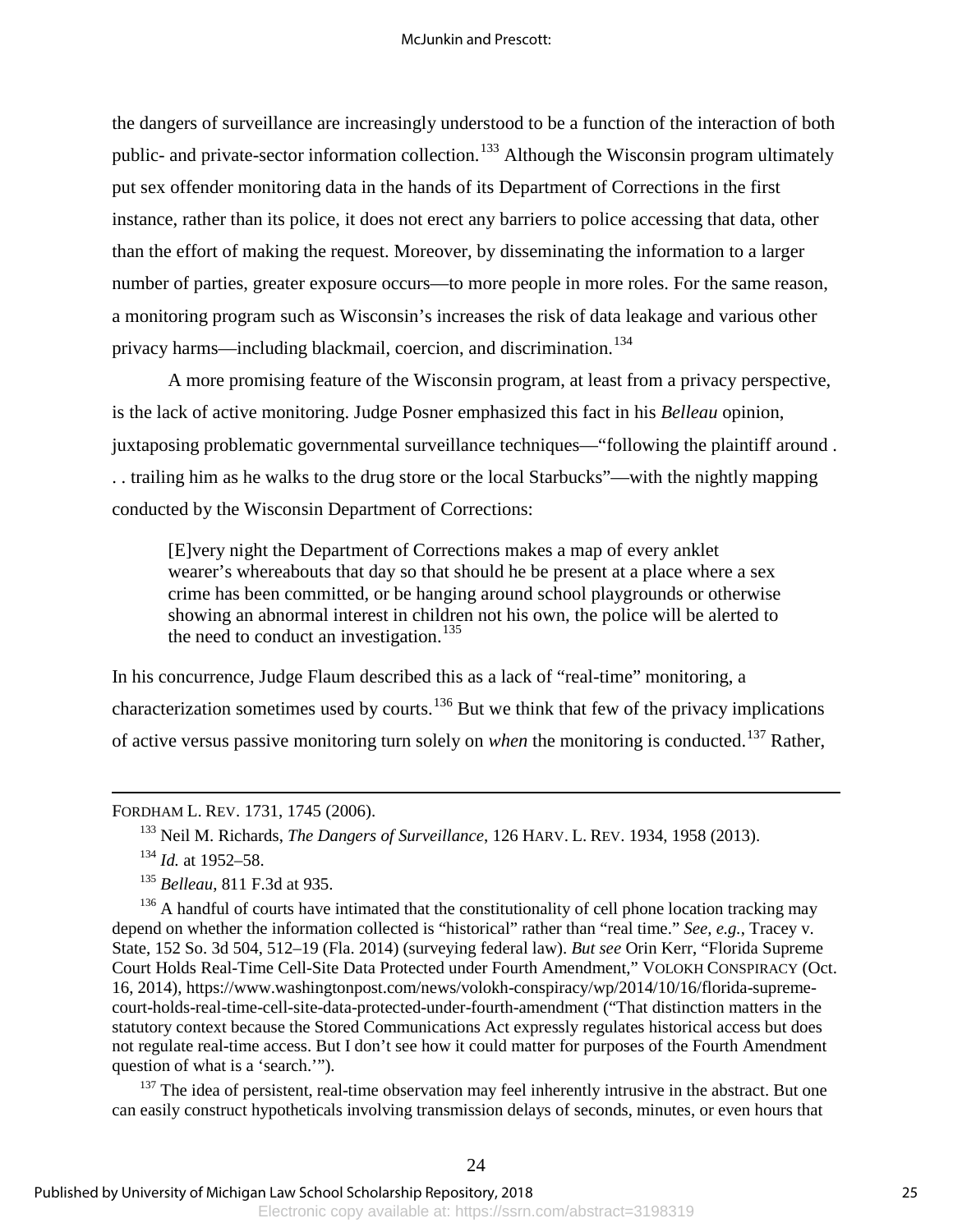the dangers of surveillance are increasingly understood to be a function of the interaction of both public- and private-sector information collection.<sup>[133](#page-25-0)</sup> Although the Wisconsin program ultimately put sex offender monitoring data in the hands of its Department of Corrections in the first instance, rather than its police, it does not erect any barriers to police accessing that data, other than the effort of making the request. Moreover, by disseminating the information to a larger number of parties, greater exposure occurs—to more people in more roles. For the same reason, a monitoring program such as Wisconsin's increases the risk of data leakage and various other privacy harms—including blackmail, coercion, and discrimination.<sup>134</sup>

A more promising feature of the Wisconsin program, at least from a privacy perspective, is the lack of active monitoring. Judge Posner emphasized this fact in his *Belleau* opinion, juxtaposing problematic governmental surveillance techniques—"following the plaintiff around . . . trailing him as he walks to the drug store or the local Starbucks"—with the nightly mapping conducted by the Wisconsin Department of Corrections:

[E]very night the Department of Corrections makes a map of every anklet wearer's whereabouts that day so that should he be present at a place where a sex crime has been committed, or be hanging around school playgrounds or otherwise showing an abnormal interest in children not his own, the police will be alerted to the need to conduct an investigation.<sup>[135](#page-25-2)</sup>

In his concurrence, Judge Flaum described this as a lack of "real-time" monitoring, a characterization sometimes used by courts.<sup>[136](#page-25-3)</sup> But we think that few of the privacy implications of active versus passive monitoring turn solely on *when* the monitoring is conducted.[137](#page-25-4) Rather,

<span id="page-25-1"></span><span id="page-25-0"></span>FORDHAM L. REV. 1731, 1745 (2006).

<sup>133</sup> Neil M. Richards, *The Dangers of Surveillance*, 126 HARV. L. REV. 1934, 1958 (2013).

<sup>134</sup> *Id.* at 1952–58.

 $\overline{a}$ 

<sup>135</sup> *Belleau*, 811 F.3d at 935.

<span id="page-25-3"></span><span id="page-25-2"></span> $136$  A handful of courts have intimated that the constitutionality of cell phone location tracking may depend on whether the information collected is "historical" rather than "real time." *See, e.g.*, Tracey v. State, 152 So. 3d 504, 512–19 (Fla. 2014) (surveying federal law). *But see* Orin Kerr, "Florida Supreme Court Holds Real-Time Cell-Site Data Protected under Fourth Amendment," VOLOKH CONSPIRACY (Oct. 16, 2014), https://www.washingtonpost.com/news/volokh-conspiracy/wp/2014/10/16/florida-supremecourt-holds-real-time-cell-site-data-protected-under-fourth-amendment ("That distinction matters in the statutory context because the Stored Communications Act expressly regulates historical access but does not regulate real-time access. But I don't see how it could matter for purposes of the Fourth Amendment question of what is a 'search.'").

<span id="page-25-4"></span> $137$  The idea of persistent, real-time observation may feel inherently intrusive in the abstract. But one can easily construct hypotheticals involving transmission delays of seconds, minutes, or even hours that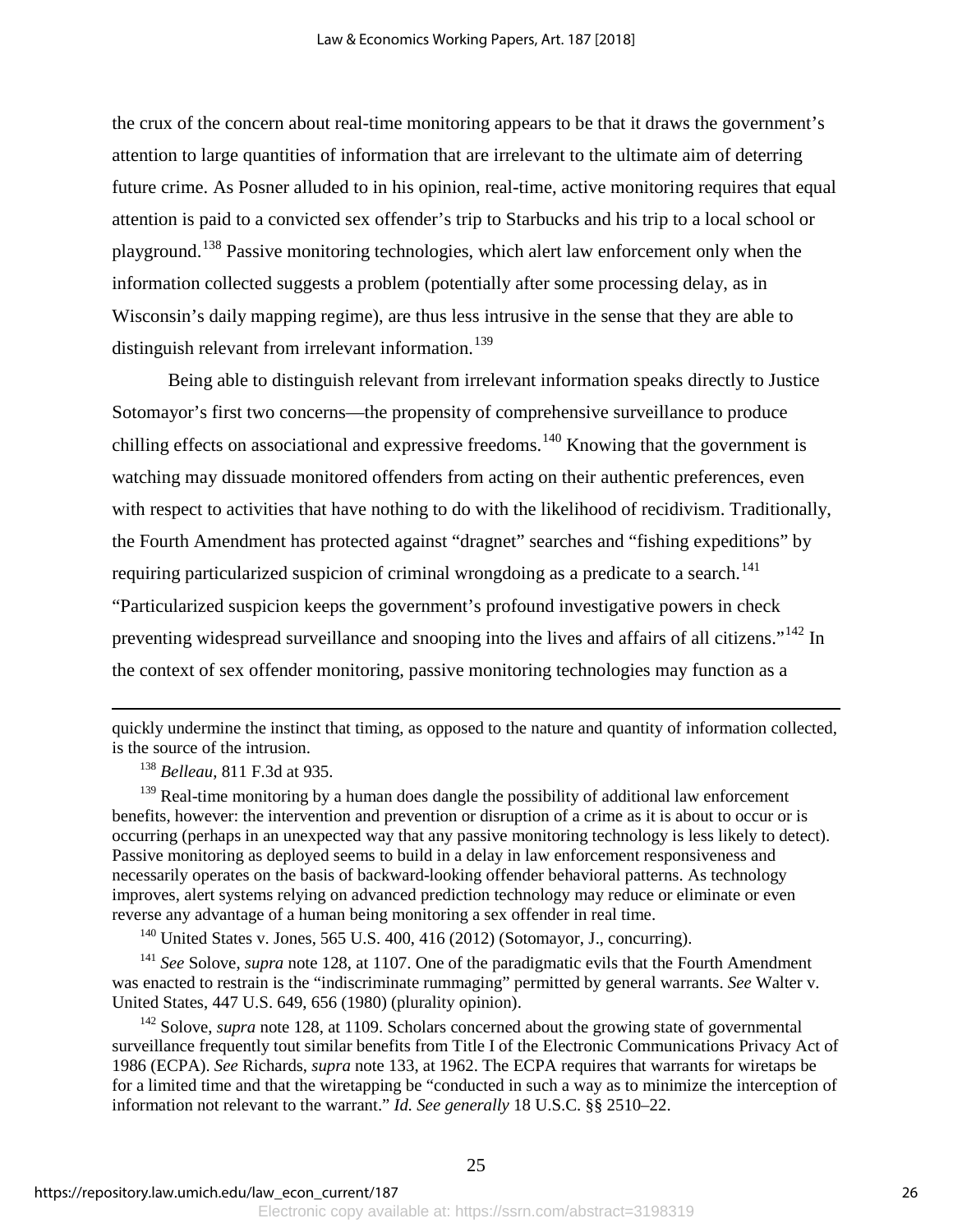the crux of the concern about real-time monitoring appears to be that it draws the government's attention to large quantities of information that are irrelevant to the ultimate aim of deterring future crime. As Posner alluded to in his opinion, real-time, active monitoring requires that equal attention is paid to a convicted sex offender's trip to Starbucks and his trip to a local school or playground.[138](#page-26-0) Passive monitoring technologies, which alert law enforcement only when the information collected suggests a problem (potentially after some processing delay, as in Wisconsin's daily mapping regime), are thus less intrusive in the sense that they are able to distinguish relevant from irrelevant information.<sup>[139](#page-26-1)</sup>

Being able to distinguish relevant from irrelevant information speaks directly to Justice Sotomayor's first two concerns—the propensity of comprehensive surveillance to produce chilling effects on associational and expressive freedoms.<sup>140</sup> Knowing that the government is watching may dissuade monitored offenders from acting on their authentic preferences, even with respect to activities that have nothing to do with the likelihood of recidivism. Traditionally, the Fourth Amendment has protected against "dragnet" searches and "fishing expeditions" by requiring particularized suspicion of criminal wrongdoing as a predicate to a search.<sup>[141](#page-26-3)</sup> "Particularized suspicion keeps the government's profound investigative powers in check preventing widespread surveillance and snooping into the lives and affairs of all citizens."<sup>[142](#page-26-4)</sup> In the context of sex offender monitoring, passive monitoring technologies may function as a

quickly undermine the instinct that timing, as opposed to the nature and quantity of information collected, is the source of the intrusion.

 $\overline{a}$ 

<span id="page-26-1"></span><span id="page-26-0"></span> $139$  Real-time monitoring by a human does dangle the possibility of additional law enforcement benefits, however: the intervention and prevention or disruption of a crime as it is about to occur or is occurring (perhaps in an unexpected way that any passive monitoring technology is less likely to detect). Passive monitoring as deployed seems to build in a delay in law enforcement responsiveness and necessarily operates on the basis of backward-looking offender behavioral patterns. As technology improves, alert systems relying on advanced prediction technology may reduce or eliminate or even reverse any advantage of a human being monitoring a sex offender in real time.

 $140$  United States v. Jones, 565 U.S. 400, 416 (2012) (Sotomayor, J., concurring).

<span id="page-26-3"></span><span id="page-26-2"></span><sup>141</sup> *See* Solove, *supra* note 128, at 1107. One of the paradigmatic evils that the Fourth Amendment was enacted to restrain is the "indiscriminate rummaging" permitted by general warrants. *See* Walter v. United States, 447 U.S. 649, 656 (1980) (plurality opinion).

<span id="page-26-4"></span><sup>142</sup> Solove, *supra* note 128, at 1109. Scholars concerned about the growing state of governmental surveillance frequently tout similar benefits from Title I of the Electronic Communications Privacy Act of 1986 (ECPA). *See* Richards, *supra* note 133, at 1962. The ECPA requires that warrants for wiretaps be for a limited time and that the wiretapping be "conducted in such a way as to minimize the interception of information not relevant to the warrant." *Id. See generally* 18 U.S.C. §§ 2510–22.

<sup>138</sup> *Belleau*, 811 F.3d at 935.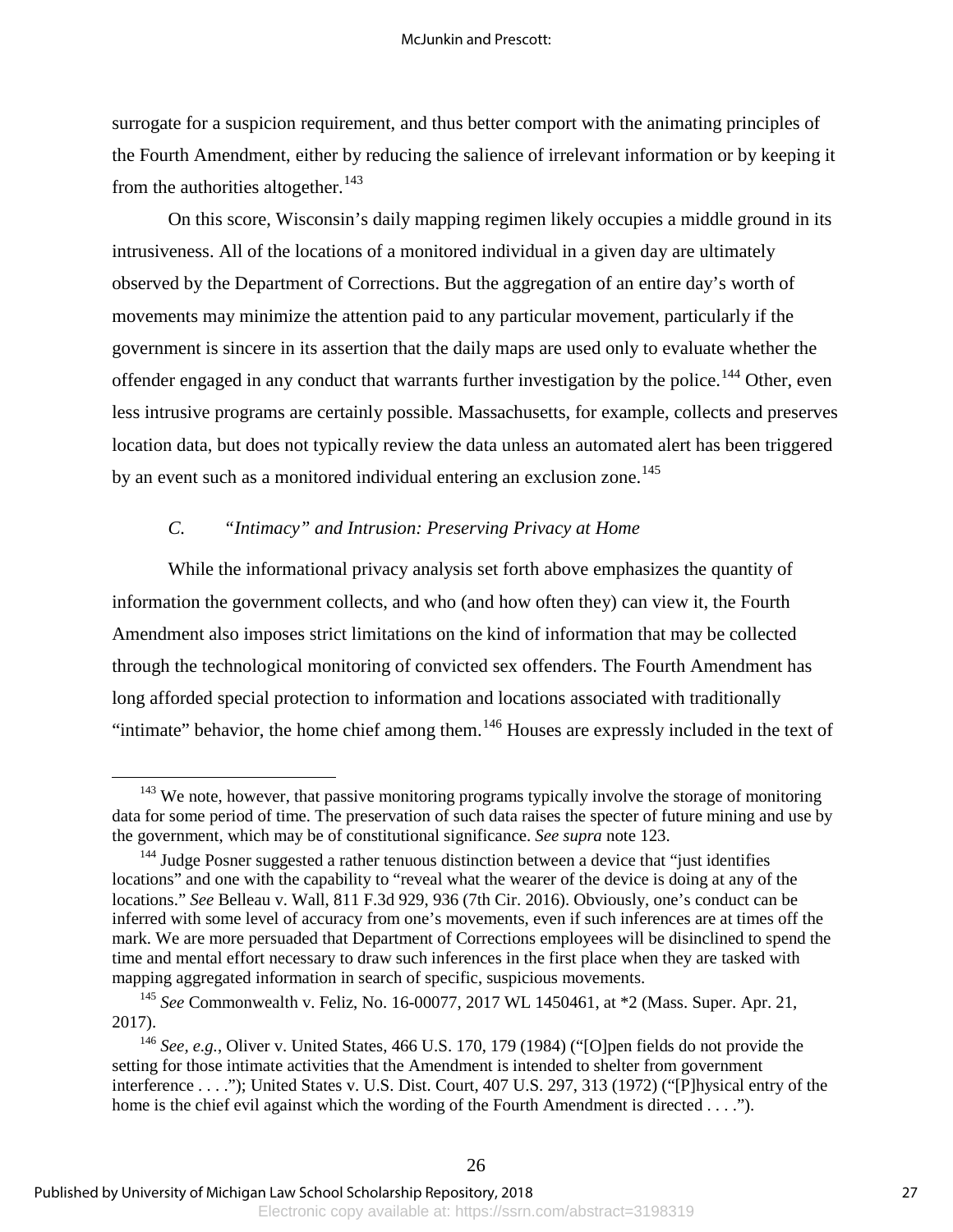surrogate for a suspicion requirement, and thus better comport with the animating principles of the Fourth Amendment, either by reducing the salience of irrelevant information or by keeping it from the authorities altogether. $143$ 

On this score, Wisconsin's daily mapping regimen likely occupies a middle ground in its intrusiveness. All of the locations of a monitored individual in a given day are ultimately observed by the Department of Corrections. But the aggregation of an entire day's worth of movements may minimize the attention paid to any particular movement, particularly if the government is sincere in its assertion that the daily maps are used only to evaluate whether the offender engaged in any conduct that warrants further investigation by the police.<sup>144</sup> Other, even less intrusive programs are certainly possible. Massachusetts, for example, collects and preserves location data, but does not typically review the data unless an automated alert has been triggered by an event such as a monitored individual entering an exclusion zone.<sup>[145](#page-27-3)</sup>

# *C. "Intimacy" and Intrusion: Preserving Privacy at Home*

<span id="page-27-0"></span>While the informational privacy analysis set forth above emphasizes the quantity of information the government collects, and who (and how often they) can view it, the Fourth Amendment also imposes strict limitations on the kind of information that may be collected through the technological monitoring of convicted sex offenders. The Fourth Amendment has long afforded special protection to information and locations associated with traditionally "intimate" behavior, the home chief among them.<sup>146</sup> Houses are expressly included in the text of

<span id="page-27-1"></span> $143$  We note, however, that passive monitoring programs typically involve the storage of monitoring data for some period of time. The preservation of such data raises the specter of future mining and use by the government, which may be of constitutional significance. *See supra* note 123.

<span id="page-27-2"></span><sup>&</sup>lt;sup>144</sup> Judge Posner suggested a rather tenuous distinction between a device that "just identifies locations" and one with the capability to "reveal what the wearer of the device is doing at any of the locations." *See* Belleau v. Wall, 811 F.3d 929, 936 (7th Cir. 2016). Obviously, one's conduct can be inferred with some level of accuracy from one's movements, even if such inferences are at times off the mark. We are more persuaded that Department of Corrections employees will be disinclined to spend the time and mental effort necessary to draw such inferences in the first place when they are tasked with mapping aggregated information in search of specific, suspicious movements.

<span id="page-27-3"></span><sup>145</sup> *See* Commonwealth v. Feliz, No. 16-00077, 2017 WL 1450461, at \*2 (Mass. Super. Apr. 21, 2017).

<span id="page-27-4"></span><sup>&</sup>lt;sup>146</sup> See, e.g., Oliver v. United States, 466 U.S. 170, 179 (1984) ("[O]pen fields do not provide the setting for those intimate activities that the Amendment is intended to shelter from government interference . . . ."); United States v. U.S. Dist. Court, 407 U.S. 297, 313 (1972) ("[P]hysical entry of the home is the chief evil against which the wording of the Fourth Amendment is directed . . . .").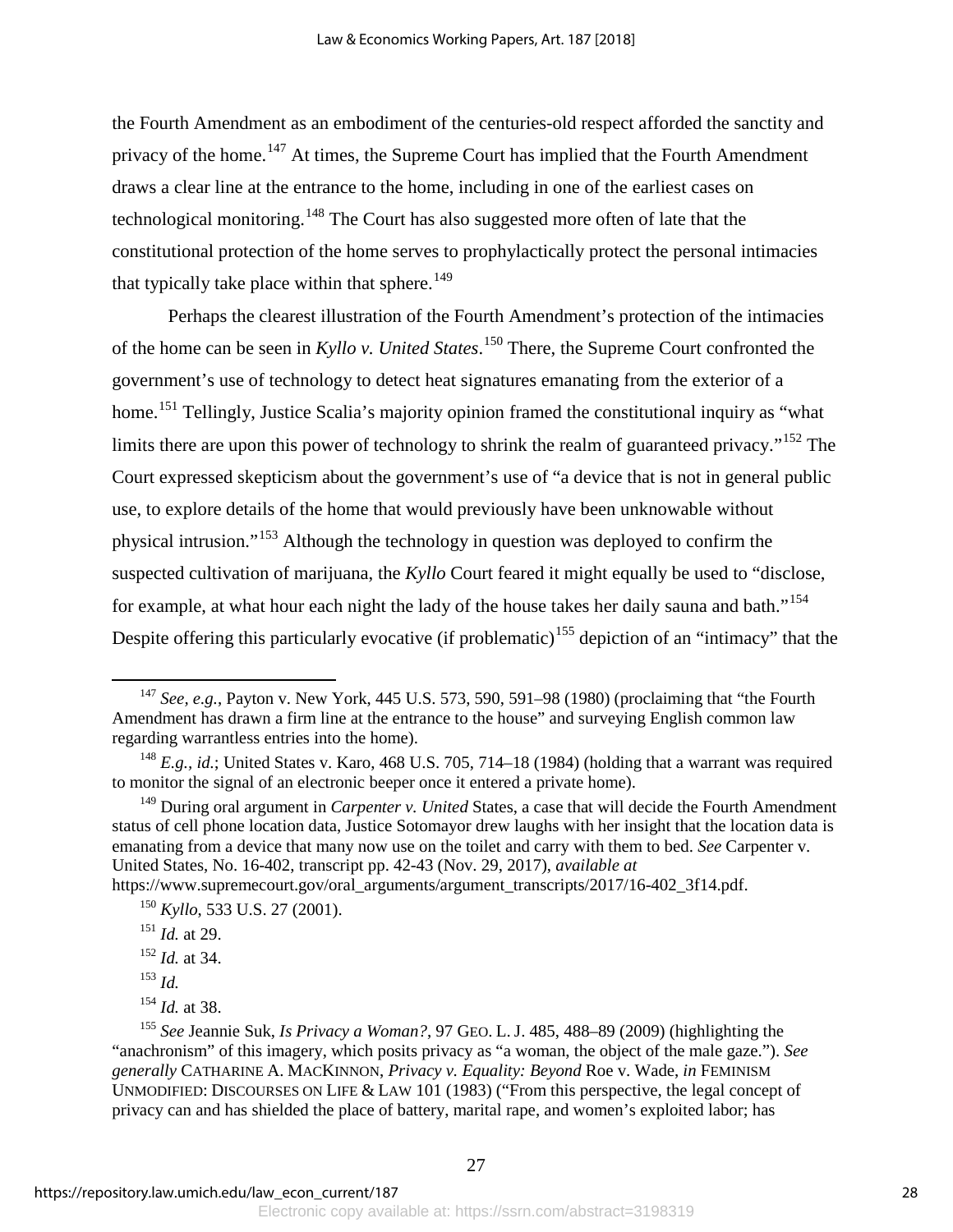the Fourth Amendment as an embodiment of the centuries-old respect afforded the sanctity and privacy of the home.<sup>[147](#page-28-0)</sup> At times, the Supreme Court has implied that the Fourth Amendment draws a clear line at the entrance to the home, including in one of the earliest cases on technological monitoring.[148](#page-28-1) The Court has also suggested more often of late that the constitutional protection of the home serves to prophylactically protect the personal intimacies that typically take place within that sphere.<sup>[149](#page-28-2)</sup>

Perhaps the clearest illustration of the Fourth Amendment's protection of the intimacies of the home can be seen in *Kyllo v. United States*. [150](#page-28-3) There, the Supreme Court confronted the government's use of technology to detect heat signatures emanating from the exterior of a home.<sup>[151](#page-28-4)</sup> Tellingly, Justice Scalia's majority opinion framed the constitutional inquiry as "what limits there are upon this power of technology to shrink the realm of guaranteed privacy."<sup>[152](#page-28-5)</sup> The Court expressed skepticism about the government's use of "a device that is not in general public use, to explore details of the home that would previously have been unknowable without physical intrusion."[153](#page-28-6) Although the technology in question was deployed to confirm the suspected cultivation of marijuana, the *Kyllo* Court feared it might equally be used to "disclose, for example, at what hour each night the lady of the house takes her daily sauna and bath."[154](#page-28-7) Despite offering this particularly evocative (if problematic)<sup>[155](#page-28-8)</sup> depiction of an "intimacy" that the

<span id="page-28-0"></span><sup>147</sup> *See, e.g.*, Payton v. New York, 445 U.S. 573, 590, 591–98 (1980) (proclaiming that "the Fourth Amendment has drawn a firm line at the entrance to the house" and surveying English common law regarding warrantless entries into the home).

<span id="page-28-1"></span><sup>&</sup>lt;sup>148</sup> *E.g., id.*; United States v. Karo, 468 U.S. 705, 714–18 (1984) (holding that a warrant was required to monitor the signal of an electronic beeper once it entered a private home).

<span id="page-28-2"></span><sup>149</sup> During oral argument in *Carpenter v. United* States, a case that will decide the Fourth Amendment status of cell phone location data, Justice Sotomayor drew laughs with her insight that the location data is emanating from a device that many now use on the toilet and carry with them to bed. *See* Carpenter v. United States, No. 16-402, transcript pp. 42-43 (Nov. 29, 2017), *available at* https://www.supremecourt.gov/oral\_arguments/argument\_transcripts/2017/16-402\_3f14.pdf.

<span id="page-28-4"></span><span id="page-28-3"></span>

<sup>150</sup> *Kyllo*, 533 U.S. 27 (2001).

<sup>151</sup> *Id.* at 29.

<sup>152</sup> *Id.* at 34.

<sup>153</sup> *Id.*

<sup>154</sup> *Id.* at 38.

<span id="page-28-8"></span><span id="page-28-7"></span><span id="page-28-6"></span><span id="page-28-5"></span><sup>155</sup> *See* Jeannie Suk, *Is Privacy a Woman?*, 97 GEO. L. J. 485, 488–89 (2009) (highlighting the "anachronism" of this imagery, which posits privacy as "a woman, the object of the male gaze."). *See generally* CATHARINE A. MACKINNON, *Privacy v. Equality: Beyond* Roe v. Wade, *in* FEMINISM UNMODIFIED: DISCOURSES ON LIFE  $&$  LAW 101 (1983) ("From this perspective, the legal concept of privacy can and has shielded the place of battery, marital rape, and women's exploited labor; has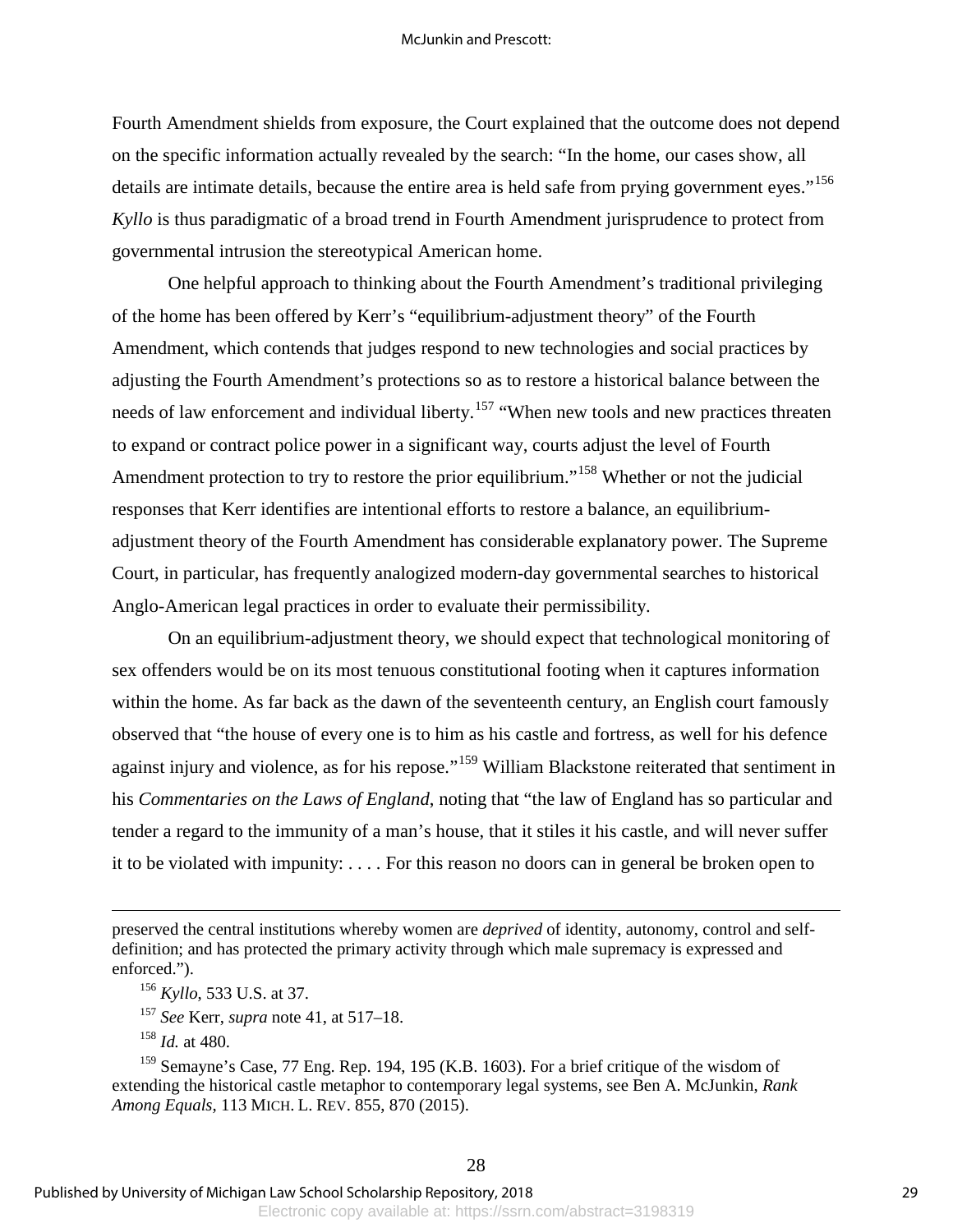Fourth Amendment shields from exposure, the Court explained that the outcome does not depend on the specific information actually revealed by the search: "In the home, our cases show, all details are intimate details, because the entire area is held safe from prying government eyes."<sup>[156](#page-29-0)</sup> *Kyllo* is thus paradigmatic of a broad trend in Fourth Amendment jurisprudence to protect from governmental intrusion the stereotypical American home.

One helpful approach to thinking about the Fourth Amendment's traditional privileging of the home has been offered by Kerr's "equilibrium-adjustment theory" of the Fourth Amendment, which contends that judges respond to new technologies and social practices by adjusting the Fourth Amendment's protections so as to restore a historical balance between the needs of law enforcement and individual liberty.<sup>[157](#page-29-1)</sup> "When new tools and new practices threaten to expand or contract police power in a significant way, courts adjust the level of Fourth Amendment protection to try to restore the prior equilibrium."<sup>158</sup> Whether or not the judicial responses that Kerr identifies are intentional efforts to restore a balance, an equilibriumadjustment theory of the Fourth Amendment has considerable explanatory power. The Supreme Court, in particular, has frequently analogized modern-day governmental searches to historical Anglo-American legal practices in order to evaluate their permissibility.

On an equilibrium-adjustment theory, we should expect that technological monitoring of sex offenders would be on its most tenuous constitutional footing when it captures information within the home. As far back as the dawn of the seventeenth century, an English court famously observed that "the house of every one is to him as his castle and fortress, as well for his defence against injury and violence, as for his repose."<sup>[159](#page-29-3)</sup> William Blackstone reiterated that sentiment in his *Commentaries on the Laws of England*, noting that "the law of England has so particular and tender a regard to the immunity of a man's house, that it stiles it his castle, and will never suffer it to be violated with impunity: . . . . For this reason no doors can in general be broken open to

 $\overline{a}$ 

<span id="page-29-3"></span><span id="page-29-2"></span><span id="page-29-1"></span><sup>159</sup> Semayne's Case, 77 Eng. Rep. 194, 195 (K.B. 1603). For a brief critique of the wisdom of extending the historical castle metaphor to contemporary legal systems, see Ben A. McJunkin, *Rank Among Equals*, 113 MICH. L. REV. 855, 870 (2015).

<span id="page-29-0"></span>preserved the central institutions whereby women are *deprived* of identity, autonomy, control and selfdefinition; and has protected the primary activity through which male supremacy is expressed and enforced.").

<sup>156</sup> *Kyllo*, 533 U.S. at 37.

<sup>157</sup> *See* Kerr, *supra* note 41, at 517–18.

<sup>158</sup> *Id.* at 480.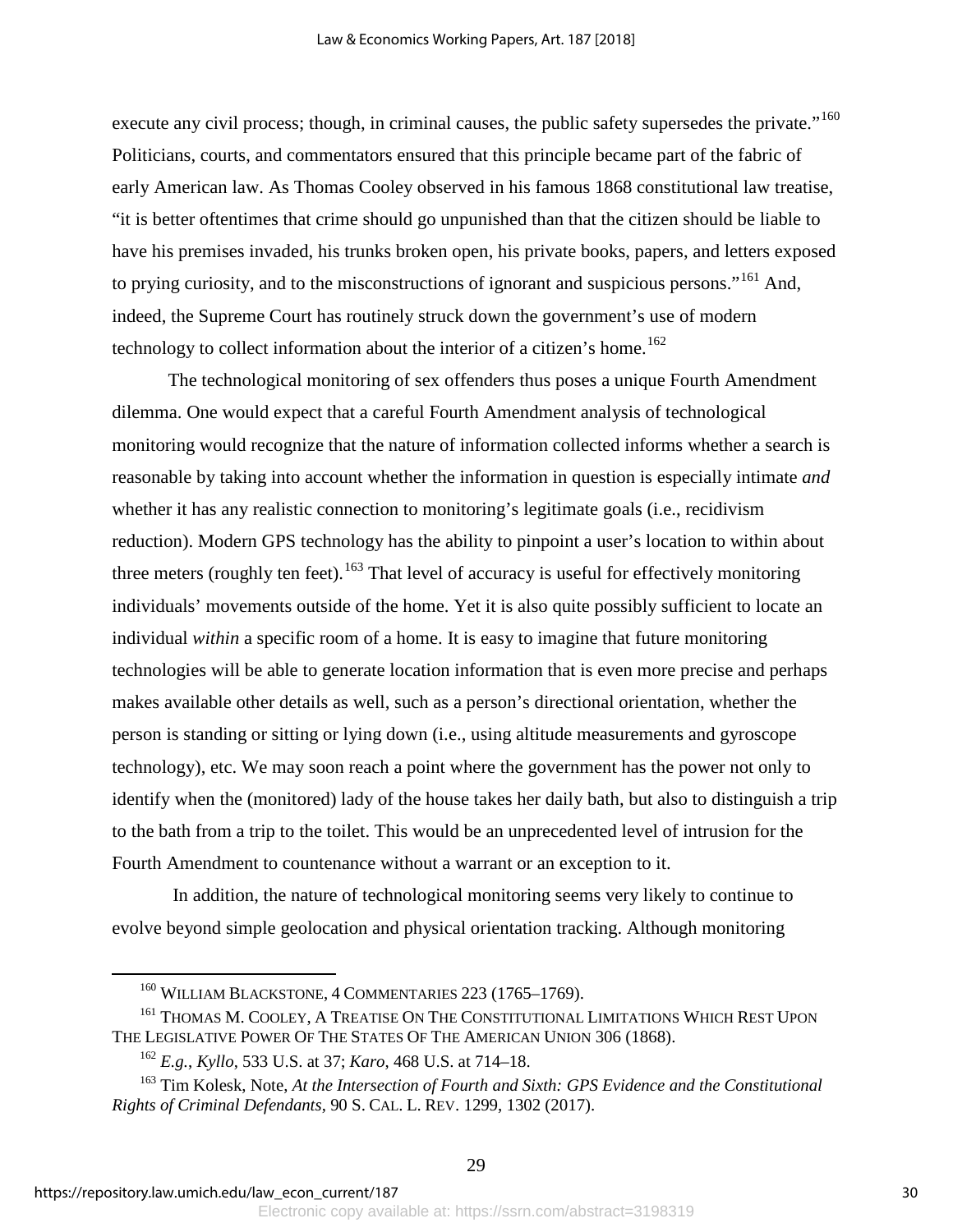execute any civil process; though, in criminal causes, the public safety supersedes the private."<sup>[160](#page-30-0)</sup> Politicians, courts, and commentators ensured that this principle became part of the fabric of early American law. As Thomas Cooley observed in his famous 1868 constitutional law treatise, "it is better oftentimes that crime should go unpunished than that the citizen should be liable to have his premises invaded, his trunks broken open, his private books, papers, and letters exposed to prying curiosity, and to the misconstructions of ignorant and suspicious persons.<sup>"[161](#page-30-1)</sup> And, indeed, the Supreme Court has routinely struck down the government's use of modern technology to collect information about the interior of a citizen's home.<sup>[162](#page-30-2)</sup>

The technological monitoring of sex offenders thus poses a unique Fourth Amendment dilemma. One would expect that a careful Fourth Amendment analysis of technological monitoring would recognize that the nature of information collected informs whether a search is reasonable by taking into account whether the information in question is especially intimate *and* whether it has any realistic connection to monitoring's legitimate goals (i.e., recidivism reduction). Modern GPS technology has the ability to pinpoint a user's location to within about three meters (roughly ten feet).<sup>[163](#page-30-3)</sup> That level of accuracy is useful for effectively monitoring individuals' movements outside of the home. Yet it is also quite possibly sufficient to locate an individual *within* a specific room of a home. It is easy to imagine that future monitoring technologies will be able to generate location information that is even more precise and perhaps makes available other details as well, such as a person's directional orientation, whether the person is standing or sitting or lying down (i.e., using altitude measurements and gyroscope technology), etc. We may soon reach a point where the government has the power not only to identify when the (monitored) lady of the house takes her daily bath, but also to distinguish a trip to the bath from a trip to the toilet. This would be an unprecedented level of intrusion for the Fourth Amendment to countenance without a warrant or an exception to it.

 In addition, the nature of technological monitoring seems very likely to continue to evolve beyond simple geolocation and physical orientation tracking. Although monitoring

<sup>&</sup>lt;sup>160</sup> WILLIAM BLACKSTONE, 4 COMMENTARIES 223 (1765-1769).

<span id="page-30-1"></span><span id="page-30-0"></span><sup>&</sup>lt;sup>161</sup> THOMAS M. COOLEY, A TREATISE ON THE CONSTITUTIONAL LIMITATIONS WHICH REST UPON THE LEGISLATIVE POWER OF THE STATES OF THE AMERICAN UNION 306 (1868).

<sup>162</sup> *E.g.*, *Kyllo*, 533 U.S. at 37; *Karo*, 468 U.S. at 714–18.

<span id="page-30-3"></span><span id="page-30-2"></span><sup>163</sup> Tim Kolesk, Note, *At the Intersection of Fourth and Sixth: GPS Evidence and the Constitutional Rights of Criminal Defendants*, 90 S. CAL. L. REV. 1299, 1302 (2017).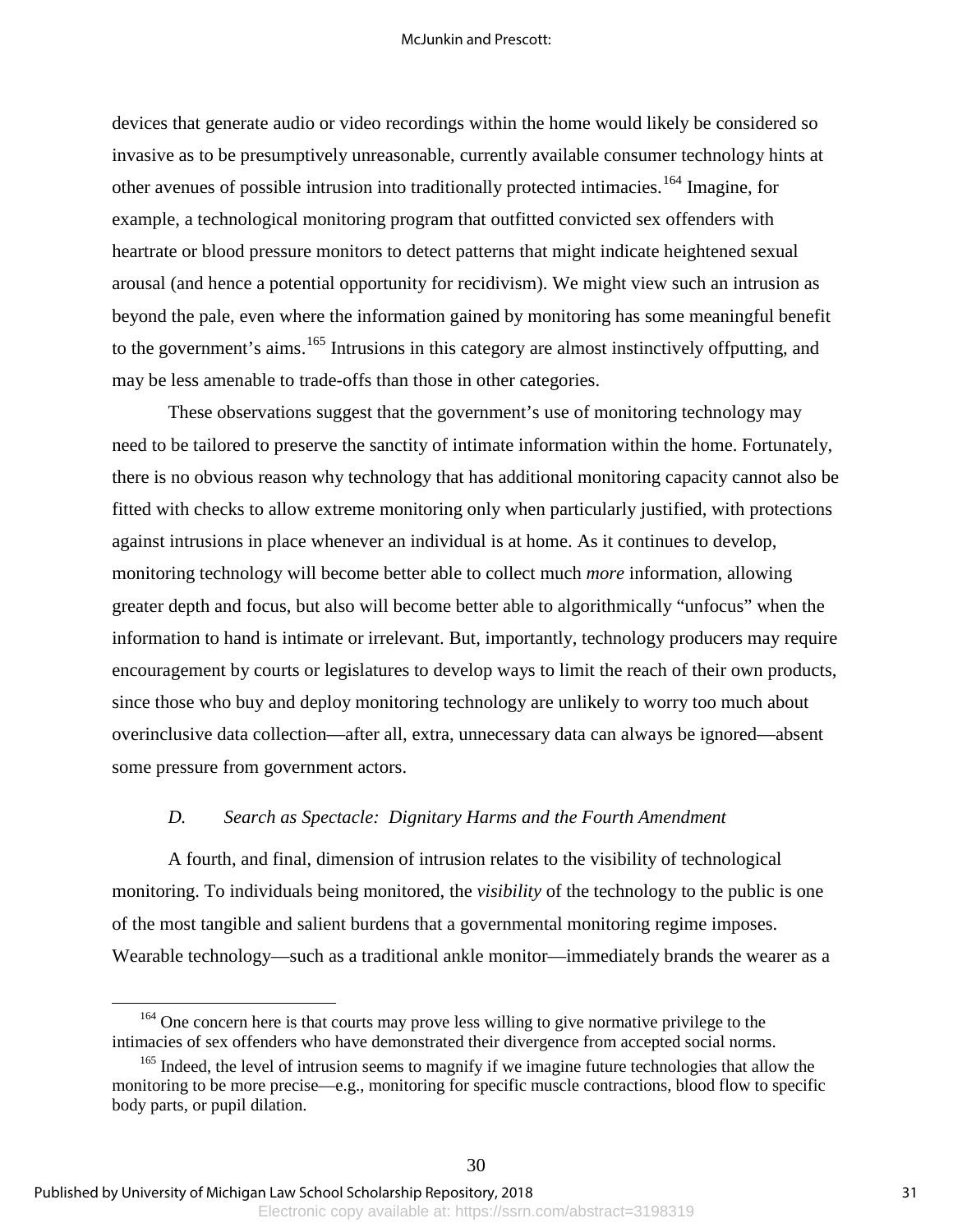devices that generate audio or video recordings within the home would likely be considered so invasive as to be presumptively unreasonable, currently available consumer technology hints at other avenues of possible intrusion into traditionally protected intimacies.<sup>[164](#page-31-1)</sup> Imagine, for example, a technological monitoring program that outfitted convicted sex offenders with heartrate or blood pressure monitors to detect patterns that might indicate heightened sexual arousal (and hence a potential opportunity for recidivism). We might view such an intrusion as beyond the pale, even where the information gained by monitoring has some meaningful benefit to the government's aims.<sup>[165](#page-31-2)</sup> Intrusions in this category are almost instinctively offputting, and may be less amenable to trade-offs than those in other categories.

These observations suggest that the government's use of monitoring technology may need to be tailored to preserve the sanctity of intimate information within the home. Fortunately, there is no obvious reason why technology that has additional monitoring capacity cannot also be fitted with checks to allow extreme monitoring only when particularly justified, with protections against intrusions in place whenever an individual is at home. As it continues to develop, monitoring technology will become better able to collect much *more* information, allowing greater depth and focus, but also will become better able to algorithmically "unfocus" when the information to hand is intimate or irrelevant. But, importantly, technology producers may require encouragement by courts or legislatures to develop ways to limit the reach of their own products, since those who buy and deploy monitoring technology are unlikely to worry too much about overinclusive data collection—after all, extra, unnecessary data can always be ignored—absent some pressure from government actors.

# *D. Search as Spectacle: Dignitary Harms and the Fourth Amendment*

<span id="page-31-0"></span>A fourth, and final, dimension of intrusion relates to the visibility of technological monitoring. To individuals being monitored, the *visibility* of the technology to the public is one of the most tangible and salient burdens that a governmental monitoring regime imposes. Wearable technology—such as a traditional ankle monitor—immediately brands the wearer as a

Published by University of Michigan Law School Scholarship Repository, 2018

<span id="page-31-1"></span><sup>&</sup>lt;sup>164</sup> One concern here is that courts may prove less willing to give normative privilege to the intimacies of sex offenders who have demonstrated their divergence from accepted social norms.

<span id="page-31-2"></span><sup>&</sup>lt;sup>165</sup> Indeed, the level of intrusion seems to magnify if we imagine future technologies that allow the monitoring to be more precise—e.g., monitoring for specific muscle contractions, blood flow to specific body parts, or pupil dilation.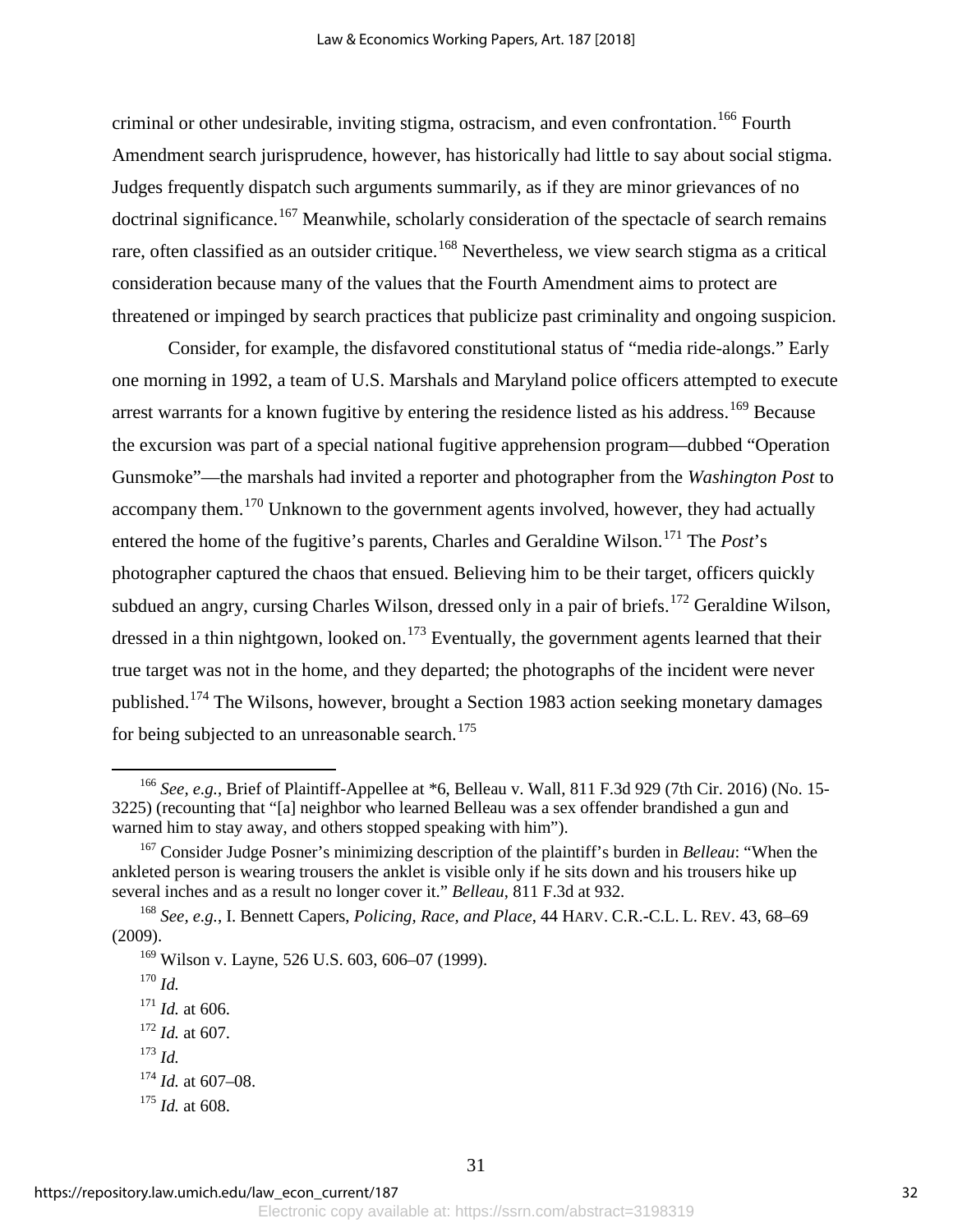criminal or other undesirable, inviting stigma, ostracism, and even confrontation.<sup>166</sup> Fourth Amendment search jurisprudence, however, has historically had little to say about social stigma. Judges frequently dispatch such arguments summarily, as if they are minor grievances of no doctrinal significance.<sup>[167](#page-32-1)</sup> Meanwhile, scholarly consideration of the spectacle of search remains rare, often classified as an outsider critique.<sup>[168](#page-32-2)</sup> Nevertheless, we view search stigma as a critical consideration because many of the values that the Fourth Amendment aims to protect are threatened or impinged by search practices that publicize past criminality and ongoing suspicion.

Consider, for example, the disfavored constitutional status of "media ride-alongs." Early one morning in 1992, a team of U.S. Marshals and Maryland police officers attempted to execute arrest warrants for a known fugitive by entering the residence listed as his address.<sup>[169](#page-32-3)</sup> Because the excursion was part of a special national fugitive apprehension program—dubbed "Operation Gunsmoke"—the marshals had invited a reporter and photographer from the *Washington Post* to accompany them.<sup>[170](#page-32-4)</sup> Unknown to the government agents involved, however, they had actually entered the home of the fugitive's parents, Charles and Geraldine Wilson.[171](#page-32-5) The *Post*'s photographer captured the chaos that ensued. Believing him to be their target, officers quickly subdued an angry, cursing Charles Wilson, dressed only in a pair of briefs.<sup>[172](#page-32-6)</sup> Geraldine Wilson, dressed in a thin nightgown, looked on.<sup>[173](#page-32-7)</sup> Eventually, the government agents learned that their true target was not in the home, and they departed; the photographs of the incident were never published.[174](#page-32-8) The Wilsons, however, brought a Section 1983 action seeking monetary damages for being subjected to an unreasonable search. $175$ 

<sup>170</sup> *Id.*

<span id="page-32-7"></span> $^{173}$  *Id.* 

<span id="page-32-9"></span> $1^{175}$  *Id.* at 608.

<span id="page-32-0"></span><sup>166</sup> *See, e.g.*, Brief of Plaintiff-Appellee at \*6, Belleau v. Wall, 811 F.3d 929 (7th Cir. 2016) (No. 15- 3225) (recounting that "[a] neighbor who learned Belleau was a sex offender brandished a gun and warned him to stay away, and others stopped speaking with him").

<span id="page-32-1"></span><sup>167</sup> Consider Judge Posner's minimizing description of the plaintiff's burden in *Belleau*: "When the ankleted person is wearing trousers the anklet is visible only if he sits down and his trousers hike up several inches and as a result no longer cover it." *Belleau*, 811 F.3d at 932.

<span id="page-32-4"></span><span id="page-32-3"></span><span id="page-32-2"></span><sup>168</sup> *See, e.g.*, I. Bennett Capers, *Policing, Race, and Place*, 44 HARV. C.R.-C.L. L. REV. 43, 68–69 (2009).

<sup>169</sup> Wilson v. Layne, 526 U.S. 603, 606–07 (1999).

<span id="page-32-5"></span> $171$  *Id.* at 606.

<span id="page-32-6"></span><sup>172</sup> *Id.* at 607.

<span id="page-32-8"></span><sup>174</sup> *Id.* at 607–08.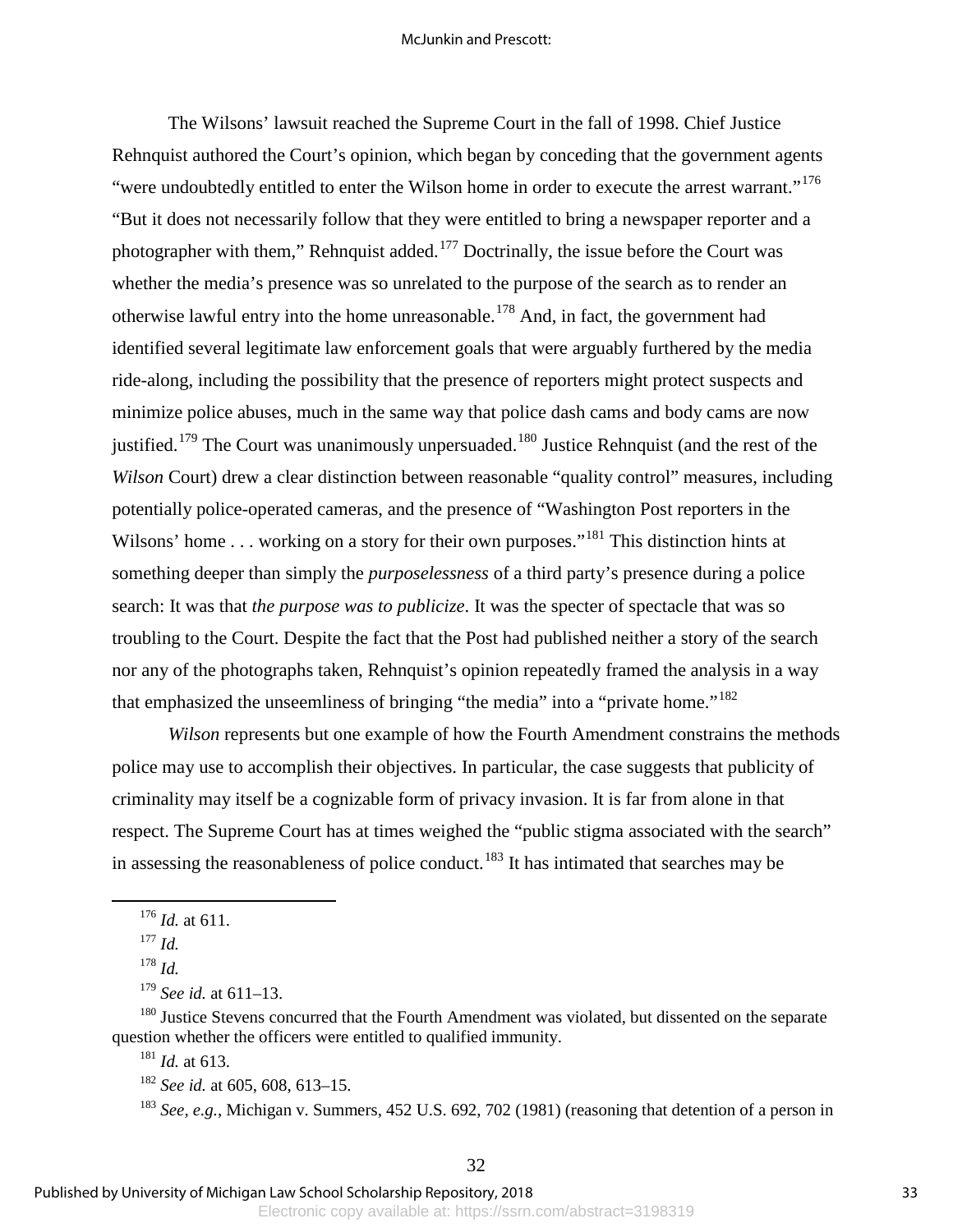#### McJunkin and Prescott:

The Wilsons' lawsuit reached the Supreme Court in the fall of 1998. Chief Justice Rehnquist authored the Court's opinion, which began by conceding that the government agents "were undoubtedly entitled to enter the Wilson home in order to execute the arrest warrant."<sup>[176](#page-33-0)</sup> "But it does not necessarily follow that they were entitled to bring a newspaper reporter and a photographer with them," Rehnquist added.<sup>177</sup> Doctrinally, the issue before the Court was whether the media's presence was so unrelated to the purpose of the search as to render an otherwise lawful entry into the home unreasonable.<sup>[178](#page-33-2)</sup> And, in fact, the government had identified several legitimate law enforcement goals that were arguably furthered by the media ride-along, including the possibility that the presence of reporters might protect suspects and minimize police abuses, much in the same way that police dash cams and body cams are now justified.<sup>[179](#page-33-3)</sup> The Court was unanimously unpersuaded.<sup>[180](#page-33-4)</sup> Justice Rehnquist (and the rest of the *Wilson* Court) drew a clear distinction between reasonable "quality control" measures, including potentially police-operated cameras, and the presence of "Washington Post reporters in the Wilsons' home . . . working on a story for their own purposes."<sup>[181](#page-33-5)</sup> This distinction hints at something deeper than simply the *purposelessness* of a third party's presence during a police search: It was that *the purpose was to publicize*. It was the specter of spectacle that was so troubling to the Court. Despite the fact that the Post had published neither a story of the search nor any of the photographs taken, Rehnquist's opinion repeatedly framed the analysis in a way that emphasized the unseemliness of bringing "the media" into a "private home."<sup>[182](#page-33-6)</sup>

*Wilson* represents but one example of how the Fourth Amendment constrains the methods police may use to accomplish their objectives. In particular, the case suggests that publicity of criminality may itself be a cognizable form of privacy invasion. It is far from alone in that respect. The Supreme Court has at times weighed the "public stigma associated with the search" in assessing the reasonableness of police conduct.<sup>[183](#page-33-7)</sup> It has intimated that searches may be

<span id="page-33-6"></span><span id="page-33-5"></span><span id="page-33-4"></span><span id="page-33-3"></span><span id="page-33-2"></span><span id="page-33-1"></span><sup>180</sup> Justice Stevens concurred that the Fourth Amendment was violated, but dissented on the separate question whether the officers were entitled to qualified immunity.

<sup>182</sup> *See id.* at 605, 608, 613–15.

<span id="page-33-7"></span><sup>183</sup> *See, e.g.*, Michigan v. Summers, 452 U.S. 692, 702 (1981) (reasoning that detention of a person in

<span id="page-33-0"></span><sup>176</sup> *Id.* at 611.

<sup>177</sup> *Id.*

<sup>178</sup> *Id.* 179 *See id.* at 611–13.

<sup>181</sup> *Id.* at 613.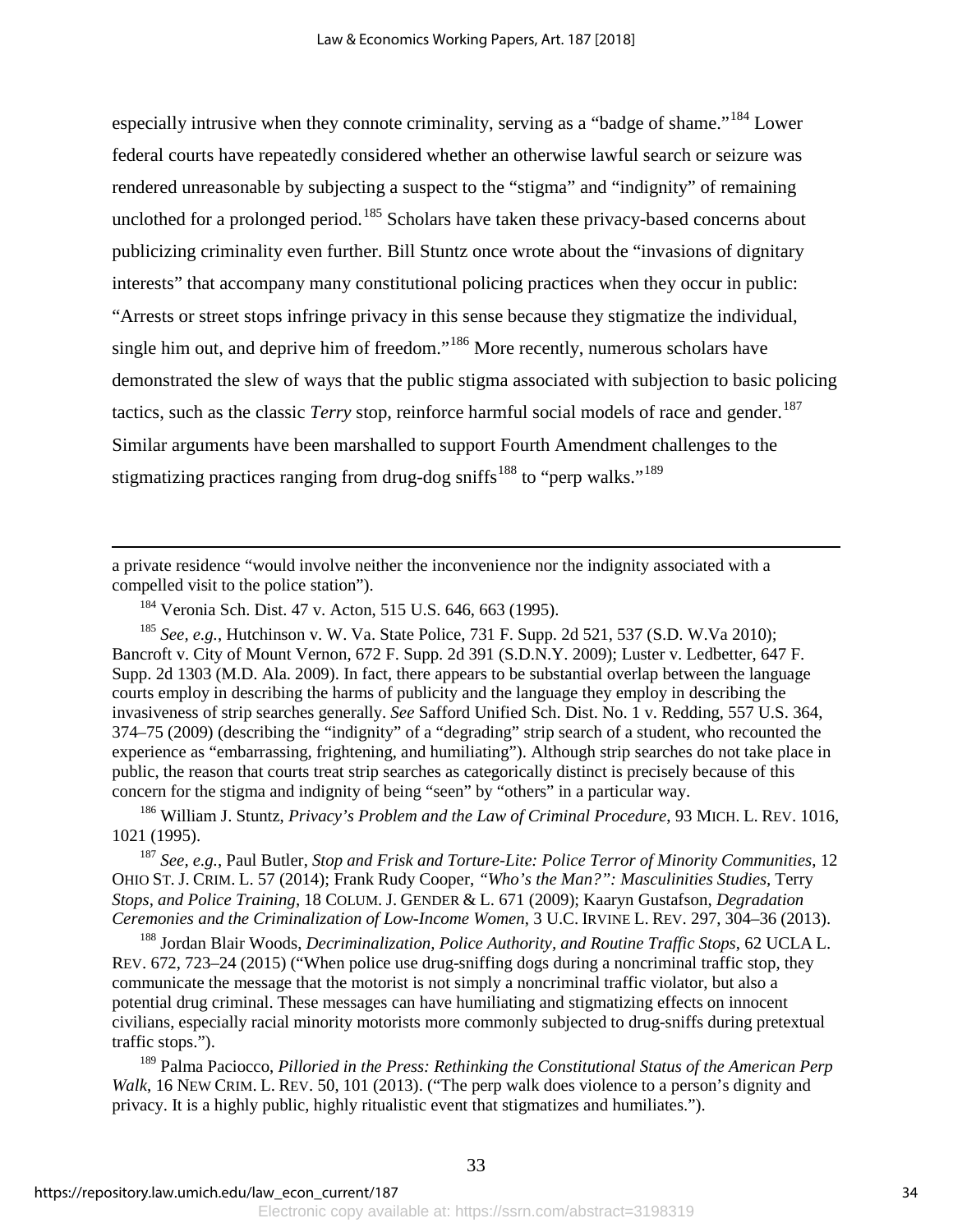especially intrusive when they connote criminality, serving as a "badge of shame."<sup>[184](#page-34-0)</sup> Lower federal courts have repeatedly considered whether an otherwise lawful search or seizure was rendered unreasonable by subjecting a suspect to the "stigma" and "indignity" of remaining unclothed for a prolonged period.<sup>185</sup> Scholars have taken these privacy-based concerns about publicizing criminality even further. Bill Stuntz once wrote about the "invasions of dignitary interests" that accompany many constitutional policing practices when they occur in public: "Arrests or street stops infringe privacy in this sense because they stigmatize the individual, single him out, and deprive him of freedom."[186](#page-34-2) More recently, numerous scholars have demonstrated the slew of ways that the public stigma associated with subjection to basic policing tactics, such as the classic *Terry* stop, reinforce harmful social models of race and gender.<sup>[187](#page-34-3)</sup> Similar arguments have been marshalled to support Fourth Amendment challenges to the stigmatizing practices ranging from drug-dog sniffs<sup>[188](#page-34-4)</sup> to "perp walks."<sup>[189](#page-34-5)</sup>

a private residence "would involve neither the inconvenience nor the indignity associated with a compelled visit to the police station").

184 Veronia Sch. Dist. 47 v. Acton, 515 U.S. 646, 663 (1995).

<span id="page-34-1"></span><span id="page-34-0"></span><sup>185</sup> *See, e.g.*, Hutchinson v. W. Va. State Police, 731 F. Supp. 2d 521, 537 (S.D. W.Va 2010); Bancroft v. City of Mount Vernon, 672 F. Supp. 2d 391 (S.D.N.Y. 2009); Luster v. Ledbetter, 647 F. Supp. 2d 1303 (M.D. Ala. 2009). In fact, there appears to be substantial overlap between the language courts employ in describing the harms of publicity and the language they employ in describing the invasiveness of strip searches generally. *See* Safford Unified Sch. Dist. No. 1 v. Redding, 557 U.S. 364, 374–75 (2009) (describing the "indignity" of a "degrading" strip search of a student, who recounted the experience as "embarrassing, frightening, and humiliating"). Although strip searches do not take place in public, the reason that courts treat strip searches as categorically distinct is precisely because of this concern for the stigma and indignity of being "seen" by "others" in a particular way.

<span id="page-34-2"></span><sup>186</sup> William J. Stuntz, *Privacy's Problem and the Law of Criminal Procedure*, 93 MICH. L. REV. 1016, 1021 (1995).

<span id="page-34-3"></span><sup>187</sup> *See, e.g.*, Paul Butler, *Stop and Frisk and Torture-Lite: Police Terror of Minority Communities*, 12 OHIO ST. J. CRIM. L. 57 (2014); Frank Rudy Cooper, *"Who's the Man?": Masculinities Studies,* Terry *Stops, and Police Training*, 18 COLUM. J. GENDER & L. 671 (2009); Kaaryn Gustafson, *Degradation Ceremonies and the Criminalization of Low-Income Women*, 3 U.C. IRVINE L. REV. 297, 304–36 (2013).

<span id="page-34-4"></span>188 Jordan Blair Woods, *Decriminalization, Police Authority, and Routine Traffic Stops*, 62 UCLA L. REV. 672, 723–24 (2015) ("When police use drug-sniffing dogs during a noncriminal traffic stop, they communicate the message that the motorist is not simply a noncriminal traffic violator, but also a potential drug criminal. These messages can have humiliating and stigmatizing effects on innocent civilians, especially racial minority motorists more commonly subjected to drug-sniffs during pretextual traffic stops.").

<span id="page-34-5"></span><sup>189</sup> Palma Paciocco, *Pilloried in the Press: Rethinking the Constitutional Status of the American Perp Walk*, 16 NEW CRIM. L. REV. 50, 101 (2013). ("The perp walk does violence to a person's dignity and privacy. It is a highly public, highly ritualistic event that stigmatizes and humiliates.").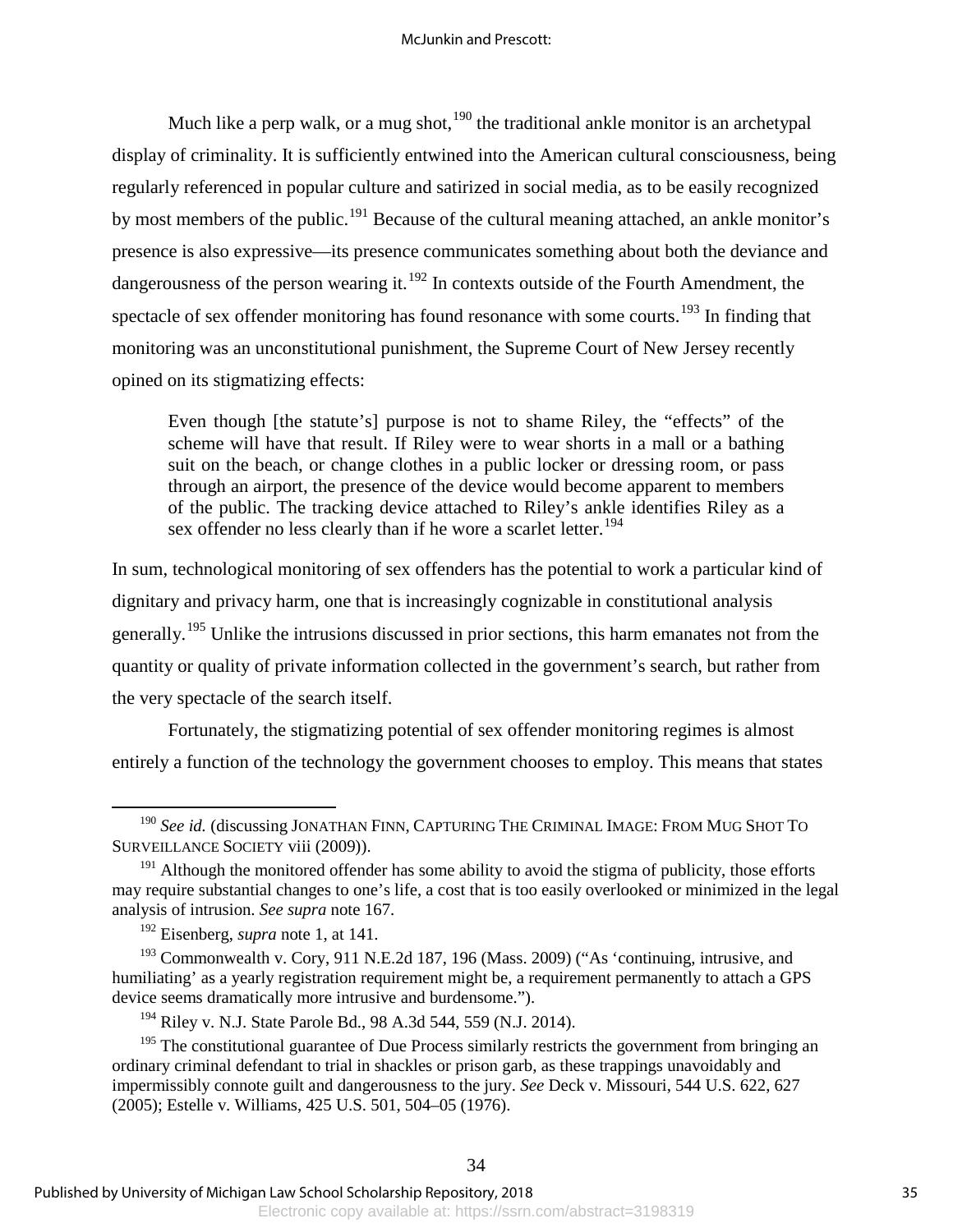Much like a perp walk, or a mug shot,  $190$  the traditional ankle monitor is an archetypal display of criminality. It is sufficiently entwined into the American cultural consciousness, being regularly referenced in popular culture and satirized in social media, as to be easily recognized by most members of the public.<sup>191</sup> Because of the cultural meaning attached, an ankle monitor's presence is also expressive—its presence communicates something about both the deviance and dangerousness of the person wearing it.<sup>[192](#page-35-2)</sup> In contexts outside of the Fourth Amendment, the spectacle of sex offender monitoring has found resonance with some courts.<sup>193</sup> In finding that monitoring was an unconstitutional punishment, the Supreme Court of New Jersey recently opined on its stigmatizing effects:

Even though [the statute's] purpose is not to shame Riley, the "effects" of the scheme will have that result. If Riley were to wear shorts in a mall or a bathing suit on the beach, or change clothes in a public locker or dressing room, or pass through an airport, the presence of the device would become apparent to members of the public. The tracking device attached to Riley's ankle identifies Riley as a sex offender no less clearly than if he wore a scarlet letter.<sup>[194](#page-35-4)</sup>

In sum, technological monitoring of sex offenders has the potential to work a particular kind of dignitary and privacy harm, one that is increasingly cognizable in constitutional analysis generally.<sup>[195](#page-35-5)</sup> Unlike the intrusions discussed in prior sections, this harm emanates not from the quantity or quality of private information collected in the government's search, but rather from the very spectacle of the search itself.

Fortunately, the stigmatizing potential of sex offender monitoring regimes is almost entirely a function of the technology the government chooses to employ. This means that states

<span id="page-35-0"></span><sup>190</sup> *See id.* (discussing JONATHAN FINN, CAPTURING THE CRIMINAL IMAGE: FROM MUG SHOT TO SURVEILLANCE SOCIETY viii (2009)).

<span id="page-35-1"></span> $191$  Although the monitored offender has some ability to avoid the stigma of publicity, those efforts may require substantial changes to one's life, a cost that is too easily overlooked or minimized in the legal analysis of intrusion. *See supra* note 167.

<sup>192</sup> Eisenberg, *supra* note [1,](#page-2-6) at 141.

<span id="page-35-3"></span><span id="page-35-2"></span><sup>&</sup>lt;sup>193</sup> Commonwealth v. Cory, 911 N.E.2d 187, 196 (Mass. 2009) ("As 'continuing, intrusive, and humiliating' as a yearly registration requirement might be, a requirement permanently to attach a GPS device seems dramatically more intrusive and burdensome.").

<sup>&</sup>lt;sup>194</sup> Riley v. N.J. State Parole Bd., 98 A.3d 544, 559 (N.J. 2014).

<span id="page-35-5"></span><span id="page-35-4"></span><sup>&</sup>lt;sup>195</sup> The constitutional guarantee of Due Process similarly restricts the government from bringing an ordinary criminal defendant to trial in shackles or prison garb, as these trappings unavoidably and impermissibly connote guilt and dangerousness to the jury. *See* Deck v. Missouri, 544 U.S. 622, 627 (2005); Estelle v. Williams, 425 U.S. 501, 504–05 (1976).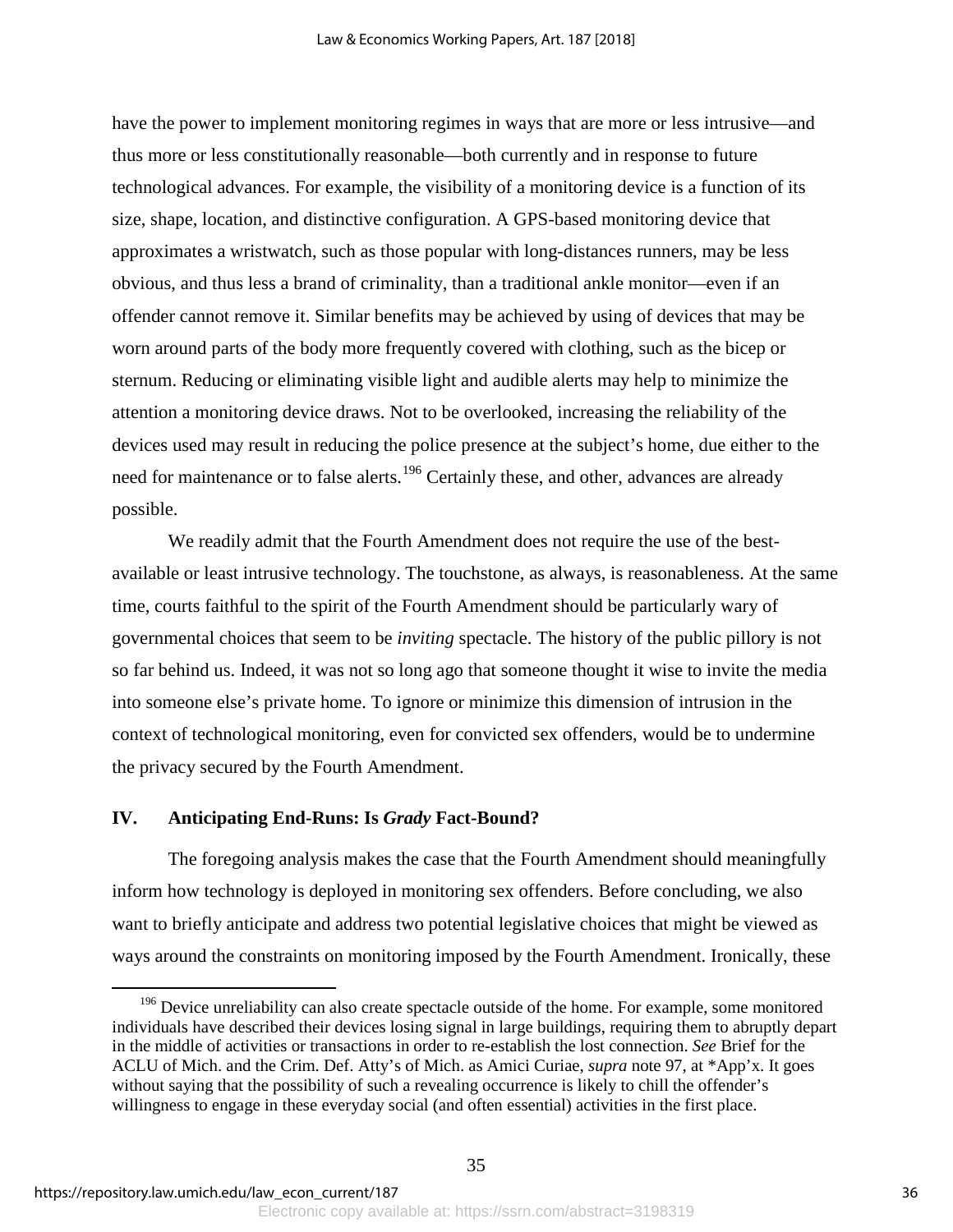have the power to implement monitoring regimes in ways that are more or less intrusive—and thus more or less constitutionally reasonable—both currently and in response to future technological advances. For example, the visibility of a monitoring device is a function of its size, shape, location, and distinctive configuration. A GPS-based monitoring device that approximates a wristwatch, such as those popular with long-distances runners, may be less obvious, and thus less a brand of criminality, than a traditional ankle monitor—even if an offender cannot remove it. Similar benefits may be achieved by using of devices that may be worn around parts of the body more frequently covered with clothing, such as the bicep or sternum. Reducing or eliminating visible light and audible alerts may help to minimize the attention a monitoring device draws. Not to be overlooked, increasing the reliability of the devices used may result in reducing the police presence at the subject's home, due either to the need for maintenance or to false alerts.<sup>[196](#page-36-1)</sup> Certainly these, and other, advances are already possible.

We readily admit that the Fourth Amendment does not require the use of the bestavailable or least intrusive technology. The touchstone, as always, is reasonableness. At the same time, courts faithful to the spirit of the Fourth Amendment should be particularly wary of governmental choices that seem to be *inviting* spectacle. The history of the public pillory is not so far behind us. Indeed, it was not so long ago that someone thought it wise to invite the media into someone else's private home. To ignore or minimize this dimension of intrusion in the context of technological monitoring, even for convicted sex offenders, would be to undermine the privacy secured by the Fourth Amendment.

# <span id="page-36-0"></span>**IV. Anticipating End-Runs: Is** *Grady* **Fact-Bound?**

The foregoing analysis makes the case that the Fourth Amendment should meaningfully inform how technology is deployed in monitoring sex offenders. Before concluding, we also want to briefly anticipate and address two potential legislative choices that might be viewed as ways around the constraints on monitoring imposed by the Fourth Amendment. Ironically, these

<span id="page-36-1"></span><sup>&</sup>lt;sup>196</sup> Device unreliability can also create spectacle outside of the home. For example, some monitored individuals have described their devices losing signal in large buildings, requiring them to abruptly depart in the middle of activities or transactions in order to re-establish the lost connection. *See* Brief for the ACLU of Mich. and the Crim. Def. Atty's of Mich. as Amici Curiae, *supra* note [97,](#page-19-8) at \*App'x. It goes without saying that the possibility of such a revealing occurrence is likely to chill the offender's willingness to engage in these everyday social (and often essential) activities in the first place.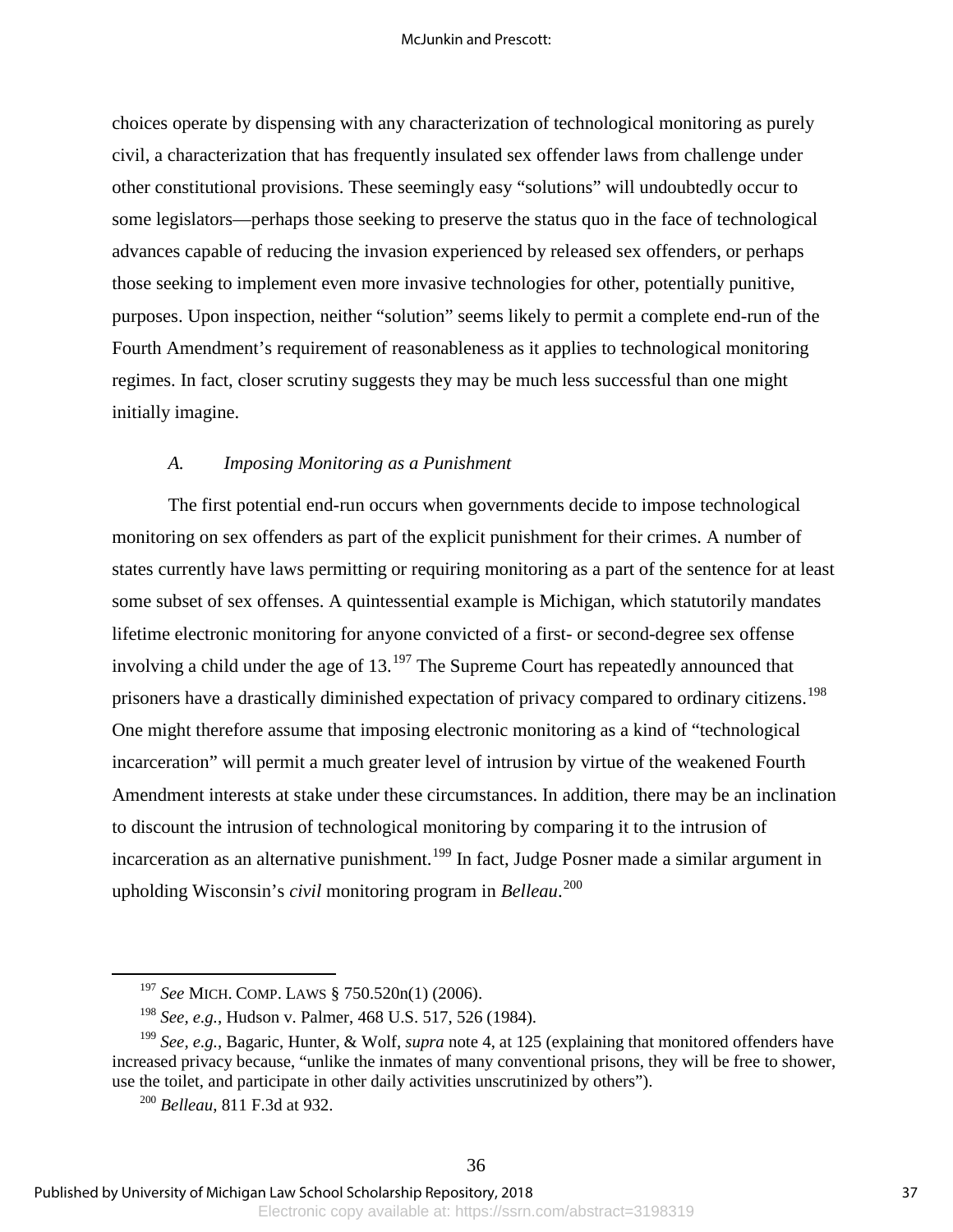#### McJunkin and Prescott:

choices operate by dispensing with any characterization of technological monitoring as purely civil, a characterization that has frequently insulated sex offender laws from challenge under other constitutional provisions. These seemingly easy "solutions" will undoubtedly occur to some legislators—perhaps those seeking to preserve the status quo in the face of technological advances capable of reducing the invasion experienced by released sex offenders, or perhaps those seeking to implement even more invasive technologies for other, potentially punitive, purposes. Upon inspection, neither "solution" seems likely to permit a complete end-run of the Fourth Amendment's requirement of reasonableness as it applies to technological monitoring regimes. In fact, closer scrutiny suggests they may be much less successful than one might initially imagine.

# *A. Imposing Monitoring as a Punishment*

<span id="page-37-0"></span>The first potential end-run occurs when governments decide to impose technological monitoring on sex offenders as part of the explicit punishment for their crimes. A number of states currently have laws permitting or requiring monitoring as a part of the sentence for at least some subset of sex offenses. A quintessential example is Michigan, which statutorily mandates lifetime electronic monitoring for anyone convicted of a first- or second-degree sex offense involving a child under the age of  $13.^{197}$  The Supreme Court has repeatedly announced that prisoners have a drastically diminished expectation of privacy compared to ordinary citizens.<sup>[198](#page-37-2)</sup> One might therefore assume that imposing electronic monitoring as a kind of "technological incarceration" will permit a much greater level of intrusion by virtue of the weakened Fourth Amendment interests at stake under these circumstances. In addition, there may be an inclination to discount the intrusion of technological monitoring by comparing it to the intrusion of incarceration as an alternative punishment.<sup>[199](#page-37-3)</sup> In fact, Judge Posner made a similar argument in upholding Wisconsin's *civil* monitoring program in *Belleau*. [200](#page-37-4)

<sup>197</sup> *See* MICH. COMP. LAWS § 750.520n(1) (2006).

<sup>198</sup> *See, e.g.*, Hudson v. Palmer, 468 U.S. 517, 526 (1984).

<span id="page-37-4"></span><span id="page-37-3"></span><span id="page-37-2"></span><span id="page-37-1"></span><sup>199</sup> *See, e.g.*, Bagaric, Hunter, & Wolf, *supra* note [4,](#page-2-9) at 125 (explaining that monitored offenders have increased privacy because, "unlike the inmates of many conventional prisons, they will be free to shower, use the toilet, and participate in other daily activities unscrutinized by others").

<sup>200</sup> *Belleau*, 811 F.3d at 932.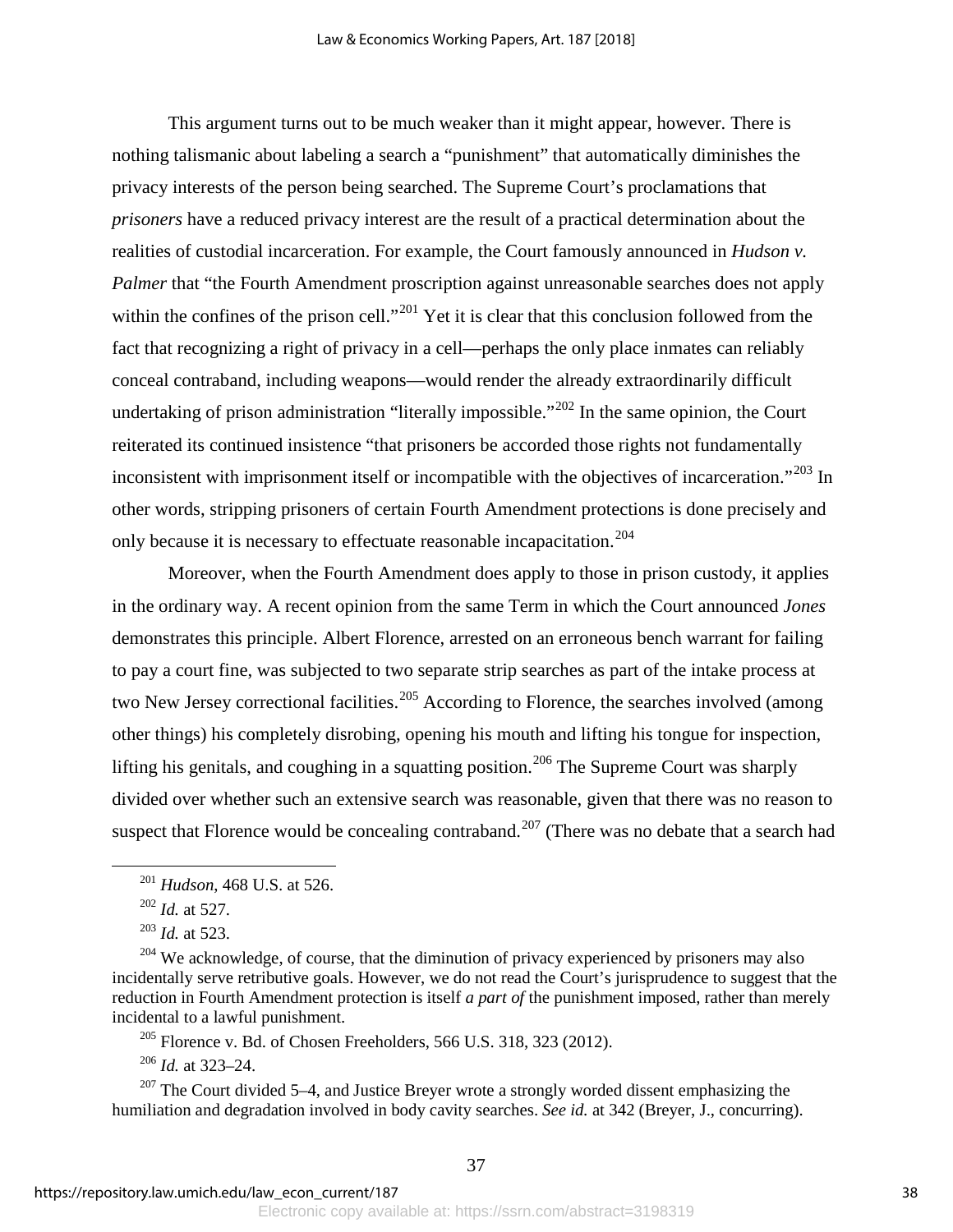This argument turns out to be much weaker than it might appear, however. There is nothing talismanic about labeling a search a "punishment" that automatically diminishes the privacy interests of the person being searched. The Supreme Court's proclamations that *prisoners* have a reduced privacy interest are the result of a practical determination about the realities of custodial incarceration. For example, the Court famously announced in *Hudson v. Palmer* that "the Fourth Amendment proscription against unreasonable searches does not apply within the confines of the prison cell."<sup>[201](#page-38-0)</sup> Yet it is clear that this conclusion followed from the fact that recognizing a right of privacy in a cell—perhaps the only place inmates can reliably conceal contraband, including weapons—would render the already extraordinarily difficult undertaking of prison administration "literally impossible."<sup>[202](#page-38-1)</sup> In the same opinion, the Court reiterated its continued insistence "that prisoners be accorded those rights not fundamentally inconsistent with imprisonment itself or incompatible with the objectives of incarceration."<sup>[203](#page-38-2)</sup> In other words, stripping prisoners of certain Fourth Amendment protections is done precisely and only because it is necessary to effectuate reasonable incapacitation.<sup>[204](#page-38-3)</sup>

Moreover, when the Fourth Amendment does apply to those in prison custody, it applies in the ordinary way. A recent opinion from the same Term in which the Court announced *Jones*  demonstrates this principle. Albert Florence, arrested on an erroneous bench warrant for failing to pay a court fine, was subjected to two separate strip searches as part of the intake process at two New Jersey correctional facilities.<sup>[205](#page-38-4)</sup> According to Florence, the searches involved (among other things) his completely disrobing, opening his mouth and lifting his tongue for inspection, lifting his genitals, and coughing in a squatting position.<sup>206</sup> The Supreme Court was sharply divided over whether such an extensive search was reasonable, given that there was no reason to suspect that Florence would be concealing contraband.<sup>[207](#page-38-6)</sup> (There was no debate that a search had

 $205$  Florence v. Bd. of Chosen Freeholders, 566 U.S. 318, 323 (2012).

<sup>206</sup> *Id.* at 323–24.

<span id="page-38-6"></span><span id="page-38-5"></span><span id="page-38-4"></span> $207$  The Court divided 5–4, and Justice Breyer wrote a strongly worded dissent emphasizing the humiliation and degradation involved in body cavity searches. *See id.* at 342 (Breyer, J., concurring).

<sup>201</sup> *Hudson*, 468 U.S. at 526.

<sup>202</sup> *Id.* at 527.

<sup>203</sup> *Id.* at 523.

<span id="page-38-3"></span><span id="page-38-2"></span><span id="page-38-1"></span><span id="page-38-0"></span> $204$  We acknowledge, of course, that the diminution of privacy experienced by prisoners may also incidentally serve retributive goals. However, we do not read the Court's jurisprudence to suggest that the reduction in Fourth Amendment protection is itself *a part of* the punishment imposed, rather than merely incidental to a lawful punishment.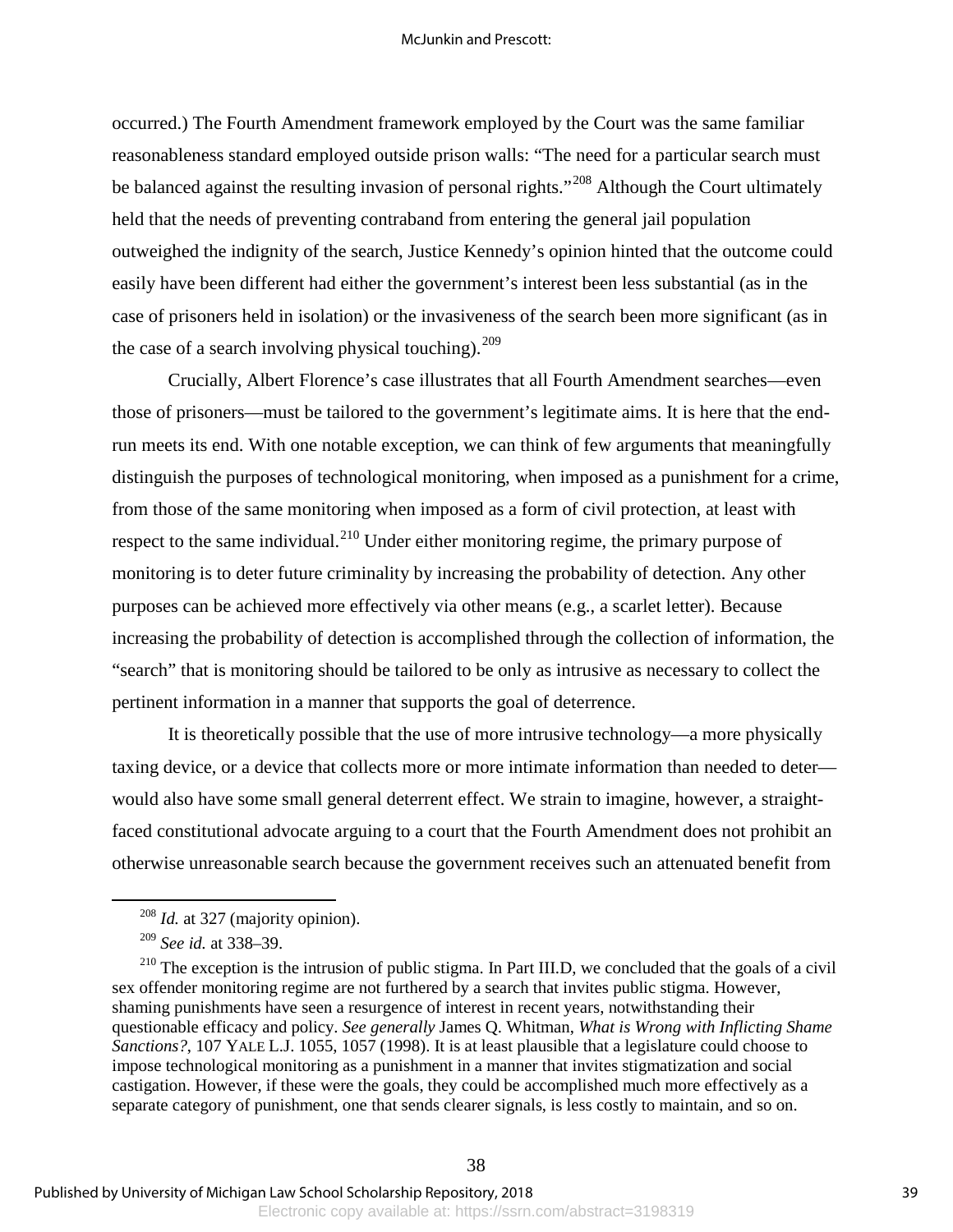occurred.) The Fourth Amendment framework employed by the Court was the same familiar reasonableness standard employed outside prison walls: "The need for a particular search must be balanced against the resulting invasion of personal rights."<sup>[208](#page-39-0)</sup> Although the Court ultimately held that the needs of preventing contraband from entering the general jail population outweighed the indignity of the search, Justice Kennedy's opinion hinted that the outcome could easily have been different had either the government's interest been less substantial (as in the case of prisoners held in isolation) or the invasiveness of the search been more significant (as in the case of a search involving physical touching).  $209$ 

Crucially, Albert Florence's case illustrates that all Fourth Amendment searches—even those of prisoners—must be tailored to the government's legitimate aims. It is here that the endrun meets its end. With one notable exception, we can think of few arguments that meaningfully distinguish the purposes of technological monitoring, when imposed as a punishment for a crime, from those of the same monitoring when imposed as a form of civil protection, at least with respect to the same individual.<sup>[210](#page-39-2)</sup> Under either monitoring regime, the primary purpose of monitoring is to deter future criminality by increasing the probability of detection. Any other purposes can be achieved more effectively via other means (e.g., a scarlet letter). Because increasing the probability of detection is accomplished through the collection of information, the "search" that is monitoring should be tailored to be only as intrusive as necessary to collect the pertinent information in a manner that supports the goal of deterrence.

It is theoretically possible that the use of more intrusive technology—a more physically taxing device, or a device that collects more or more intimate information than needed to deter would also have some small general deterrent effect. We strain to imagine, however, a straightfaced constitutional advocate arguing to a court that the Fourth Amendment does not prohibit an otherwise unreasonable search because the government receives such an attenuated benefit from

<sup>208</sup> *Id.* at 327 (majority opinion).

<sup>209</sup> *See id.* at 338–39.

<span id="page-39-2"></span><span id="page-39-1"></span><span id="page-39-0"></span><sup>&</sup>lt;sup>210</sup> The exception is the intrusion of public stigma. In Part III.D, we concluded that the goals of a civil sex offender monitoring regime are not furthered by a search that invites public stigma. However, shaming punishments have seen a resurgence of interest in recent years, notwithstanding their questionable efficacy and policy. *See generally* James Q. Whitman, *What is Wrong with Inflicting Shame Sanctions?*, 107 YALE L.J. 1055, 1057 (1998). It is at least plausible that a legislature could choose to impose technological monitoring as a punishment in a manner that invites stigmatization and social castigation. However, if these were the goals, they could be accomplished much more effectively as a separate category of punishment, one that sends clearer signals, is less costly to maintain, and so on.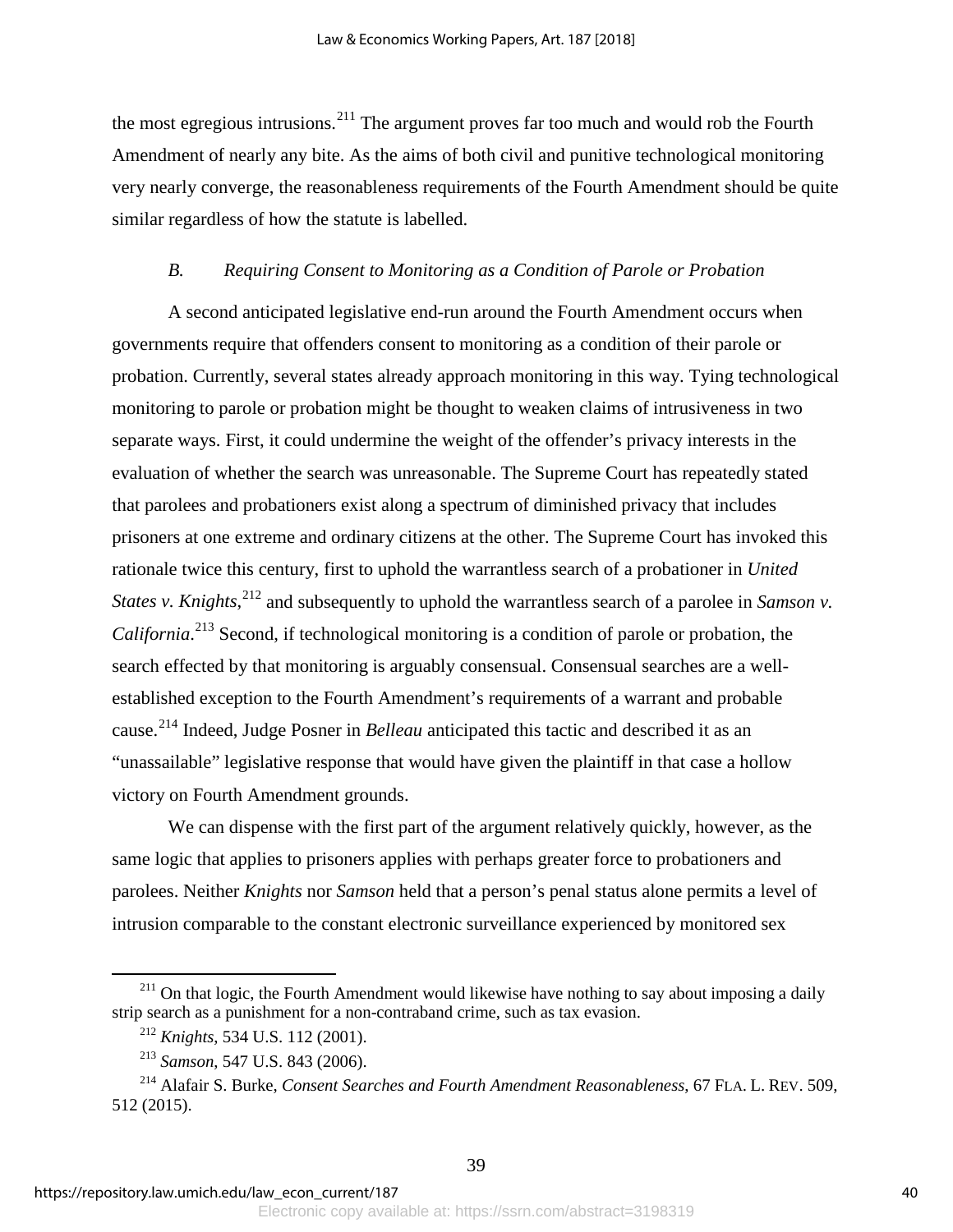the most egregious intrusions.<sup>[211](#page-40-1)</sup> The argument proves far too much and would rob the Fourth Amendment of nearly any bite. As the aims of both civil and punitive technological monitoring very nearly converge, the reasonableness requirements of the Fourth Amendment should be quite similar regardless of how the statute is labelled.

# *B. Requiring Consent to Monitoring as a Condition of Parole or Probation*

<span id="page-40-0"></span>A second anticipated legislative end-run around the Fourth Amendment occurs when governments require that offenders consent to monitoring as a condition of their parole or probation. Currently, several states already approach monitoring in this way. Tying technological monitoring to parole or probation might be thought to weaken claims of intrusiveness in two separate ways. First, it could undermine the weight of the offender's privacy interests in the evaluation of whether the search was unreasonable. The Supreme Court has repeatedly stated that parolees and probationers exist along a spectrum of diminished privacy that includes prisoners at one extreme and ordinary citizens at the other. The Supreme Court has invoked this rationale twice this century, first to uphold the warrantless search of a probationer in *United States v. Knights*,<sup>[212](#page-40-2)</sup> and subsequently to uphold the warrantless search of a parolee in *Samson v. California*. [213](#page-40-3) Second, if technological monitoring is a condition of parole or probation, the search effected by that monitoring is arguably consensual. Consensual searches are a wellestablished exception to the Fourth Amendment's requirements of a warrant and probable cause. [214](#page-40-4) Indeed, Judge Posner in *Belleau* anticipated this tactic and described it as an "unassailable" legislative response that would have given the plaintiff in that case a hollow victory on Fourth Amendment grounds.

We can dispense with the first part of the argument relatively quickly, however, as the same logic that applies to prisoners applies with perhaps greater force to probationers and parolees. Neither *Knights* nor *Samson* held that a person's penal status alone permits a level of intrusion comparable to the constant electronic surveillance experienced by monitored sex

<span id="page-40-2"></span><span id="page-40-1"></span> $211$  On that logic, the Fourth Amendment would likewise have nothing to say about imposing a daily strip search as a punishment for a non-contraband crime, such as tax evasion.

<sup>212</sup> *Knights*, 534 U.S. 112 (2001).

<sup>213</sup> *Samson*, 547 U.S. 843 (2006).

<span id="page-40-4"></span><span id="page-40-3"></span><sup>214</sup> Alafair S. Burke, *Consent Searches and Fourth Amendment Reasonableness*, 67 FLA. L. REV. 509, 512 (2015).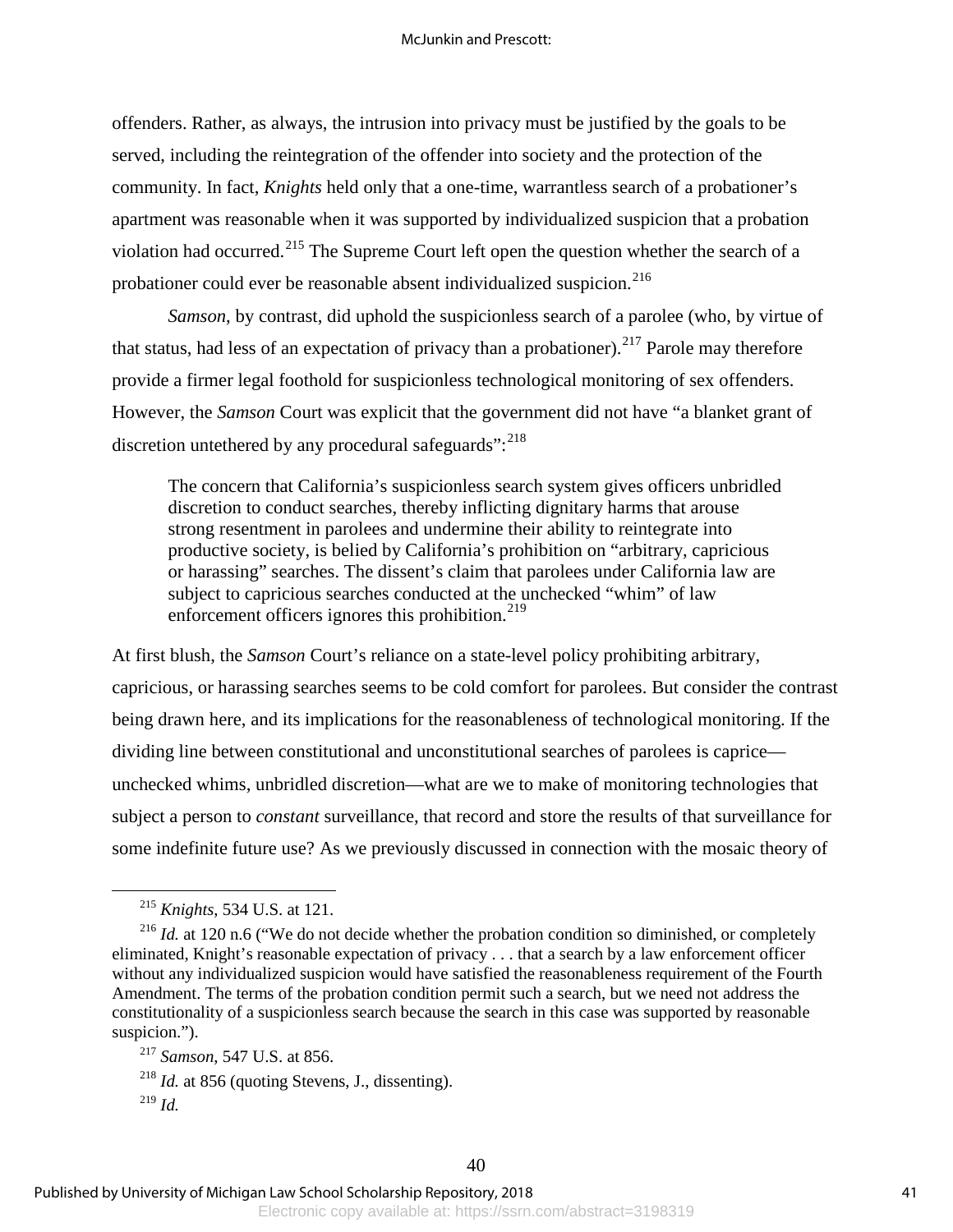offenders. Rather, as always, the intrusion into privacy must be justified by the goals to be served, including the reintegration of the offender into society and the protection of the community. In fact, *Knights* held only that a one-time, warrantless search of a probationer's apartment was reasonable when it was supported by individualized suspicion that a probation violation had occurred.[215](#page-41-0) The Supreme Court left open the question whether the search of a probationer could ever be reasonable absent individualized suspicion.<sup>216</sup>

*Samson*, by contrast, did uphold the suspicionless search of a parolee (who, by virtue of that status, had less of an expectation of privacy than a probationer).<sup>[217](#page-41-2)</sup> Parole may therefore provide a firmer legal foothold for suspicionless technological monitoring of sex offenders. However, the *Samson* Court was explicit that the government did not have "a blanket grant of discretion untethered by any procedural safeguards": $^{218}$  $^{218}$  $^{218}$ 

The concern that California's suspicionless search system gives officers unbridled discretion to conduct searches, thereby inflicting dignitary harms that arouse strong resentment in parolees and undermine their ability to reintegrate into productive society, is belied by California's prohibition on "arbitrary, capricious or harassing" searches. The dissent's claim that parolees under California law are subject to capricious searches conducted at the unchecked "whim" of law enforcement officers ignores this prohibition. $2^{19}$ 

At first blush, the *Samson* Court's reliance on a state-level policy prohibiting arbitrary, capricious, or harassing searches seems to be cold comfort for parolees. But consider the contrast being drawn here, and its implications for the reasonableness of technological monitoring. If the dividing line between constitutional and unconstitutional searches of parolees is caprice unchecked whims, unbridled discretion—what are we to make of monitoring technologies that subject a person to *constant* surveillance, that record and store the results of that surveillance for some indefinite future use? As we previously discussed in connection with the mosaic theory of

<sup>215</sup> *Knights*, 534 U.S. at 121.

<span id="page-41-1"></span><span id="page-41-0"></span><sup>&</sup>lt;sup>216</sup> *Id.* at 120 n.6 ("We do not decide whether the probation condition so diminished, or completely eliminated, Knight's reasonable expectation of privacy . . . that a search by a law enforcement officer without any individualized suspicion would have satisfied the reasonableness requirement of the Fourth Amendment. The terms of the probation condition permit such a search, but we need not address the constitutionality of a suspicionless search because the search in this case was supported by reasonable suspicion.").

<sup>217</sup> *Samson*, 547 U.S. at 856.

<span id="page-41-3"></span><span id="page-41-2"></span><sup>218</sup> *Id.* at 856 (quoting Stevens, J., dissenting).

<span id="page-41-4"></span><sup>219</sup> *Id.*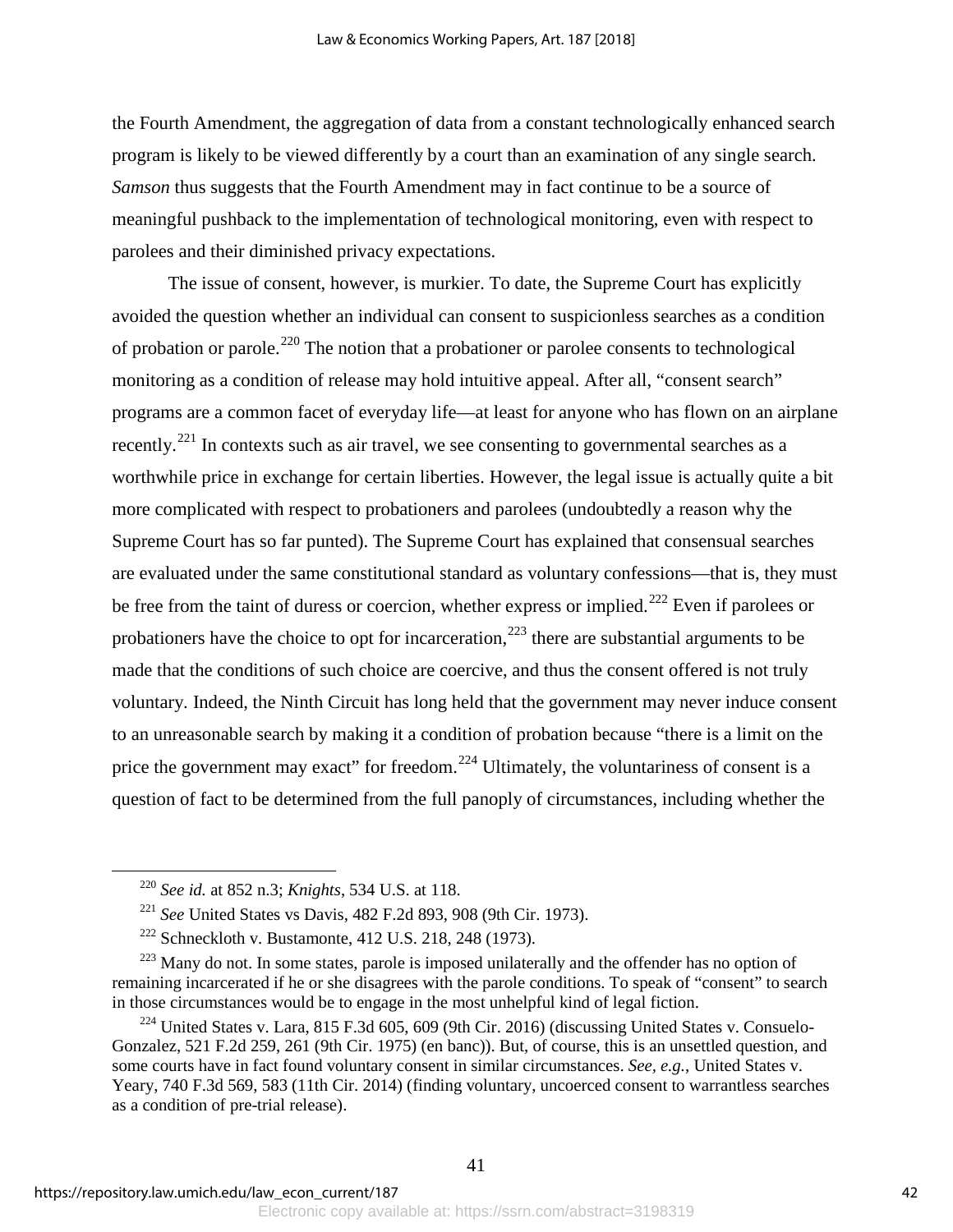the Fourth Amendment, the aggregation of data from a constant technologically enhanced search program is likely to be viewed differently by a court than an examination of any single search. *Samson* thus suggests that the Fourth Amendment may in fact continue to be a source of meaningful pushback to the implementation of technological monitoring, even with respect to parolees and their diminished privacy expectations.

The issue of consent, however, is murkier. To date, the Supreme Court has explicitly avoided the question whether an individual can consent to suspicionless searches as a condition of probation or parole.[220](#page-42-0) The notion that a probationer or parolee consents to technological monitoring as a condition of release may hold intuitive appeal. After all, "consent search" programs are a common facet of everyday life—at least for anyone who has flown on an airplane recently.<sup>[221](#page-42-1)</sup> In contexts such as air travel, we see consenting to governmental searches as a worthwhile price in exchange for certain liberties. However, the legal issue is actually quite a bit more complicated with respect to probationers and parolees (undoubtedly a reason why the Supreme Court has so far punted). The Supreme Court has explained that consensual searches are evaluated under the same constitutional standard as voluntary confessions—that is, they must be free from the taint of duress or coercion, whether express or implied.<sup>[222](#page-42-2)</sup> Even if parolees or probationers have the choice to opt for incarceration,  $^{223}$  $^{223}$  $^{223}$  there are substantial arguments to be made that the conditions of such choice are coercive, and thus the consent offered is not truly voluntary. Indeed, the Ninth Circuit has long held that the government may never induce consent to an unreasonable search by making it a condition of probation because "there is a limit on the price the government may exact" for freedom.<sup>224</sup> Ultimately, the voluntariness of consent is a question of fact to be determined from the full panoply of circumstances, including whether the

<sup>220</sup> *See id.* at 852 n.3; *Knights*, 534 U.S. at 118.

<sup>221</sup> *See* United States vs Davis, 482 F.2d 893, 908 (9th Cir. 1973).

 $222$  Schneckloth v. Bustamonte, 412 U.S. 218, 248 (1973).

<span id="page-42-3"></span><span id="page-42-2"></span><span id="page-42-1"></span><span id="page-42-0"></span> $223$  Many do not. In some states, parole is imposed unilaterally and the offender has no option of remaining incarcerated if he or she disagrees with the parole conditions. To speak of "consent" to search in those circumstances would be to engage in the most unhelpful kind of legal fiction.

<span id="page-42-4"></span> $^{224}$  United States v. Lara, 815 F.3d 605, 609 (9th Cir. 2016) (discussing United States v. Consuelo-Gonzalez, 521 F.2d 259, 261 (9th Cir. 1975) (en banc)). But, of course, this is an unsettled question, and some courts have in fact found voluntary consent in similar circumstances. *See, e.g.*, United States v. Yeary, 740 F.3d 569, 583 (11th Cir. 2014) (finding voluntary, uncoerced consent to warrantless searches as a condition of pre-trial release).